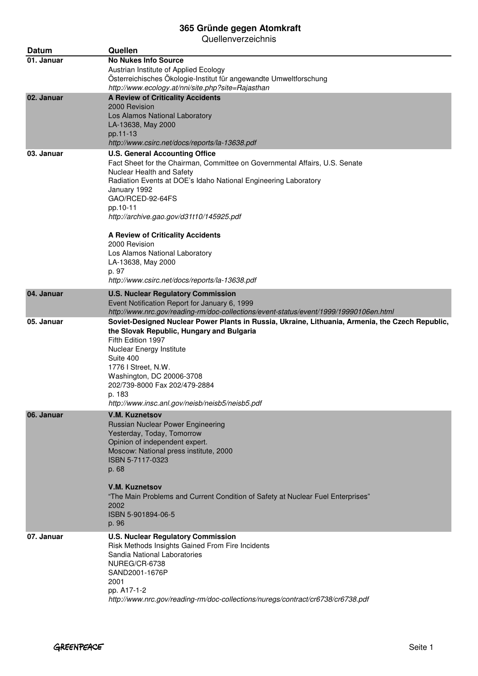| Datum      | Quellen                                                                                                                                                                                                                                                                                                                                                                                                                                                                                          |
|------------|--------------------------------------------------------------------------------------------------------------------------------------------------------------------------------------------------------------------------------------------------------------------------------------------------------------------------------------------------------------------------------------------------------------------------------------------------------------------------------------------------|
| 01. Januar | <b>No Nukes Info Source</b><br>Austrian Institute of Applied Ecology<br>Österreichisches Ökologie-Institut für angewandte Umweltforschung                                                                                                                                                                                                                                                                                                                                                        |
| 02. Januar | http://www.ecology.at/nni/site.php?site=Rajasthan<br><b>A Review of Criticality Accidents</b><br>2000 Revision<br>Los Alamos National Laboratory<br>LA-13638, May 2000<br>pp.11-13<br>http://www.csirc.net/docs/reports/la-13638.pdf                                                                                                                                                                                                                                                             |
| 03. Januar | <b>U.S. General Accounting Office</b><br>Fact Sheet for the Chairman, Committee on Governmental Affairs, U.S. Senate<br>Nuclear Health and Safety<br>Radiation Events at DOE's Idaho National Engineering Laboratory<br>January 1992<br>GAO/RCED-92-64FS<br>pp.10-11<br>http://archive.gao.gov/d31t10/145925.pdf<br><b>A Review of Criticality Accidents</b><br>2000 Revision<br>Los Alamos National Laboratory<br>LA-13638, May 2000<br>p. 97<br>http://www.csirc.net/docs/reports/la-13638.pdf |
| 04. Januar | <b>U.S. Nuclear Regulatory Commission</b><br>Event Notification Report for January 6, 1999<br>http://www.nrc.gov/reading-rm/doc-collections/event-status/event/1999/19990106en.html                                                                                                                                                                                                                                                                                                              |
| 05. Januar | Soviet-Designed Nuclear Power Plants in Russia, Ukraine, Lithuania, Armenia, the Czech Republic,<br>the Slovak Republic, Hungary and Bulgaria<br>Fifth Edition 1997<br>Nuclear Energy Institute<br>Suite 400<br>1776 I Street, N.W.<br>Washington, DC 20006-3708<br>202/739-8000 Fax 202/479-2884<br>p. 183<br>http://www.insc.anl.gov/neisb/neisb5/neisb5.pdf                                                                                                                                   |
| 06. Januar | <b>V.M. Kuznetsov</b><br>Russian Nuclear Power Engineering<br>Yesterday, Today, Tomorrow<br>Opinion of independent expert.<br>Moscow: National press institute, 2000<br>ISBN 5-7117-0323<br>p. 68<br><b>V.M. Kuznetsov</b><br>"The Main Problems and Current Condition of Safety at Nuclear Fuel Enterprises"<br>2002<br>ISBN 5-901894-06-5<br>p. 96                                                                                                                                             |
| 07. Januar | <b>U.S. Nuclear Regulatory Commission</b><br>Risk Methods Insights Gained From Fire Incidents<br>Sandia National Laboratories<br>NUREG/CR-6738<br>SAND2001-1676P<br>2001<br>pp. A17-1-2<br>http://www.nrc.gov/reading-rm/doc-collections/nuregs/contract/cr6738/cr6738.pdf                                                                                                                                                                                                                       |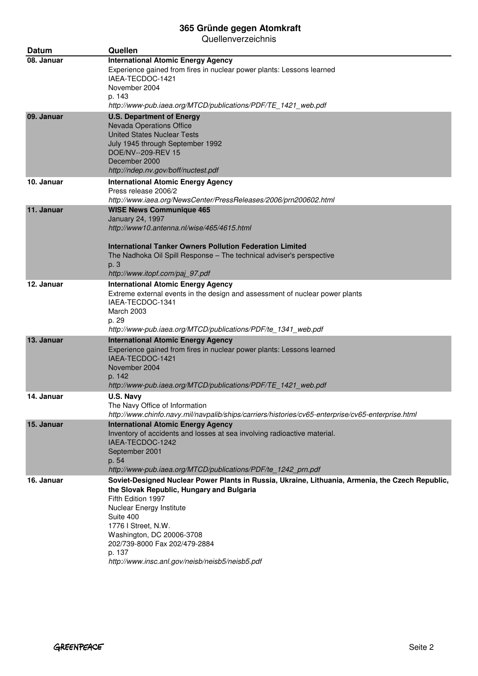| Datum      | Quellen                                                                                                                                                                                                                                                                                                                                                        |
|------------|----------------------------------------------------------------------------------------------------------------------------------------------------------------------------------------------------------------------------------------------------------------------------------------------------------------------------------------------------------------|
| 08. Januar | <b>International Atomic Energy Agency</b><br>Experience gained from fires in nuclear power plants: Lessons learned<br>IAEA-TECDOC-1421<br>November 2004<br>p. 143<br>http://www-pub.iaea.org/MTCD/publications/PDF/TE_1421_web.pdf                                                                                                                             |
| 09. Januar | <b>U.S. Department of Energy</b><br><b>Nevada Operations Office</b><br><b>United States Nuclear Tests</b><br>July 1945 through September 1992<br>DOE/NV--209-REV 15<br>December 2000<br>http://ndep.nv.gov/boff/nuctest.pdf                                                                                                                                    |
| 10. Januar | <b>International Atomic Energy Agency</b><br>Press release 2006/2<br>http://www.iaea.org/NewsCenter/PressReleases/2006/prn200602.html                                                                                                                                                                                                                          |
| 11. Januar | <b>WISE News Communique 465</b><br>January 24, 1997<br>http://www10.antenna.nl/wise/465/4615.html<br><b>International Tanker Owners Pollution Federation Limited</b><br>The Nadhoka Oil Spill Response - The technical adviser's perspective<br>p. 3<br>http://www.itopf.com/paj_97.pdf                                                                        |
| 12. Januar | <b>International Atomic Energy Agency</b><br>Extreme external events in the design and assessment of nuclear power plants<br>IAEA-TECDOC-1341<br>March 2003<br>p. 29<br>http://www-pub.iaea.org/MTCD/publications/PDF/te_1341_web.pdf                                                                                                                          |
| 13. Januar | <b>International Atomic Energy Agency</b><br>Experience gained from fires in nuclear power plants: Lessons learned<br>IAEA-TECDOC-1421<br>November 2004<br>p. 142<br>http://www-pub.iaea.org/MTCD/publications/PDF/TE 1421 web.pdf                                                                                                                             |
| 14. Januar | U.S. Navy<br>The Navy Office of Information<br>http://www.chinfo.navy.mil/navpalib/ships/carriers/histories/cv65-enterprise/cv65-enterprise.html                                                                                                                                                                                                               |
| 15. Januar | <b>International Atomic Energy Agency</b><br>Inventory of accidents and losses at sea involving radioactive material.<br>IAEA-TECDOC-1242<br>September 2001<br>p. 54<br>http://www-pub.iaea.org/MTCD/publications/PDF/te_1242_prn.pdf                                                                                                                          |
| 16. Januar | Soviet-Designed Nuclear Power Plants in Russia, Ukraine, Lithuania, Armenia, the Czech Republic,<br>the Slovak Republic, Hungary and Bulgaria<br>Fifth Edition 1997<br>Nuclear Energy Institute<br>Suite 400<br>1776 I Street, N.W.<br>Washington, DC 20006-3708<br>202/739-8000 Fax 202/479-2884<br>p. 137<br>http://www.insc.anl.gov/neisb/neisb5/neisb5.pdf |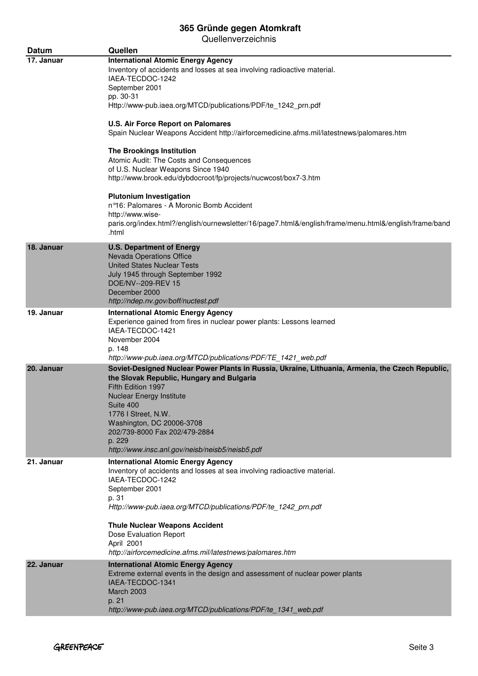| <b>Datum</b> | Quellen                                                                                                                                                                                                                                                                                                                                                                                                                                                                                                                                                                                                                                                                                                                                                                                           |
|--------------|---------------------------------------------------------------------------------------------------------------------------------------------------------------------------------------------------------------------------------------------------------------------------------------------------------------------------------------------------------------------------------------------------------------------------------------------------------------------------------------------------------------------------------------------------------------------------------------------------------------------------------------------------------------------------------------------------------------------------------------------------------------------------------------------------|
| 17. Januar   | <b>International Atomic Energy Agency</b><br>Inventory of accidents and losses at sea involving radioactive material.<br>IAEA-TECDOC-1242<br>September 2001<br>pp. 30-31<br>Http://www-pub.iaea.org/MTCD/publications/PDF/te_1242_prn.pdf<br><b>U.S. Air Force Report on Palomares</b><br>Spain Nuclear Weapons Accident http://airforcemedicine.afms.mil/latestnews/palomares.htm<br><b>The Brookings Institution</b><br>Atomic Audit: The Costs and Consequences<br>of U.S. Nuclear Weapons Since 1940<br>http://www.brook.edu/dybdocroot/fp/projects/nucwcost/box7-3.htm<br><b>Plutonium Investigation</b><br>n°16: Palomares - A Moronic Bomb Accident<br>http://www.wise-<br>paris.org/index.html?/english/ournewsletter/16/page7.html&/english/frame/menu.html&/english/frame/band<br>.html |
| 18. Januar   | <b>U.S. Department of Energy</b><br><b>Nevada Operations Office</b><br><b>United States Nuclear Tests</b><br>July 1945 through September 1992<br>DOE/NV--209-REV 15<br>December 2000<br>http://ndep.nv.gov/boff/nuctest.pdf                                                                                                                                                                                                                                                                                                                                                                                                                                                                                                                                                                       |
| 19. Januar   | <b>International Atomic Energy Agency</b><br>Experience gained from fires in nuclear power plants: Lessons learned<br>IAEA-TECDOC-1421<br>November 2004<br>p. 148<br>http://www-pub.iaea.org/MTCD/publications/PDF/TE_1421_web.pdf                                                                                                                                                                                                                                                                                                                                                                                                                                                                                                                                                                |
| 20. Januar   | Soviet-Designed Nuclear Power Plants in Russia, Ukraine, Lithuania, Armenia, the Czech Republic,<br>the Slovak Republic, Hungary and Bulgaria<br>Fifth Edition 1997<br>Nuclear Energy Institute<br>Suite 400<br>1776 I Street, N.W.<br>Washington, DC 20006-3708<br>202/739-8000 Fax 202/479-2884<br>p. 229<br>http://www.insc.anl.gov/neisb/neisb5/neisb5.pdf                                                                                                                                                                                                                                                                                                                                                                                                                                    |
| 21. Januar   | <b>International Atomic Energy Agency</b><br>Inventory of accidents and losses at sea involving radioactive material.<br>IAEA-TECDOC-1242<br>September 2001<br>p. 31<br>Http://www-pub.iaea.org/MTCD/publications/PDF/te_1242_prn.pdf<br><b>Thule Nuclear Weapons Accident</b><br>Dose Evaluation Report<br>April 2001<br>http://airforcemedicine.afms.mil/latestnews/palomares.htm                                                                                                                                                                                                                                                                                                                                                                                                               |
| 22. Januar   | <b>International Atomic Energy Agency</b><br>Extreme external events in the design and assessment of nuclear power plants<br>IAEA-TECDOC-1341<br><b>March 2003</b><br>p. 21<br>http://www-pub.iaea.org/MTCD/publications/PDF/te_1341_web.pdf                                                                                                                                                                                                                                                                                                                                                                                                                                                                                                                                                      |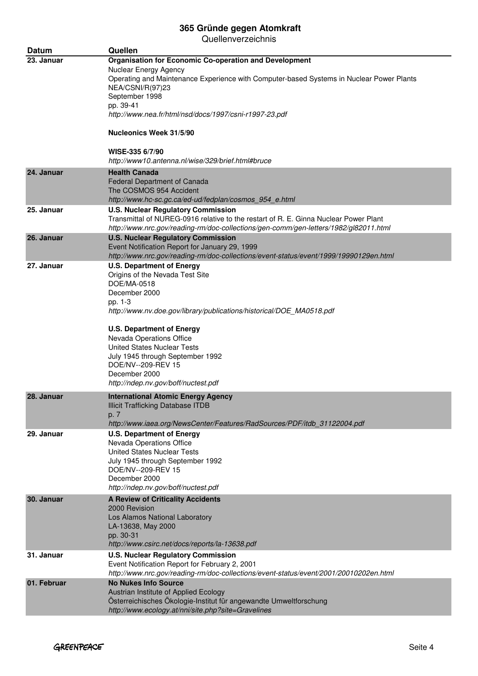| <b>Datum</b> | Quellen                                                                                                                                                                                                                                                                                                                                                                                                        |
|--------------|----------------------------------------------------------------------------------------------------------------------------------------------------------------------------------------------------------------------------------------------------------------------------------------------------------------------------------------------------------------------------------------------------------------|
| 23. Januar   | <b>Organisation for Economic Co-operation and Development</b><br>Nuclear Energy Agency<br>Operating and Maintenance Experience with Computer-based Systems in Nuclear Power Plants<br>NEA/CSNI/R(97)23<br>September 1998<br>pp. 39-41<br>http://www.nea.fr/html/nsd/docs/1997/csni-r1997-23.pdf<br><b>Nucleonics Week 31/5/90</b><br>WISE-335 6/7/90<br>http://www10.antenna.nl/wise/329/brief.html#bruce      |
| 24. Januar   | <b>Health Canada</b><br>Federal Department of Canada<br>The COSMOS 954 Accident<br>http://www.hc-sc.gc.ca/ed-ud/fedplan/cosmos_954_e.html                                                                                                                                                                                                                                                                      |
| 25. Januar   | <b>U.S. Nuclear Regulatory Commission</b><br>Transmittal of NUREG-0916 relative to the restart of R. E. Ginna Nuclear Power Plant<br>http://www.nrc.gov/reading-rm/doc-collections/gen-comm/gen-letters/1982/gl82011.html                                                                                                                                                                                      |
| 26. Januar   | <b>U.S. Nuclear Regulatory Commission</b><br>Event Notification Report for January 29, 1999<br>http://www.nrc.gov/reading-rm/doc-collections/event-status/event/1999/19990129en.html                                                                                                                                                                                                                           |
| 27. Januar   | <b>U.S. Department of Energy</b><br>Origins of the Nevada Test Site<br>DOE/MA-0518<br>December 2000<br>pp. 1-3<br>http://www.nv.doe.gov/library/publications/historical/DOE_MA0518.pdf<br><b>U.S. Department of Energy</b><br>Nevada Operations Office<br><b>United States Nuclear Tests</b><br>July 1945 through September 1992<br>DOE/NV--209-REV 15<br>December 2000<br>http://ndep.nv.gov/boff/nuctest.pdf |
| 28. Januar   | <b>International Atomic Energy Agency</b><br><b>Illicit Trafficking Database ITDB</b><br>p. 7<br>http://www.iaea.org/NewsCenter/Features/RadSources/PDF/itdb 31122004.pdf                                                                                                                                                                                                                                      |
| 29. Januar   | <b>U.S. Department of Energy</b><br>Nevada Operations Office<br><b>United States Nuclear Tests</b><br>July 1945 through September 1992<br>DOE/NV--209-REV 15<br>December 2000<br>http://ndep.nv.gov/boff/nuctest.pdf                                                                                                                                                                                           |
| 30. Januar   | <b>A Review of Criticality Accidents</b><br>2000 Revision<br>Los Alamos National Laboratory<br>LA-13638, May 2000<br>pp. 30-31<br>http://www.csirc.net/docs/reports/la-13638.pdf                                                                                                                                                                                                                               |
| 31. Januar   | <b>U.S. Nuclear Regulatory Commission</b><br>Event Notification Report for February 2, 2001<br>http://www.nrc.gov/reading-rm/doc-collections/event-status/event/2001/20010202en.html                                                                                                                                                                                                                           |
| 01. Februar  | <b>No Nukes Info Source</b><br>Austrian Institute of Applied Ecology<br>Österreichisches Ökologie-Institut für angewandte Umweltforschung<br>http://www.ecology.at/nni/site.php?site=Gravelines                                                                                                                                                                                                                |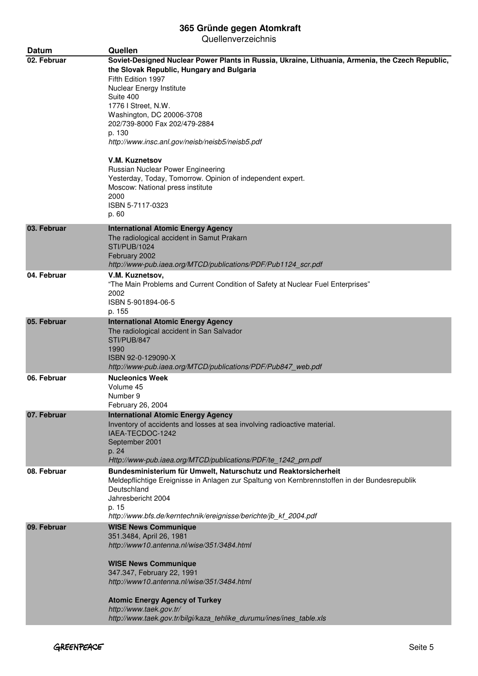| <b>Datum</b> | Quellen                                                                                                                                                                                                                                                                                                                                                                                                                                                                                                                        |
|--------------|--------------------------------------------------------------------------------------------------------------------------------------------------------------------------------------------------------------------------------------------------------------------------------------------------------------------------------------------------------------------------------------------------------------------------------------------------------------------------------------------------------------------------------|
| 02. Februar  | Soviet-Designed Nuclear Power Plants in Russia, Ukraine, Lithuania, Armenia, the Czech Republic,<br>the Slovak Republic, Hungary and Bulgaria<br>Fifth Edition 1997<br>Nuclear Energy Institute<br>Suite 400<br>1776 I Street, N.W.<br>Washington, DC 20006-3708<br>202/739-8000 Fax 202/479-2884<br>p. 130<br>http://www.insc.anl.gov/neisb/neisb5/neisb5.pdf<br><b>V.M. Kuznetsov</b><br>Russian Nuclear Power Engineering<br>Yesterday, Today, Tomorrow. Opinion of independent expert.<br>Moscow: National press institute |
|              | 2000<br>ISBN 5-7117-0323<br>p. 60                                                                                                                                                                                                                                                                                                                                                                                                                                                                                              |
| 03. Februar  | <b>International Atomic Energy Agency</b><br>The radiological accident in Samut Prakarn<br><b>STI/PUB/1024</b><br>February 2002<br>http://www-pub.iaea.org/MTCD/publications/PDF/Pub1124 scr.pdf                                                                                                                                                                                                                                                                                                                               |
| 04. Februar  | V.M. Kuznetsov,<br>"The Main Problems and Current Condition of Safety at Nuclear Fuel Enterprises"<br>2002<br>ISBN 5-901894-06-5<br>p. 155                                                                                                                                                                                                                                                                                                                                                                                     |
| 05. Februar  | <b>International Atomic Energy Agency</b><br>The radiological accident in San Salvador<br>STI/PUB/847<br>1990<br>ISBN 92-0-129090-X<br>http://www-pub.iaea.org/MTCD/publications/PDF/Pub847_web.pdf                                                                                                                                                                                                                                                                                                                            |
| 06. Februar  | <b>Nucleonics Week</b><br>Volume 45<br>Number 9<br>February 26, 2004                                                                                                                                                                                                                                                                                                                                                                                                                                                           |
| 07. Februar  | <b>International Atomic Energy Agency</b><br>Inventory of accidents and losses at sea involving radioactive material.<br>IAEA-TECDOC-1242<br>September 2001<br>p. 24<br>Http://www-pub.iaea.org/MTCD/publications/PDF/te_1242_prn.pdf                                                                                                                                                                                                                                                                                          |
| 08. Februar  | Bundesministerium für Umwelt, Naturschutz und Reaktorsicherheit<br>Meldepflichtige Ereignisse in Anlagen zur Spaltung von Kernbrennstoffen in der Bundesrepublik<br>Deutschland<br>Jahresbericht 2004<br>p. 15<br>http://www.bfs.de/kerntechnik/ereignisse/berichte/jb_kf_2004.pdf                                                                                                                                                                                                                                             |
| 09. Februar  | <b>WISE News Communique</b><br>351.3484, April 26, 1981<br>http://www10.antenna.nl/wise/351/3484.html<br><b>WISE News Communique</b><br>347.347, February 22, 1991<br>http://www10.antenna.nl/wise/351/3484.html<br><b>Atomic Energy Agency of Turkey</b><br>http://www.taek.gov.tr/<br>http://www.taek.gov.tr/bilgi/kaza_tehlike_durumu/ines/ines_table.xls                                                                                                                                                                   |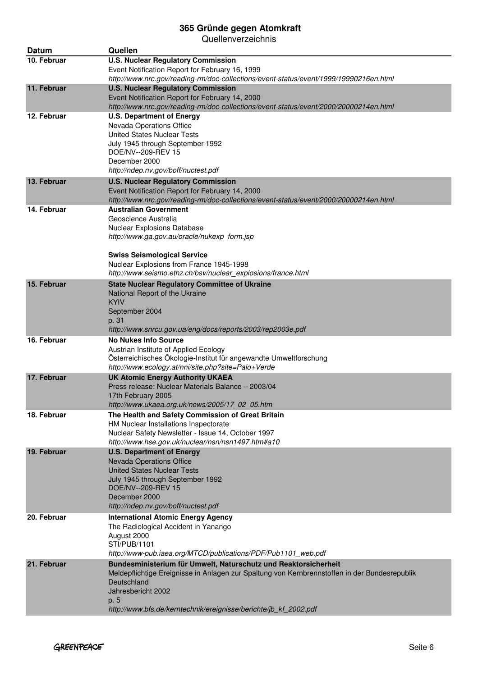| <b>Datum</b> | Quellen                                                                                                                                  |
|--------------|------------------------------------------------------------------------------------------------------------------------------------------|
| 10. Februar  | <b>U.S. Nuclear Regulatory Commission</b>                                                                                                |
|              | Event Notification Report for February 16, 1999                                                                                          |
|              | http://www.nrc.gov/reading-rm/doc-collections/event-status/event/1999/19990216en.html                                                    |
| 11. Februar  | <b>U.S. Nuclear Regulatory Commission</b>                                                                                                |
|              | Event Notification Report for February 14, 2000<br>http://www.nrc.gov/reading-rm/doc-collections/event-status/event/2000/20000214en.html |
| 12. Februar  | <b>U.S. Department of Energy</b>                                                                                                         |
|              | Nevada Operations Office                                                                                                                 |
|              | <b>United States Nuclear Tests</b>                                                                                                       |
|              | July 1945 through September 1992                                                                                                         |
|              | DOE/NV--209-REV 15                                                                                                                       |
|              | December 2000                                                                                                                            |
|              | http://ndep.nv.gov/boff/nuctest.pdf                                                                                                      |
| 13. Februar  | <b>U.S. Nuclear Regulatory Commission</b>                                                                                                |
|              | Event Notification Report for February 14, 2000<br>http://www.nrc.gov/reading-rm/doc-collections/event-status/event/2000/20000214en.html |
| 14. Februar  | <b>Australian Government</b>                                                                                                             |
|              | Geoscience Australia                                                                                                                     |
|              | Nuclear Explosions Database                                                                                                              |
|              | http://www.ga.gov.au/oracle/nukexp_form.jsp                                                                                              |
|              | <b>Swiss Seismological Service</b>                                                                                                       |
|              | Nuclear Explosions from France 1945-1998                                                                                                 |
|              | http://www.seismo.ethz.ch/bsv/nuclear_explosions/france.html                                                                             |
| 15. Februar  | <b>State Nuclear Regulatory Committee of Ukraine</b>                                                                                     |
|              | National Report of the Ukraine                                                                                                           |
|              | <b>KYIV</b>                                                                                                                              |
|              | September 2004                                                                                                                           |
|              | p. 31<br>http://www.snrcu.gov.ua/eng/docs/reports/2003/rep2003e.pdf                                                                      |
| 16. Februar  | <b>No Nukes Info Source</b>                                                                                                              |
|              | Austrian Institute of Applied Ecology                                                                                                    |
|              | Österreichisches Ökologie-Institut für angewandte Umweltforschung                                                                        |
|              | http://www.ecology.at/nni/site.php?site=Palo+Verde                                                                                       |
| 17. Februar  | <b>UK Atomic Energy Authority UKAEA</b>                                                                                                  |
|              | Press release: Nuclear Materials Balance - 2003/04<br>17th February 2005                                                                 |
|              | http://www.ukaea.org.uk/news/2005/17_02_05.htm                                                                                           |
| 18. Februar  | The Health and Safety Commission of Great Britain                                                                                        |
|              | HM Nuclear Installations Inspectorate                                                                                                    |
|              | Nuclear Safety Newsletter - Issue 14, October 1997                                                                                       |
|              | http://www.hse.gov.uk/nuclear/nsn/nsn1497.htm#a10                                                                                        |
| 19. Februar  | <b>U.S. Department of Energy</b><br><b>Nevada Operations Office</b>                                                                      |
|              | <b>United States Nuclear Tests</b>                                                                                                       |
|              | July 1945 through September 1992                                                                                                         |
|              | DOE/NV--209-REV 15                                                                                                                       |
|              | December 2000                                                                                                                            |
|              | http://ndep.nv.gov/boff/nuctest.pdf                                                                                                      |
| 20. Februar  | <b>International Atomic Energy Agency</b><br>The Radiological Accident in Yanango                                                        |
|              | August 2000                                                                                                                              |
|              | STI/PUB/1101                                                                                                                             |
|              | http://www-pub.iaea.org/MTCD/publications/PDF/Pub1101_web.pdf                                                                            |
| 21. Februar  | Bundesministerium für Umwelt, Naturschutz und Reaktorsicherheit                                                                          |
|              | Meldepflichtige Ereignisse in Anlagen zur Spaltung von Kernbrennstoffen in der Bundesrepublik                                            |
|              | Deutschland<br>Jahresbericht 2002                                                                                                        |
|              | p. 5                                                                                                                                     |
|              | http://www.bfs.de/kerntechnik/ereignisse/berichte/jb_kf_2002.pdf                                                                         |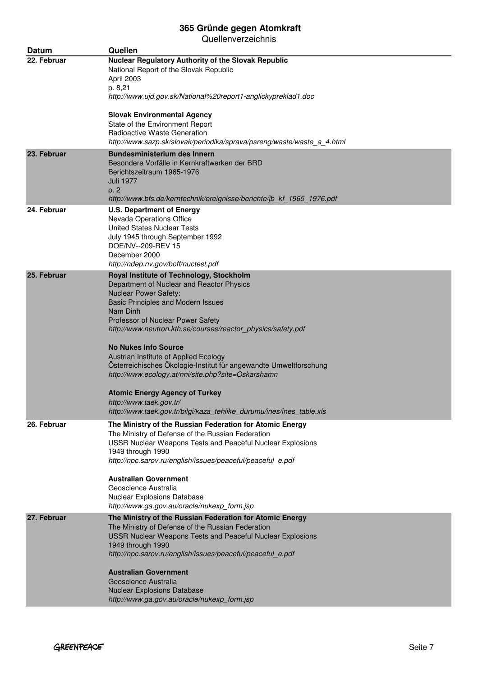| Datum       | Quellen                                                                                                                                                                                                              |
|-------------|----------------------------------------------------------------------------------------------------------------------------------------------------------------------------------------------------------------------|
| 22. Februar | <b>Nuclear Regulatory Authority of the Slovak Republic</b><br>National Report of the Slovak Republic<br>April 2003                                                                                                   |
|             | p. 8,21<br>http://www.ujd.gov.sk/National%20report1-anglickypreklad1.doc                                                                                                                                             |
|             | <b>Slovak Environmental Agency</b><br>State of the Environment Report                                                                                                                                                |
|             | Radioactive Waste Generation<br>http://www.sazp.sk/slovak/periodika/sprava/psreng/waste/waste_a_4.html                                                                                                               |
| 23. Februar | <b>Bundesministerium des Innern</b><br>Besondere Vorfälle in Kernkraftwerken der BRD<br>Berichtszeitraum 1965-1976<br>Juli 1977<br>p. 2<br>http://www.bfs.de/kerntechnik/ereignisse/berichte/jb_kf_1965_1976.pdf     |
| 24. Februar | <b>U.S. Department of Energy</b><br>Nevada Operations Office<br><b>United States Nuclear Tests</b><br>July 1945 through September 1992<br>DOE/NV--209-REV 15<br>December 2000<br>http://ndep.nv.gov/boff/nuctest.pdf |
| 25. Februar | Royal Institute of Technology, Stockholm                                                                                                                                                                             |
|             | Department of Nuclear and Reactor Physics<br><b>Nuclear Power Safety:</b>                                                                                                                                            |
|             | Basic Principles and Modern Issues                                                                                                                                                                                   |
|             | Nam Dinh<br>Professor of Nuclear Power Safety                                                                                                                                                                        |
|             | http://www.neutron.kth.se/courses/reactor_physics/safety.pdf                                                                                                                                                         |
|             | <b>No Nukes Info Source</b>                                                                                                                                                                                          |
|             | Austrian Institute of Applied Ecology<br>Österreichisches Ökologie-Institut für angewandte Umweltforschung                                                                                                           |
|             | http://www.ecology.at/nni/site.php?site=Oskarshamn                                                                                                                                                                   |
|             | <b>Atomic Energy Agency of Turkey</b>                                                                                                                                                                                |
|             | http://www.taek.gov.tr/<br>http://www.taek.gov.tr/bilgi/kaza_tehlike_durumu/ines/ines_table.xls                                                                                                                      |
| 26. Februar | The Ministry of the Russian Federation for Atomic Energy                                                                                                                                                             |
|             | The Ministry of Defense of the Russian Federation                                                                                                                                                                    |
|             | USSR Nuclear Weapons Tests and Peaceful Nuclear Explosions<br>1949 through 1990                                                                                                                                      |
|             | http://npc.sarov.ru/english/issues/peaceful/peaceful_e.pdf                                                                                                                                                           |
|             | <b>Australian Government</b>                                                                                                                                                                                         |
|             | Geoscience Australia<br>Nuclear Explosions Database                                                                                                                                                                  |
|             | http://www.ga.gov.au/oracle/nukexp form.jsp                                                                                                                                                                          |
| 27. Februar | The Ministry of the Russian Federation for Atomic Energy                                                                                                                                                             |
|             | The Ministry of Defense of the Russian Federation<br>USSR Nuclear Weapons Tests and Peaceful Nuclear Explosions                                                                                                      |
|             | 1949 through 1990                                                                                                                                                                                                    |
|             | http://npc.sarov.ru/english/issues/peaceful/peaceful_e.pdf                                                                                                                                                           |
|             | <b>Australian Government</b>                                                                                                                                                                                         |
|             | Geoscience Australia<br><b>Nuclear Explosions Database</b>                                                                                                                                                           |
|             | http://www.ga.gov.au/oracle/nukexp_form.jsp                                                                                                                                                                          |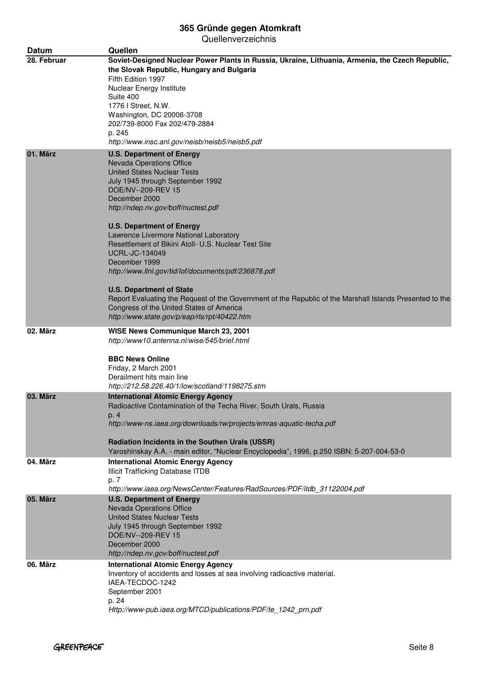| <b>Datum</b> | Quellen                                                                                                                                                                                         |
|--------------|-------------------------------------------------------------------------------------------------------------------------------------------------------------------------------------------------|
| 28. Februar  | Soviet-Designed Nuclear Power Plants in Russia, Ukraine, Lithuania, Armenia, the Czech Republic,<br>the Slovak Republic, Hungary and Bulgaria<br>Fifth Edition 1997<br>Nuclear Energy Institute |
|              | Suite 400                                                                                                                                                                                       |
|              | 1776   Street, N.W.                                                                                                                                                                             |
|              | Washington, DC 20006-3708                                                                                                                                                                       |
|              | 202/739-8000 Fax 202/479-2884                                                                                                                                                                   |
|              | p. 245<br>http://www.insc.anl.gov/neisb/neisb5/neisb5.pdf                                                                                                                                       |
| 01. März     | <b>U.S. Department of Energy</b>                                                                                                                                                                |
|              | Nevada Operations Office                                                                                                                                                                        |
|              | <b>United States Nuclear Tests</b><br>July 1945 through September 1992                                                                                                                          |
|              | DOE/NV--209-REV 15                                                                                                                                                                              |
|              | December 2000                                                                                                                                                                                   |
|              | http://ndep.nv.gov/boff/nuctest.pdf                                                                                                                                                             |
|              | <b>U.S. Department of Energy</b>                                                                                                                                                                |
|              | Lawrence Livermore National Laboratory<br>Resettlement of Bikini Atoll- U.S. Nuclear Test Site                                                                                                  |
|              | <b>UCRL-JC-134049</b>                                                                                                                                                                           |
|              | December 1999                                                                                                                                                                                   |
|              | http://www.llnl.gov/tid/lof/documents/pdf/236878.pdf                                                                                                                                            |
|              | <b>U.S. Department of State</b><br>Report Evaluating the Request of the Government of the Republic of the Marshall Islands Presented to the                                                     |
|              | Congress of the United States of America<br>http://www.state.gov/p/eap/rls/rpt/40422.htm                                                                                                        |
| 02. März     | WISE News Communique March 23, 2001                                                                                                                                                             |
|              | http://www10.antenna.nl/wise/545/brief.html                                                                                                                                                     |
|              | <b>BBC News Online</b>                                                                                                                                                                          |
|              | Friday, 2 March 2001                                                                                                                                                                            |
|              | Derailment hits main line                                                                                                                                                                       |
|              | http://212.58.226.40/1/low/scotland/1198275.stm                                                                                                                                                 |
| 03. März     | <b>International Atomic Energy Agency</b><br>Radioactive Contamination of the Techa River, South Urals, Russia                                                                                  |
|              | p. 4                                                                                                                                                                                            |
|              | http://www-ns.iaea.org/downloads/rw/projects/emras-aquatic-techa.pdf                                                                                                                            |
|              | Radiation Incidents in the Southen Urals (USSR)                                                                                                                                                 |
|              | Yaroshinskay A.A. - main editor, "Nuclear Encyclopedia", 1996, p.250 ISBN: 5-207-004-53-0                                                                                                       |
| 04. März     | <b>International Atomic Energy Agency</b><br><b>Illicit Trafficking Database ITDB</b>                                                                                                           |
|              | p. 7                                                                                                                                                                                            |
|              | http://www.iaea.org/NewsCenter/Features/RadSources/PDF/itdb_31122004.pdf                                                                                                                        |
| 05. März     | <b>U.S. Department of Energy</b>                                                                                                                                                                |
|              | <b>Nevada Operations Office</b>                                                                                                                                                                 |
|              | <b>United States Nuclear Tests</b>                                                                                                                                                              |
|              | July 1945 through September 1992                                                                                                                                                                |
|              | DOE/NV--209-REV 15<br>December 2000                                                                                                                                                             |
|              | http://ndep.nv.gov/boff/nuctest.pdf                                                                                                                                                             |
| 06. März     | <b>International Atomic Energy Agency</b>                                                                                                                                                       |
|              | Inventory of accidents and losses at sea involving radioactive material.                                                                                                                        |
|              | IAEA-TECDOC-1242                                                                                                                                                                                |
|              | September 2001                                                                                                                                                                                  |
|              | p. 24                                                                                                                                                                                           |
|              | Http://www-pub.iaea.org/MTCD/publications/PDF/te_1242_prn.pdf                                                                                                                                   |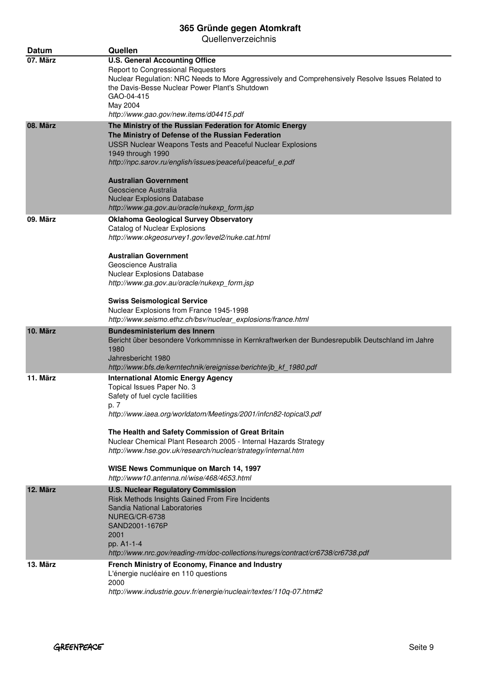| <b>Datum</b> | Quellen                                                                                                                                                                                                                                                                                                                                                                                                                                                                 |
|--------------|-------------------------------------------------------------------------------------------------------------------------------------------------------------------------------------------------------------------------------------------------------------------------------------------------------------------------------------------------------------------------------------------------------------------------------------------------------------------------|
| 07. März     | <b>U.S. General Accounting Office</b><br>Report to Congressional Requesters<br>Nuclear Regulation: NRC Needs to More Aggressively and Comprehensively Resolve Issues Related to<br>the Davis-Besse Nuclear Power Plant's Shutdown<br>GAO-04-415<br>May 2004<br>http://www.gao.gov/new.items/d04415.pdf                                                                                                                                                                  |
| 08. März     | The Ministry of the Russian Federation for Atomic Energy<br>The Ministry of Defense of the Russian Federation<br>USSR Nuclear Weapons Tests and Peaceful Nuclear Explosions<br>1949 through 1990<br>http://npc.sarov.ru/english/issues/peaceful/peaceful_e.pdf<br><b>Australian Government</b><br>Geoscience Australia<br><b>Nuclear Explosions Database</b><br>http://www.ga.gov.au/oracle/nukexp form.jsp                                                             |
| 09. März     | <b>Oklahoma Geological Survey Observatory</b><br>Catalog of Nuclear Explosions<br>http://www.okgeosurvey1.gov/level2/nuke.cat.html<br><b>Australian Government</b><br>Geoscience Australia<br>Nuclear Explosions Database<br>http://www.ga.gov.au/oracle/nukexp_form.jsp<br><b>Swiss Seismological Service</b><br>Nuclear Explosions from France 1945-1998<br>http://www.seismo.ethz.ch/bsv/nuclear_explosions/france.html                                              |
| 10. März     | <b>Bundesministerium des Innern</b><br>Bericht über besondere Vorkommnisse in Kernkraftwerken der Bundesrepublik Deutschland im Jahre<br>1980<br>Jahresbericht 1980<br>http://www.bfs.de/kerntechnik/ereignisse/berichte/jb_kf_1980.pdf                                                                                                                                                                                                                                 |
| 11. März     | <b>International Atomic Energy Agency</b><br>Topical Issues Paper No. 3<br>Safety of fuel cycle facilities<br>p. /<br>http://www.iaea.org/worldatom/Meetings/2001/infcn82-topical3.pdf<br>The Health and Safety Commission of Great Britain<br>Nuclear Chemical Plant Research 2005 - Internal Hazards Strategy<br>http://www.hse.gov.uk/research/nuclear/strategy/internal.htm<br>WISE News Communique on March 14, 1997<br>http://www10.antenna.nl/wise/468/4653.html |
| 12. März     | <b>U.S. Nuclear Regulatory Commission</b><br>Risk Methods Insights Gained From Fire Incidents<br>Sandia National Laboratories<br>NUREG/CR-6738<br>SAND2001-1676P<br>2001<br>pp. A1-1-4<br>http://www.nrc.gov/reading-rm/doc-collections/nuregs/contract/cr6738/cr6738.pdf                                                                                                                                                                                               |
| 13. März     | French Ministry of Economy, Finance and Industry<br>L'énergie nucléaire en 110 questions<br>2000<br>http://www.industrie.gouv.fr/energie/nucleair/textes/110q-07.htm#2                                                                                                                                                                                                                                                                                                  |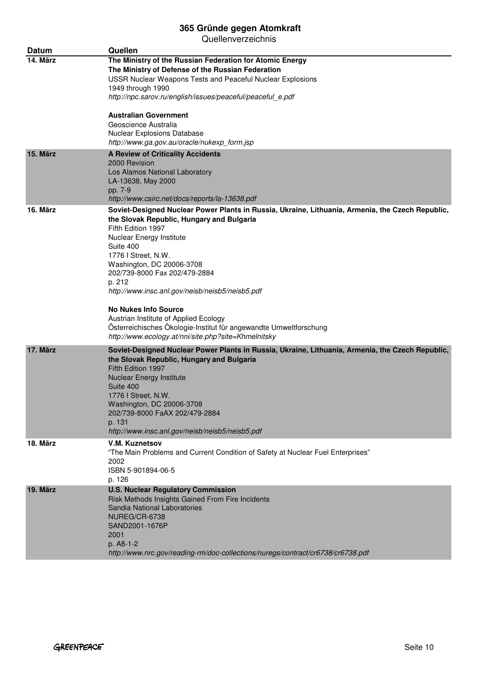| Datum    | Quellen                                                                                                                                                                                                                                                                                                                                                                                                                                                                                                                                                            |
|----------|--------------------------------------------------------------------------------------------------------------------------------------------------------------------------------------------------------------------------------------------------------------------------------------------------------------------------------------------------------------------------------------------------------------------------------------------------------------------------------------------------------------------------------------------------------------------|
| 14. März | The Ministry of the Russian Federation for Atomic Energy<br>The Ministry of Defense of the Russian Federation<br><b>USSR Nuclear Weapons Tests and Peaceful Nuclear Explosions</b><br>1949 through 1990<br>http://npc.sarov.ru/english/issues/peaceful/peaceful e.pdf<br><b>Australian Government</b><br>Geoscience Australia<br>Nuclear Explosions Database<br>http://www.ga.gov.au/oracle/nukexp_form.jsp                                                                                                                                                        |
| 15. März | <b>A Review of Criticality Accidents</b><br>2000 Revision<br>Los Alamos National Laboratory<br>LA-13638, May 2000<br>pp. 7-9<br>http://www.csirc.net/docs/reports/la-13638.pdf                                                                                                                                                                                                                                                                                                                                                                                     |
| 16. März | Soviet-Designed Nuclear Power Plants in Russia, Ukraine, Lithuania, Armenia, the Czech Republic,<br>the Slovak Republic, Hungary and Bulgaria<br>Fifth Edition 1997<br>Nuclear Energy Institute<br>Suite 400<br>1776   Street, N.W.<br>Washington, DC 20006-3708<br>202/739-8000 Fax 202/479-2884<br>p. 212<br>http://www.insc.anl.gov/neisb/neisb5/neisb5.pdf<br><b>No Nukes Info Source</b><br>Austrian Institute of Applied Ecology<br>Österreichisches Ökologie-Institut für angewandte Umweltforschung<br>http://www.ecology.at/nni/site.php?site=Khmelnitsky |
| 17. März | Soviet-Designed Nuclear Power Plants in Russia, Ukraine, Lithuania, Armenia, the Czech Republic,<br>the Slovak Republic, Hungary and Bulgaria<br>Fifth Edition 1997<br><b>Nuclear Energy Institute</b><br>Suite 400<br>1776   Street, N.W.<br>Washington, DC 20006-3708<br>202/739-8000 FaAX 202/479-2884<br>p. 131<br>http://www.insc.anl.gov/neisb/neisb5/neisb5.pdf                                                                                                                                                                                             |
| 18. März | V.M. Kuznetsov<br>"The Main Problems and Current Condition of Safety at Nuclear Fuel Enterprises"<br>2002<br>ISBN 5-901894-06-5<br>p. 126                                                                                                                                                                                                                                                                                                                                                                                                                          |
| 19. März | <b>U.S. Nuclear Regulatory Commission</b><br>Risk Methods Insights Gained From Fire Incidents<br>Sandia National Laboratories<br>NUREG/CR-6738<br>SAND2001-1676P<br>2001<br>p. A8-1-2<br>http://www.nrc.gov/reading-rm/doc-collections/nuregs/contract/cr6738/cr6738.pdf                                                                                                                                                                                                                                                                                           |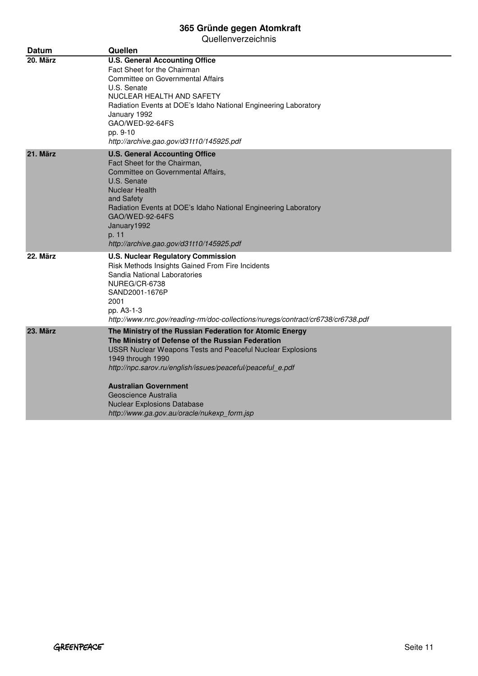| Datum    | Quellen                                                                                                                                                                                                                                                                                                                                                                                                            |
|----------|--------------------------------------------------------------------------------------------------------------------------------------------------------------------------------------------------------------------------------------------------------------------------------------------------------------------------------------------------------------------------------------------------------------------|
| 20. März | <b>U.S. General Accounting Office</b><br>Fact Sheet for the Chairman<br>Committee on Governmental Affairs<br>U.S. Senate<br>NUCLEAR HEALTH AND SAFETY<br>Radiation Events at DOE's Idaho National Engineering Laboratory<br>January 1992<br>GAO/WED-92-64FS<br>pp. 9-10<br>http://archive.gao.gov/d31t10/145925.pdf                                                                                                |
| 21. März | <b>U.S. General Accounting Office</b><br>Fact Sheet for the Chairman,<br>Committee on Governmental Affairs,<br>U.S. Senate<br><b>Nuclear Health</b><br>and Safety<br>Radiation Events at DOE's Idaho National Engineering Laboratory<br>GAO/WED-92-64FS<br>January1992<br>p. 11<br>http://archive.gao.gov/d31t10/145925.pdf                                                                                        |
| 22. März | <b>U.S. Nuclear Regulatory Commission</b><br>Risk Methods Insights Gained From Fire Incidents<br>Sandia National Laboratories<br>NUREG/CR-6738<br>SAND2001-1676P<br>2001<br>pp. A3-1-3<br>http://www.nrc.gov/reading-rm/doc-collections/nuregs/contract/cr6738/cr6738.pdf                                                                                                                                          |
| 23. März | The Ministry of the Russian Federation for Atomic Energy<br>The Ministry of Defense of the Russian Federation<br><b>USSR Nuclear Weapons Tests and Peaceful Nuclear Explosions</b><br>1949 through 1990<br>http://npc.sarov.ru/english/issues/peaceful/peaceful_e.pdf<br><b>Australian Government</b><br>Geoscience Australia<br><b>Nuclear Explosions Database</b><br>http://www.ga.gov.au/oracle/nukexp_form.jsp |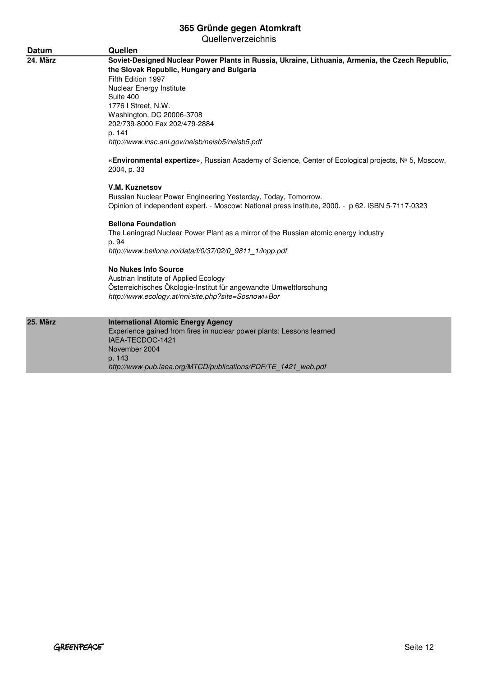| <b>Datum</b> | Quellen                                                                                                                                                                                                                                                                                                                                                                                                                                                                             |
|--------------|-------------------------------------------------------------------------------------------------------------------------------------------------------------------------------------------------------------------------------------------------------------------------------------------------------------------------------------------------------------------------------------------------------------------------------------------------------------------------------------|
| 24. März     | Soviet-Designed Nuclear Power Plants in Russia, Ukraine, Lithuania, Armenia, the Czech Republic,<br>the Slovak Republic, Hungary and Bulgaria<br>Fifth Edition 1997<br>Nuclear Energy Institute<br>Suite 400<br>1776   Street, N.W.<br>Washington, DC 20006-3708<br>202/739-8000 Fax 202/479-2884<br>p. 141<br>http://www.insc.anl.gov/neisb/neisb5/neisb5.pdf<br>«Environmental expertize», Russian Academy of Science, Center of Ecological projects, № 5, Moscow,<br>2004, p. 33 |
|              | V.M. Kuznetsov<br>Russian Nuclear Power Engineering Yesterday, Today, Tomorrow.<br>Opinion of independent expert. - Moscow: National press institute, 2000. - p 62. ISBN 5-7117-0323<br><b>Bellona Foundation</b><br>The Leningrad Nuclear Power Plant as a mirror of the Russian atomic energy industry<br>p. 94<br>http://www.bellona.no/data/f/0/37/02/0 9811 1/Inpp.pdf                                                                                                         |
|              | <b>No Nukes Info Source</b><br>Austrian Institute of Applied Ecology<br>Österreichisches Ökologie-Institut für angewandte Umweltforschung<br>http://www.ecology.at/nni/site.php?site=Sosnowi+Bor                                                                                                                                                                                                                                                                                    |
| 25. März     | <b>International Atomic Energy Agency</b><br>Experience gained from fires in nuclear power plants: Lessons learned<br>IAEA-TECDOC-1421<br>November 2004<br>p. 143<br>http://www-pub.iaea.org/MTCD/publications/PDF/TE 1421 web.pdf                                                                                                                                                                                                                                                  |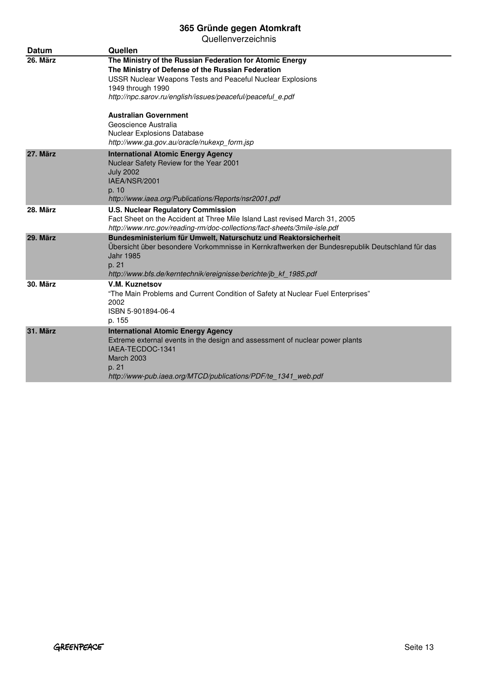| Datum    | Quellen                                                                                                                                                                                                                                                                                                                                                                                                     |
|----------|-------------------------------------------------------------------------------------------------------------------------------------------------------------------------------------------------------------------------------------------------------------------------------------------------------------------------------------------------------------------------------------------------------------|
| 26. März | The Ministry of the Russian Federation for Atomic Energy<br>The Ministry of Defense of the Russian Federation<br><b>USSR Nuclear Weapons Tests and Peaceful Nuclear Explosions</b><br>1949 through 1990<br>http://npc.sarov.ru/english/issues/peaceful/peaceful_e.pdf<br><b>Australian Government</b><br>Geoscience Australia<br>Nuclear Explosions Database<br>http://www.ga.gov.au/oracle/nukexp_form.jsp |
| 27. März | <b>International Atomic Energy Agency</b><br>Nuclear Safety Review for the Year 2001<br><b>July 2002</b><br>IAEA/NSR/2001<br>p. 10<br>http://www.iaea.org/Publications/Reports/nsr2001.pdf                                                                                                                                                                                                                  |
| 28. März | <b>U.S. Nuclear Regulatory Commission</b><br>Fact Sheet on the Accident at Three Mile Island Last revised March 31, 2005<br>http://www.nrc.gov/reading-rm/doc-collections/fact-sheets/3mile-isle.pdf                                                                                                                                                                                                        |
| 29. März | Bundesministerium für Umwelt, Naturschutz und Reaktorsicherheit<br>Übersicht über besondere Vorkommnisse in Kernkraftwerken der Bundesrepublik Deutschland für das<br>Jahr 1985<br>p. 21<br>http://www.bfs.de/kerntechnik/ereignisse/berichte/jb_kf_1985.pdf                                                                                                                                                |
| 30. März | V.M. Kuznetsov<br>"The Main Problems and Current Condition of Safety at Nuclear Fuel Enterprises"<br>2002<br>ISBN 5-901894-06-4<br>p. 155                                                                                                                                                                                                                                                                   |
| 31. März | <b>International Atomic Energy Agency</b><br>Extreme external events in the design and assessment of nuclear power plants<br>IAEA-TECDOC-1341<br><b>March 2003</b><br>p. 21<br>http://www-pub.iaea.org/MTCD/publications/PDF/te 1341 web.pdf                                                                                                                                                                |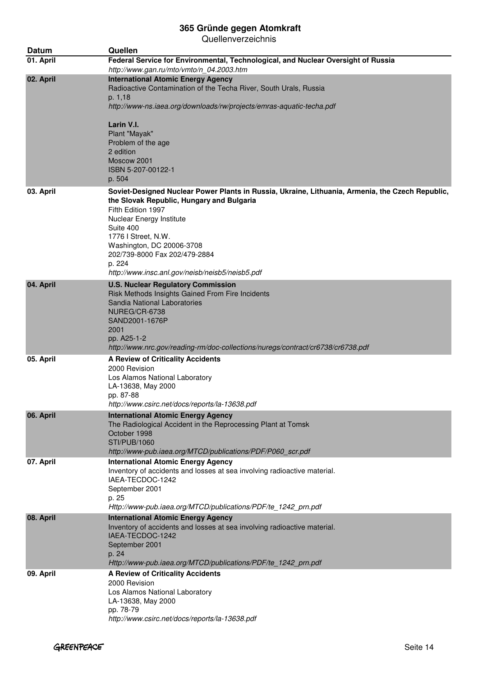| Datum     | Quellen                                                                                                                                                                                                                                                                                                                                                        |
|-----------|----------------------------------------------------------------------------------------------------------------------------------------------------------------------------------------------------------------------------------------------------------------------------------------------------------------------------------------------------------------|
| 01. April | Federal Service for Environmental, Technological, and Nuclear Oversight of Russia<br>http://www.gan.ru/mto/vmto/n_04.2003.htm                                                                                                                                                                                                                                  |
| 02. April | <b>International Atomic Energy Agency</b><br>Radioactive Contamination of the Techa River, South Urals, Russia<br>p. 1,18<br>http://www-ns.iaea.org/downloads/rw/projects/emras-aquatic-techa.pdf                                                                                                                                                              |
|           | Larin V.I.<br>Plant "Mayak"<br>Problem of the age<br>2 edition<br>Moscow 2001<br>ISBN 5-207-00122-1<br>p. 504                                                                                                                                                                                                                                                  |
| 03. April | Soviet-Designed Nuclear Power Plants in Russia, Ukraine, Lithuania, Armenia, the Czech Republic,<br>the Slovak Republic, Hungary and Bulgaria<br>Fifth Edition 1997<br>Nuclear Energy Institute<br>Suite 400<br>1776 I Street, N.W.<br>Washington, DC 20006-3708<br>202/739-8000 Fax 202/479-2884<br>p. 224<br>http://www.insc.anl.gov/neisb/neisb5/neisb5.pdf |
| 04. April | <b>U.S. Nuclear Regulatory Commission</b><br>Risk Methods Insights Gained From Fire Incidents<br>Sandia National Laboratories<br>NUREG/CR-6738<br>SAND2001-1676P<br>2001<br>pp. A25-1-2<br>http://www.nrc.gov/reading-rm/doc-collections/nuregs/contract/cr6738/cr6738.pdf                                                                                     |
| 05. April | <b>A Review of Criticality Accidents</b><br>2000 Revision<br>Los Alamos National Laboratory<br>LA-13638, May 2000<br>pp. 87-88<br>http://www.csirc.net/docs/reports/la-13638.pdf                                                                                                                                                                               |
| 06. April | <b>International Atomic Energy Agency</b><br>The Radiological Accident in the Reprocessing Plant at Tomsk<br>October 1998<br><b>STI/PUB/1060</b><br>http://www-pub.iaea.org/MTCD/publications/PDF/P060_scr.pdf                                                                                                                                                 |
| 07. April | <b>International Atomic Energy Agency</b><br>Inventory of accidents and losses at sea involving radioactive material.<br>IAEA-TECDOC-1242<br>September 2001<br>p. 25<br>Http://www-pub.iaea.org/MTCD/publications/PDF/te_1242_prn.pdf                                                                                                                          |
| 08. April | <b>International Atomic Energy Agency</b><br>Inventory of accidents and losses at sea involving radioactive material.<br>IAEA-TECDOC-1242<br>September 2001<br>p. 24<br>Http://www-pub.iaea.org/MTCD/publications/PDF/te_1242_prn.pdf                                                                                                                          |
| 09. April | A Review of Criticality Accidents<br>2000 Revision<br>Los Alamos National Laboratory<br>LA-13638, May 2000<br>pp. 78-79<br>http://www.csirc.net/docs/reports/la-13638.pdf                                                                                                                                                                                      |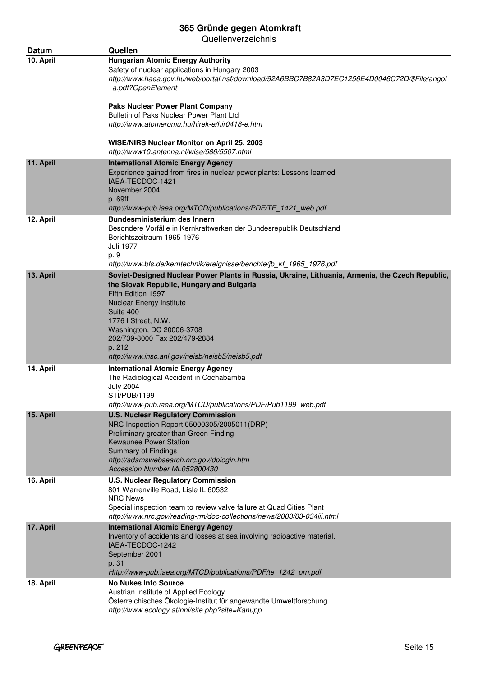| Datum     | Quellen                                                                                                                                                                                                                                                                                                                                                               |
|-----------|-----------------------------------------------------------------------------------------------------------------------------------------------------------------------------------------------------------------------------------------------------------------------------------------------------------------------------------------------------------------------|
| 10. April | <b>Hungarian Atomic Energy Authority</b><br>Safety of nuclear applications in Hungary 2003<br>http://www.haea.gov.hu/web/portal.nsf/download/92A6BBC7B82A3D7EC1256E4D0046C72D/\$File/angol<br>_a.pdf?OpenElement                                                                                                                                                      |
|           | <b>Paks Nuclear Power Plant Company</b><br>Bulletin of Paks Nuclear Power Plant Ltd<br>http://www.atomeromu.hu/hirek-e/hir0418-e.htm                                                                                                                                                                                                                                  |
|           | WISE/NIRS Nuclear Monitor on April 25, 2003<br>http://www10.antenna.nl/wise/586/5507.html                                                                                                                                                                                                                                                                             |
| 11. April | <b>International Atomic Energy Agency</b><br>Experience gained from fires in nuclear power plants: Lessons learned<br>IAEA-TECDOC-1421<br>November 2004<br>p. 69ff<br>http://www-pub.iaea.org/MTCD/publications/PDF/TE_1421_web.pdf                                                                                                                                   |
| 12. April | <b>Bundesministerium des Innern</b><br>Besondere Vorfälle in Kernkraftwerken der Bundesrepublik Deutschland<br>Berichtszeitraum 1965-1976<br>Juli 1977<br>p. 9<br>http://www.bfs.de/kerntechnik/ereignisse/berichte/jb kf 1965 1976.pdf                                                                                                                               |
| 13. April | Soviet-Designed Nuclear Power Plants in Russia, Ukraine, Lithuania, Armenia, the Czech Republic,<br>the Slovak Republic, Hungary and Bulgaria<br>Fifth Edition 1997<br><b>Nuclear Energy Institute</b><br>Suite 400<br>1776 I Street, N.W.<br>Washington, DC 20006-3708<br>202/739-8000 Fax 202/479-2884<br>p. 212<br>http://www.insc.anl.gov/neisb/neisb5/neisb5.pdf |
| 14. April | <b>International Atomic Energy Agency</b><br>The Radiological Accident in Cochabamba<br><b>July 2004</b><br>STI/PUB/1199<br>http://www-pub.iaea.org/MTCD/publications/PDF/Pub1199_web.pdf                                                                                                                                                                             |
| 15. April | <b>U.S. Nuclear Regulatory Commission</b><br>NRC Inspection Report 05000305/2005011(DRP)<br>Preliminary greater than Green Finding<br><b>Kewaunee Power Station</b><br><b>Summary of Findings</b><br>http://adamswebsearch.nrc.gov/dologin.htm<br>Accession Number ML052800430                                                                                        |
| 16. April | <b>U.S. Nuclear Regulatory Commission</b><br>801 Warrenville Road, Lisle IL 60532<br><b>NRC News</b><br>Special inspection team to review valve failure at Quad Cities Plant<br>http://www.nrc.gov/reading-rm/doc-collections/news/2003/03-034iii.html                                                                                                                |
| 17. April | <b>International Atomic Energy Agency</b><br>Inventory of accidents and losses at sea involving radioactive material.<br>IAEA-TECDOC-1242<br>September 2001<br>p. 31<br>Http://www-pub.iaea.org/MTCD/publications/PDF/te_1242_prn.pdf                                                                                                                                 |
| 18. April | <b>No Nukes Info Source</b><br>Austrian Institute of Applied Ecology<br>Österreichisches Ökologie-Institut für angewandte Umweltforschung<br>http://www.ecology.at/nni/site.php?site=Kanupp                                                                                                                                                                           |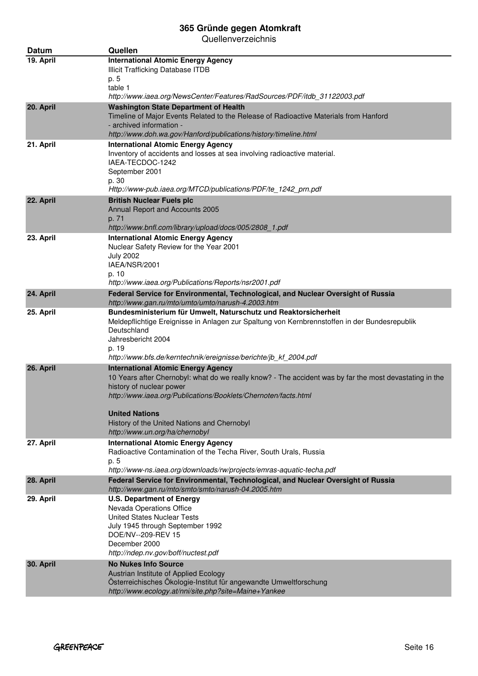| Datum     | Quellen                                                                                                                                              |
|-----------|------------------------------------------------------------------------------------------------------------------------------------------------------|
| 19. April | <b>International Atomic Energy Agency</b>                                                                                                            |
|           | Illicit Trafficking Database ITDB                                                                                                                    |
|           | p. 5<br>table 1                                                                                                                                      |
|           | http://www.iaea.org/NewsCenter/Features/RadSources/PDF/itdb_31122003.pdf                                                                             |
| 20. April | <b>Washington State Department of Health</b>                                                                                                         |
|           | Timeline of Major Events Related to the Release of Radioactive Materials from Hanford                                                                |
|           | - archived information -<br>http://www.doh.wa.gov/Hanford/publications/history/timeline.html                                                         |
| 21. April | <b>International Atomic Energy Agency</b>                                                                                                            |
|           | Inventory of accidents and losses at sea involving radioactive material.                                                                             |
|           | IAEA-TECDOC-1242                                                                                                                                     |
|           | September 2001<br>p. 30                                                                                                                              |
|           | Http://www-pub.iaea.org/MTCD/publications/PDF/te_1242_prn.pdf                                                                                        |
| 22. April | <b>British Nuclear Fuels plc</b>                                                                                                                     |
|           | Annual Report and Accounts 2005                                                                                                                      |
|           | p. 71                                                                                                                                                |
| 23. April | http://www.bnfl.com/library/upload/docs/005/2808 1.pdf<br><b>International Atomic Energy Agency</b>                                                  |
|           | Nuclear Safety Review for the Year 2001                                                                                                              |
|           | <b>July 2002</b>                                                                                                                                     |
|           | IAEA/NSR/2001                                                                                                                                        |
|           | p. 10<br>http://www.iaea.org/Publications/Reports/nsr2001.pdf                                                                                        |
| 24. April | Federal Service for Environmental, Technological, and Nuclear Oversight of Russia                                                                    |
|           | http://www.gan.ru/mto/umto/umto/narush-4.2003.htm                                                                                                    |
| 25. April | Bundesministerium für Umwelt, Naturschutz und Reaktorsicherheit                                                                                      |
|           | Meldepflichtige Ereignisse in Anlagen zur Spaltung von Kernbrennstoffen in der Bundesrepublik<br>Deutschland                                         |
|           | Jahresbericht 2004                                                                                                                                   |
|           | p. 19                                                                                                                                                |
|           | http://www.bfs.de/kerntechnik/ereignisse/berichte/jb_kf_2004.pdf                                                                                     |
| 26. April | <b>International Atomic Energy Agency</b><br>10 Years after Chernobyl: what do we really know? - The accident was by far the most devastating in the |
|           | history of nuclear power                                                                                                                             |
|           | http://www.iaea.org/Publications/Booklets/Chernoten/facts.html                                                                                       |
|           |                                                                                                                                                      |
|           | <b>United Nations</b><br>History of the United Nations and Chernobyl                                                                                 |
|           | http://www.un.org/ha/chernobyl                                                                                                                       |
| 27. April | <b>International Atomic Energy Agency</b>                                                                                                            |
|           | Radioactive Contamination of the Techa River, South Urals, Russia                                                                                    |
|           | p. 5<br>http://www-ns.iaea.org/downloads/rw/projects/emras-aquatic-techa.pdf                                                                         |
| 28. April | Federal Service for Environmental, Technological, and Nuclear Oversight of Russia                                                                    |
|           | http://www.gan.ru/mto/smto/smto/narush-04.2005.htm                                                                                                   |
| 29. April | <b>U.S. Department of Energy</b>                                                                                                                     |
|           | Nevada Operations Office<br><b>United States Nuclear Tests</b>                                                                                       |
|           | July 1945 through September 1992                                                                                                                     |
|           | DOE/NV--209-REV 15                                                                                                                                   |
|           | December 2000                                                                                                                                        |
|           | http://ndep.nv.gov/boff/nuctest.pdf<br><b>No Nukes Info Source</b>                                                                                   |
| 30. April | Austrian Institute of Applied Ecology                                                                                                                |
|           | Österreichisches Ökologie-Institut für angewandte Umweltforschung                                                                                    |
|           | http://www.ecology.at/nni/site.php?site=Maine+Yankee                                                                                                 |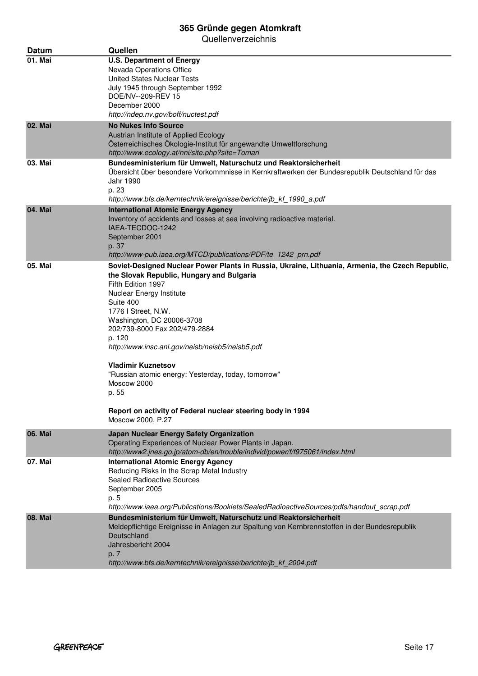| Datum   | Quellen                                                                                                                                                                                                                                                                                                                                                                                                                                                                                                                                                        |
|---------|----------------------------------------------------------------------------------------------------------------------------------------------------------------------------------------------------------------------------------------------------------------------------------------------------------------------------------------------------------------------------------------------------------------------------------------------------------------------------------------------------------------------------------------------------------------|
| 01. Mai | <b>U.S. Department of Energy</b><br>Nevada Operations Office<br>United States Nuclear Tests<br>July 1945 through September 1992<br>DOE/NV--209-REV 15<br>December 2000<br>http://ndep.nv.gov/boff/nuctest.pdf                                                                                                                                                                                                                                                                                                                                                  |
| 02. Mai | <b>No Nukes Info Source</b><br>Austrian Institute of Applied Ecology<br>Österreichisches Ökologie-Institut für angewandte Umweltforschung<br>http://www.ecology.at/nni/site.php?site=Tomari                                                                                                                                                                                                                                                                                                                                                                    |
| 03. Mai | Bundesministerium für Umwelt, Naturschutz und Reaktorsicherheit<br>Übersicht über besondere Vorkommnisse in Kernkraftwerken der Bundesrepublik Deutschland für das<br>Jahr 1990<br>p. 23<br>http://www.bfs.de/kerntechnik/ereignisse/berichte/jb_kf_1990_a.pdf                                                                                                                                                                                                                                                                                                 |
| 04. Mai | <b>International Atomic Energy Agency</b><br>Inventory of accidents and losses at sea involving radioactive material.<br>IAEA-TECDOC-1242<br>September 2001<br>p. 37<br>http://www-pub.iaea.org/MTCD/publications/PDF/te_1242_prn.pdf                                                                                                                                                                                                                                                                                                                          |
| 05. Mai | Soviet-Designed Nuclear Power Plants in Russia, Ukraine, Lithuania, Armenia, the Czech Republic,<br>the Slovak Republic, Hungary and Bulgaria<br>Fifth Edition 1997<br>Nuclear Energy Institute<br>Suite 400<br>1776 I Street, N.W.<br>Washington, DC 20006-3708<br>202/739-8000 Fax 202/479-2884<br>p. 120<br>http://www.insc.anl.gov/neisb/neisb5/neisb5.pdf<br><b>Vladimir Kuznetsov</b><br>"Russian atomic energy: Yesterday, today, tomorrow"<br>Moscow 2000<br>p. 55<br>Report on activity of Federal nuclear steering body in 1994<br>Moscow 2000, P.27 |
| 06. Mai | <b>Japan Nuclear Energy Safety Organization</b><br>Operating Experiences of Nuclear Power Plants in Japan.<br>http://www2.jnes.go.jp/atom-db/en/trouble/individ/power/f/f975061/index.html                                                                                                                                                                                                                                                                                                                                                                     |
| 07. Mai | <b>International Atomic Energy Agency</b><br>Reducing Risks in the Scrap Metal Industry<br><b>Sealed Radioactive Sources</b><br>September 2005<br>p. 5<br>http://www.iaea.org/Publications/Booklets/SealedRadioactiveSources/pdfs/handout_scrap.pdf                                                                                                                                                                                                                                                                                                            |
| 08. Mai | Bundesministerium für Umwelt, Naturschutz und Reaktorsicherheit<br>Meldepflichtige Ereignisse in Anlagen zur Spaltung von Kernbrennstoffen in der Bundesrepublik<br>Deutschland<br>Jahresbericht 2004<br>p. 7<br>http://www.bfs.de/kerntechnik/ereignisse/berichte/jb_kf_2004.pdf                                                                                                                                                                                                                                                                              |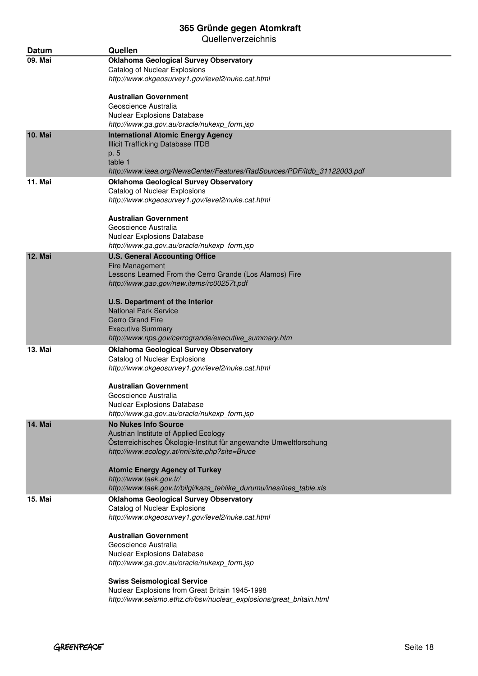| <b>Datum</b>   | Quellen                                                                                                                                                                                    |
|----------------|--------------------------------------------------------------------------------------------------------------------------------------------------------------------------------------------|
| 09. Mai        | <b>Oklahoma Geological Survey Observatory</b><br>Catalog of Nuclear Explosions<br>http://www.okgeosurvey1.gov/level2/nuke.cat.html                                                         |
|                | Australian Government<br>Geoscience Australia<br>Nuclear Explosions Database<br>http://www.ga.gov.au/oracle/nukexp_form.jsp                                                                |
| <b>10. Mai</b> | <b>International Atomic Energy Agency</b><br><b>Illicit Trafficking Database ITDB</b><br>p. 5<br>table 1<br>http://www.iaea.org/NewsCenter/Features/RadSources/PDF/itdb_31122003.pdf       |
| <b>11. Mai</b> | <b>Oklahoma Geological Survey Observatory</b><br>Catalog of Nuclear Explosions<br>http://www.okgeosurvey1.gov/level2/nuke.cat.html                                                         |
|                | Australian Government<br>Geoscience Australia<br>Nuclear Explosions Database<br>http://www.ga.gov.au/oracle/nukexp_form.jsp                                                                |
| <b>12. Mai</b> | <b>U.S. General Accounting Office</b><br><b>Fire Management</b><br>Lessons Learned From the Cerro Grande (Los Alamos) Fire<br>http://www.gao.gov/new.items/rc00257t.pdf                    |
|                | U.S. Department of the Interior<br>National Park Service<br><b>Cerro Grand Fire</b><br><b>Executive Summary</b><br>http://www.nps.gov/cerrogrande/executive_summary.htm                    |
| 13. Mai        | <b>Oklahoma Geological Survey Observatory</b><br>Catalog of Nuclear Explosions<br>http://www.okgeosurvey1.gov/level2/nuke.cat.html                                                         |
|                | Australian Government<br>Geoscience Australia<br>Nuclear Explosions Database<br>http://www.ga.gov.au/oracle/nukexp_form.jsp                                                                |
| 14. Mai        | <b>No Nukes Info Source</b><br>Austrian Institute of Applied Ecology<br>Österreichisches Ökologie-Institut für angewandte Umweltforschung<br>http://www.ecology.at/nni/site.php?site=Bruce |
|                | <b>Atomic Energy Agency of Turkey</b><br>http://www.taek.gov.tr/<br>http://www.taek.gov.tr/bilgi/kaza_tehlike_durumu/ines/ines_table.xls                                                   |
| 15. Mai        | <b>Oklahoma Geological Survey Observatory</b><br>Catalog of Nuclear Explosions<br>http://www.okgeosurvey1.gov/level2/nuke.cat.html                                                         |
|                | <b>Australian Government</b><br>Geoscience Australia<br>Nuclear Explosions Database<br>http://www.ga.gov.au/oracle/nukexp_form.jsp                                                         |
|                | <b>Swiss Seismological Service</b><br>Nuclear Explosions from Great Britain 1945-1998<br>http://www.seismo.ethz.ch/bsv/nuclear_explosions/great_britain.html                               |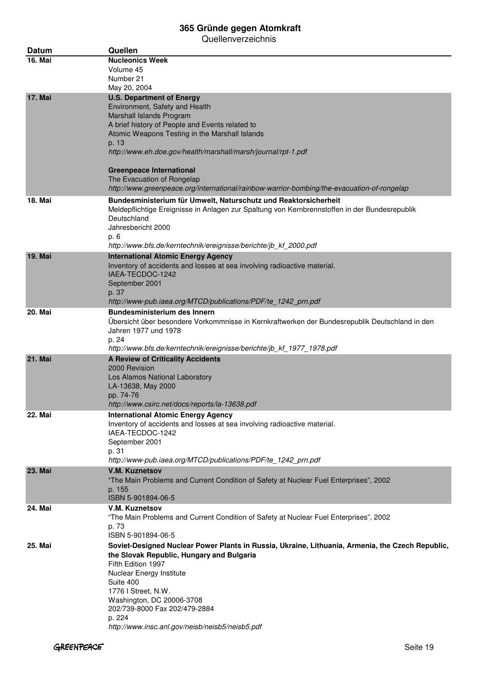| Datum          | Quellen                                                                                              |
|----------------|------------------------------------------------------------------------------------------------------|
| 16. Mai        | <b>Nucleonics Week</b>                                                                               |
|                | Volume 45                                                                                            |
|                | Number 21                                                                                            |
|                | May 20, 2004                                                                                         |
| <b>17. Mai</b> | <b>U.S. Department of Energy</b>                                                                     |
|                | Environment, Safety and Health                                                                       |
|                | Marshall Islands Program<br>A brief history of People and Events related to                          |
|                | Atomic Weapons Testing in the Marshall Islands                                                       |
|                | p. 13                                                                                                |
|                | http://www.eh.doe.gov/health/marshall/marsh/journal/rpt-1.pdf                                        |
|                |                                                                                                      |
|                | <b>Greenpeace International</b>                                                                      |
|                | The Evacuation of Rongelap                                                                           |
|                | http://www.greenpeace.org/international/rainbow-warrior-bombing/the-evacuation-of-rongelap           |
| <b>18. Mai</b> | Bundesministerium für Umwelt, Naturschutz und Reaktorsicherheit                                      |
|                | Meldepflichtige Ereignisse in Anlagen zur Spaltung von Kernbrennstoffen in der Bundesrepublik        |
|                | Deutschland<br>Jahresbericht 2000                                                                    |
|                | p. 6                                                                                                 |
|                | http://www.bfs.de/kerntechnik/ereignisse/berichte/jb_kf_2000.pdf                                     |
| <b>19. Mai</b> | <b>International Atomic Energy Agency</b>                                                            |
|                | Inventory of accidents and losses at sea involving radioactive material.                             |
|                | IAEA-TECDOC-1242                                                                                     |
|                | September 2001                                                                                       |
|                | p. 37                                                                                                |
|                | http://www-pub.iaea.org/MTCD/publications/PDF/te_1242_prn.pdf<br><b>Bundesministerium des Innern</b> |
| <b>20. Mai</b> | Übersicht über besondere Vorkommnisse in Kernkraftwerken der Bundesrepublik Deutschland in den       |
|                | Jahren 1977 und 1978                                                                                 |
|                | p. 24                                                                                                |
|                | http://www.bfs.de/kerntechnik/ereignisse/berichte/jb_kf_1977_1978.pdf                                |
| <b>21. Mai</b> | A Review of Criticality Accidents                                                                    |
|                | 2000 Revision                                                                                        |
|                | Los Alamos National Laboratory                                                                       |
|                | LA-13638, May 2000<br>pp. 74-76                                                                      |
|                | http://www.csirc.net/docs/reports/la-13638.pdf                                                       |
| 22. Mai        | <b>International Atomic Energy Agency</b>                                                            |
|                | Inventory of accidents and losses at sea involving radioactive material.                             |
|                | IAEA-TECDOC-1242                                                                                     |
|                | September 2001                                                                                       |
|                | p. 31                                                                                                |
|                | http://www-pub.iaea.org/MTCD/publications/PDF/te_1242_prn.pdf                                        |
| <b>23. Mai</b> | <b>V.M. Kuznetsov</b>                                                                                |
|                | "The Main Problems and Current Condition of Safety at Nuclear Fuel Enterprises", 2002                |
|                | p. 155<br>ISBN 5-901894-06-5                                                                         |
| 24. Mai        | V.M. Kuznetsov                                                                                       |
|                | "The Main Problems and Current Condition of Safety at Nuclear Fuel Enterprises", 2002                |
|                | p. 73                                                                                                |
|                | ISBN 5-901894-06-5                                                                                   |
| 25. Mai        | Soviet-Designed Nuclear Power Plants in Russia, Ukraine, Lithuania, Armenia, the Czech Republic,     |
|                | the Slovak Republic, Hungary and Bulgaria                                                            |
|                | Fifth Edition 1997                                                                                   |
|                | Nuclear Energy Institute<br>Suite 400                                                                |
|                | 1776 I Street, N.W.                                                                                  |
|                | Washington, DC 20006-3708                                                                            |
|                | 202/739-8000 Fax 202/479-2884                                                                        |
|                | p. 224                                                                                               |
|                | http://www.insc.anl.gov/neisb/neisb5/neisb5.pdf                                                      |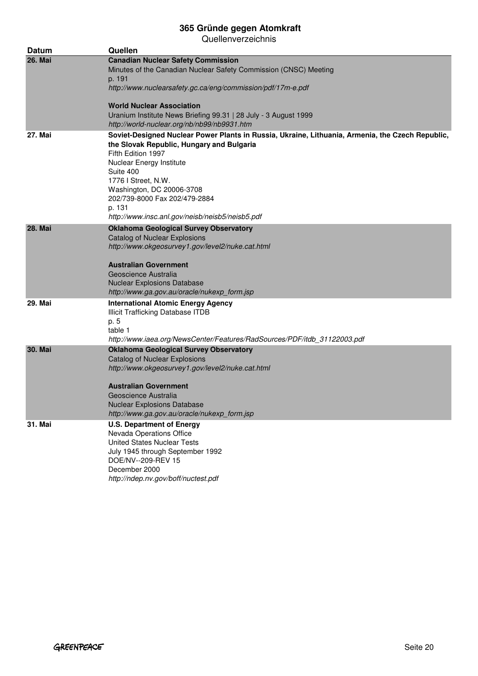| <b>Datum</b>   | Quellen                                                                                                                                                                                                                                                                                                                                                    |
|----------------|------------------------------------------------------------------------------------------------------------------------------------------------------------------------------------------------------------------------------------------------------------------------------------------------------------------------------------------------------------|
| <b>26. Mai</b> | <b>Canadian Nuclear Safety Commission</b><br>Minutes of the Canadian Nuclear Safety Commission (CNSC) Meeting<br>p. 191<br>http://www.nuclearsafety.gc.ca/eng/commission/pdf/17m-e.pdf<br><b>World Nuclear Association</b><br>Uranium Institute News Briefing 99.31   28 July - 3 August 1999                                                              |
| <b>27. Mai</b> | http://world-nuclear.org/nb/nb99/nb9931.htm<br>Soviet-Designed Nuclear Power Plants in Russia, Ukraine, Lithuania, Armenia, the Czech Republic,<br>the Slovak Republic, Hungary and Bulgaria<br>Fifth Edition 1997<br>Nuclear Energy Institute<br>Suite 400<br>1776 I Street, N.W.<br>Washington, DC 20006-3708<br>202/739-8000 Fax 202/479-2884<br>p. 131 |
| <b>28. Mai</b> | http://www.insc.anl.gov/neisb/neisb5/neisb5.pdf<br><b>Oklahoma Geological Survey Observatory</b><br><b>Catalog of Nuclear Explosions</b><br>http://www.okgeosurvey1.gov/level2/nuke.cat.html<br><b>Australian Government</b><br>Geoscience Australia<br><b>Nuclear Explosions Database</b><br>http://www.ga.gov.au/oracle/nukexp_form.jsp                  |
| 29. Mai        | <b>International Atomic Energy Agency</b><br><b>Illicit Trafficking Database ITDB</b><br>p. 5<br>table 1<br>http://www.iaea.org/NewsCenter/Features/RadSources/PDF/itdb_31122003.pdf                                                                                                                                                                       |
| <b>30. Mai</b> | <b>Oklahoma Geological Survey Observatory</b><br><b>Catalog of Nuclear Explosions</b><br>http://www.okgeosurvey1.gov/level2/nuke.cat.html<br>Australian Government<br>Geoscience Australia<br><b>Nuclear Explosions Database</b><br>http://www.ga.gov.au/oracle/nukexp_form.jsp                                                                            |
| 31. Mai        | <b>U.S. Department of Energy</b><br>Nevada Operations Office<br><b>United States Nuclear Tests</b><br>July 1945 through September 1992<br>DOE/NV--209-REV 15<br>December 2000<br>http://ndep.nv.gov/boff/nuctest.pdf                                                                                                                                       |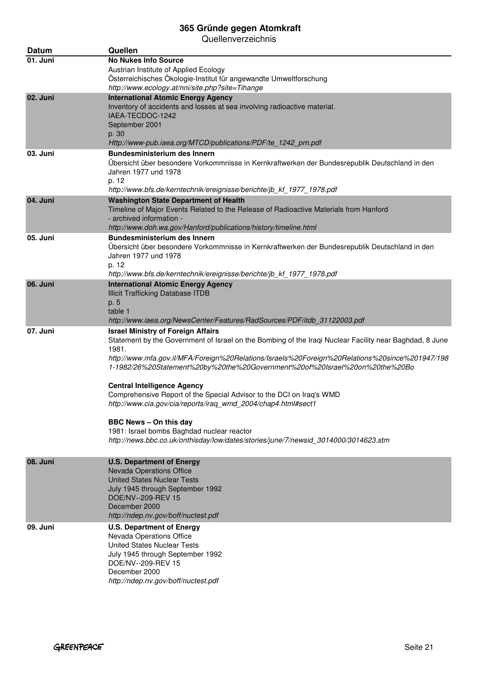| Datum    | Quellen                                                                                                                               |
|----------|---------------------------------------------------------------------------------------------------------------------------------------|
| 01. Juni | <b>No Nukes Info Source</b>                                                                                                           |
|          | Austrian Institute of Applied Ecology                                                                                                 |
|          | Österreichisches Ökologie-Institut für angewandte Umweltforschung                                                                     |
| 02. Juni | http://www.ecology.at/nni/site.php?site=Tihange<br><b>International Atomic Energy Agency</b>                                          |
|          | Inventory of accidents and losses at sea involving radioactive material.                                                              |
|          | IAEA-TECDOC-1242                                                                                                                      |
|          | September 2001                                                                                                                        |
|          | p. 30                                                                                                                                 |
|          | Http://www-pub.iaea.org/MTCD/publications/PDF/te_1242_prn.pdf                                                                         |
| 03. Juni | <b>Bundesministerium des Innern</b><br>Übersicht über besondere Vorkommnisse in Kernkraftwerken der Bundesrepublik Deutschland in den |
|          | Jahren 1977 und 1978                                                                                                                  |
|          | p. 12                                                                                                                                 |
|          | http://www.bfs.de/kerntechnik/ereignisse/berichte/jb_kf_1977_1978.pdf                                                                 |
| 04. Juni | <b>Washington State Department of Health</b>                                                                                          |
|          | Timeline of Major Events Related to the Release of Radioactive Materials from Hanford                                                 |
|          | - archived information -<br>http://www.doh.wa.gov/Hanford/publications/history/timeline.html                                          |
| 05. Juni | <b>Bundesministerium des Innern</b>                                                                                                   |
|          | Übersicht über besondere Vorkommnisse in Kernkraftwerken der Bundesrepublik Deutschland in den                                        |
|          | Jahren 1977 und 1978                                                                                                                  |
|          | p. 12                                                                                                                                 |
|          | http://www.bfs.de/kerntechnik/ereignisse/berichte/jb_kf_1977_1978.pdf                                                                 |
| 06. Juni | <b>International Atomic Energy Agency</b><br><b>Illicit Trafficking Database ITDB</b>                                                 |
|          | p. 5                                                                                                                                  |
|          | table 1                                                                                                                               |
|          | http://www.iaea.org/NewsCenter/Features/RadSources/PDF/itdb_31122003.pdf                                                              |
| 07. Juni | <b>Israel Ministry of Foreign Affairs</b>                                                                                             |
|          | Statement by the Government of Israel on the Bombing of the Iraqi Nuclear Facility near Baghdad, 8 June<br>1981.                      |
|          | http://www.mfa.gov.il/MFA/Foreign%20Relations/Israels%20Foreign%20Relations%20since%201947/198                                        |
|          | 1-1982/26%20Statement%20by%20the%20Government%20of%20Israel%20on%20the%20Bo                                                           |
|          |                                                                                                                                       |
|          | <b>Central Intelligence Agency</b><br>Comprehensive Report of the Special Advisor to the DCI on Iraq's WMD                            |
|          | http://www.cia.gov/cia/reports/iraq_wmd_2004/chap4.html#sect1                                                                         |
|          |                                                                                                                                       |
|          | <b>BBC News - On this day</b>                                                                                                         |
|          | 1981: Israel bombs Baghdad nuclear reactor                                                                                            |
|          | http://news.bbc.co.uk/onthisday/low/dates/stories/june/7/newsid 3014000/3014623.stm                                                   |
| 08. Juni | <b>U.S. Department of Energy</b>                                                                                                      |
|          | <b>Nevada Operations Office</b>                                                                                                       |
|          | <b>United States Nuclear Tests</b>                                                                                                    |
|          | July 1945 through September 1992                                                                                                      |
|          | DOE/NV--209-REV 15<br>December 2000                                                                                                   |
|          | http://ndep.nv.gov/boff/nuctest.pdf                                                                                                   |
| 09. Juni | <b>U.S. Department of Energy</b>                                                                                                      |
|          | Nevada Operations Office                                                                                                              |
|          | <b>United States Nuclear Tests</b>                                                                                                    |
|          | July 1945 through September 1992                                                                                                      |
|          | DOE/NV--209-REV 15<br>December 2000                                                                                                   |
|          | http://ndep.nv.gov/boff/nuctest.pdf                                                                                                   |
|          |                                                                                                                                       |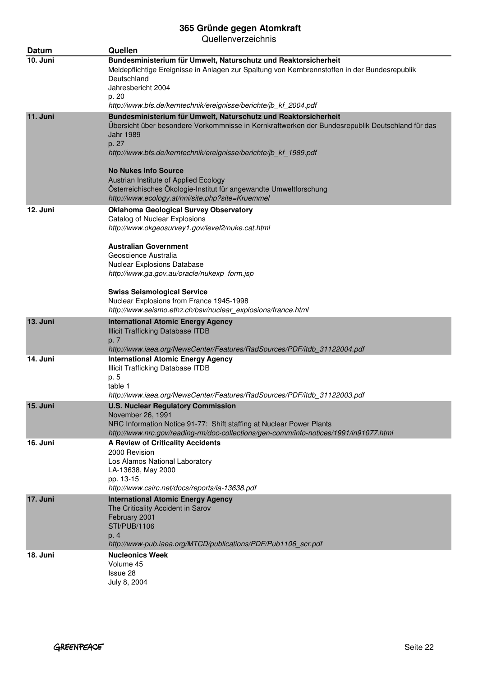| Datum    | Quellen                                                                                                                                                                                                                                                                                                                                     |
|----------|---------------------------------------------------------------------------------------------------------------------------------------------------------------------------------------------------------------------------------------------------------------------------------------------------------------------------------------------|
| 10. Juni | Bundesministerium für Umwelt, Naturschutz und Reaktorsicherheit<br>Meldepflichtige Ereignisse in Anlagen zur Spaltung von Kernbrennstoffen in der Bundesrepublik<br>Deutschland<br>Jahresbericht 2004                                                                                                                                       |
|          | p. 20<br>http://www.bfs.de/kerntechnik/ereignisse/berichte/jb_kf_2004.pdf                                                                                                                                                                                                                                                                   |
| 11. Juni | Bundesministerium für Umwelt, Naturschutz und Reaktorsicherheit<br>Übersicht über besondere Vorkommnisse in Kernkraftwerken der Bundesrepublik Deutschland für das<br><b>Jahr 1989</b><br>p. 27<br>http://www.bfs.de/kerntechnik/ereignisse/berichte/jb_kf_1989.pdf<br><b>No Nukes Info Source</b><br>Austrian Institute of Applied Ecology |
|          | Österreichisches Ökologie-Institut für angewandte Umweltforschung<br>http://www.ecology.at/nni/site.php?site=Kruemmel                                                                                                                                                                                                                       |
| 12. Juni | <b>Oklahoma Geological Survey Observatory</b><br>Catalog of Nuclear Explosions<br>http://www.okgeosurvey1.gov/level2/nuke.cat.html<br><b>Australian Government</b><br>Geoscience Australia<br>Nuclear Explosions Database<br>http://www.ga.gov.au/oracle/nukexp_form.jsp                                                                    |
|          | <b>Swiss Seismological Service</b><br>Nuclear Explosions from France 1945-1998<br>http://www.seismo.ethz.ch/bsv/nuclear_explosions/france.html                                                                                                                                                                                              |
| 13. Juni | <b>International Atomic Energy Agency</b><br><b>Illicit Trafficking Database ITDB</b><br>p. 7                                                                                                                                                                                                                                               |
| 14. Juni | http://www.iaea.org/NewsCenter/Features/RadSources/PDF/itdb_31122004.pdf<br><b>International Atomic Energy Agency</b><br>Illicit Trafficking Database ITDB<br>p. 5<br>table 1<br>http://www.iaea.org/NewsCenter/Features/RadSources/PDF/itdb_31122003.pdf                                                                                   |
| 15. Juni | U.S. Nuclear Regulatory Commission<br>November 26, 1991<br>NRC Information Notice 91-77: Shift staffing at Nuclear Power Plants<br>http://www.nrc.gov/reading-rm/doc-collections/gen-comm/info-notices/1991/in91077.html                                                                                                                    |
| 16. Juni | <b>A Review of Criticality Accidents</b><br>2000 Revision<br>Los Alamos National Laboratory<br>LA-13638, May 2000<br>pp. 13-15<br>http://www.csirc.net/docs/reports/la-13638.pdf                                                                                                                                                            |
| 17. Juni | <b>International Atomic Energy Agency</b><br>The Criticality Accident in Sarov<br>February 2001<br><b>STI/PUB/1106</b><br>p. 4<br>http://www-pub.iaea.org/MTCD/publications/PDF/Pub1106_scr.pdf                                                                                                                                             |
| 18. Juni | <b>Nucleonics Week</b><br>Volume 45<br>Issue 28<br>July 8, 2004                                                                                                                                                                                                                                                                             |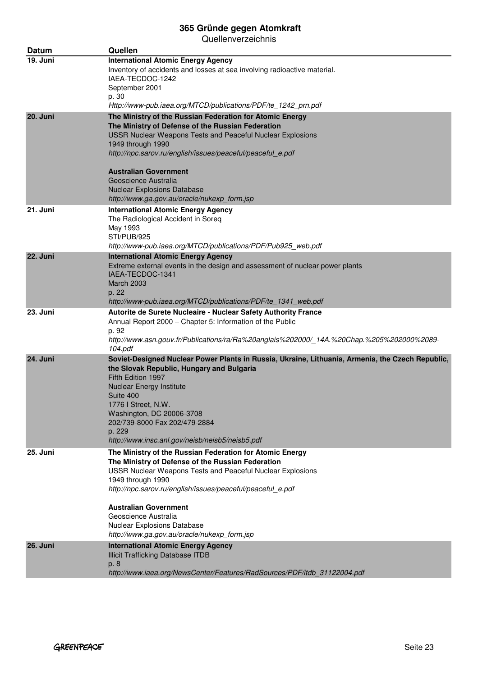| Datum    | Quellen                                                                                                                                                                                                                                                                                                                                                                                              |
|----------|------------------------------------------------------------------------------------------------------------------------------------------------------------------------------------------------------------------------------------------------------------------------------------------------------------------------------------------------------------------------------------------------------|
| 19. Juni | <b>International Atomic Energy Agency</b><br>Inventory of accidents and losses at sea involving radioactive material.<br>IAEA-TECDOC-1242<br>September 2001<br>p. 30<br>Http://www-pub.iaea.org/MTCD/publications/PDF/te_1242_prn.pdf                                                                                                                                                                |
| 20. Juni | The Ministry of the Russian Federation for Atomic Energy<br>The Ministry of Defense of the Russian Federation<br>USSR Nuclear Weapons Tests and Peaceful Nuclear Explosions<br>1949 through 1990<br>http://npc.sarov.ru/english/issues/peaceful/peaceful e.pdf<br>Australian Government<br>Geoscience Australia<br><b>Nuclear Explosions Database</b><br>http://www.ga.gov.au/oracle/nukexp_form.jsp |
| 21. Juni | <b>International Atomic Energy Agency</b><br>The Radiological Accident in Soreq<br>May 1993<br>STI/PUB/925<br>http://www-pub.iaea.org/MTCD/publications/PDF/Pub925 web.pdf                                                                                                                                                                                                                           |
| 22. Juni | <b>International Atomic Energy Agency</b><br>Extreme external events in the design and assessment of nuclear power plants<br>IAEA-TECDOC-1341<br><b>March 2003</b><br>p. 22<br>http://www-pub.iaea.org/MTCD/publications/PDF/te_1341_web.pdf                                                                                                                                                         |
| 23. Juni | Autorite de Surete Nucleaire - Nuclear Safety Authority France<br>Annual Report 2000 - Chapter 5: Information of the Public<br>p. 92<br>http://www.asn.gouv.fr/Publications/ra/Ra%20anglais%202000/_14A.%20Chap.%205%202000%2089-<br>104.pdf                                                                                                                                                         |
| 24. Juni | Soviet-Designed Nuclear Power Plants in Russia, Ukraine, Lithuania, Armenia, the Czech Republic,<br>the Slovak Republic, Hungary and Bulgaria<br>Fifth Edition 1997<br><b>Nuclear Energy Institute</b><br>Suite 400<br>1776   Street, N.W.<br>Washington, DC 20006-3708<br>202/739-8000 Fax 202/479-2884<br>p. 229<br>http://www.insc.anl.gov/neisb/neisb5/neisb5.pdf                                |
| 25. Juni | The Ministry of the Russian Federation for Atomic Energy<br>The Ministry of Defense of the Russian Federation<br><b>USSR Nuclear Weapons Tests and Peaceful Nuclear Explosions</b><br>1949 through 1990<br>http://npc.sarov.ru/english/issues/peaceful/peaceful_e.pdf<br>Australian Government<br>Geoscience Australia<br>Nuclear Explosions Database<br>http://www.ga.gov.au/oracle/nukexp_form.jsp |
| 26. Juni | <b>International Atomic Energy Agency</b><br><b>Illicit Trafficking Database ITDB</b><br>p. 8<br>http://www.iaea.org/NewsCenter/Features/RadSources/PDF/itdb_31122004.pdf                                                                                                                                                                                                                            |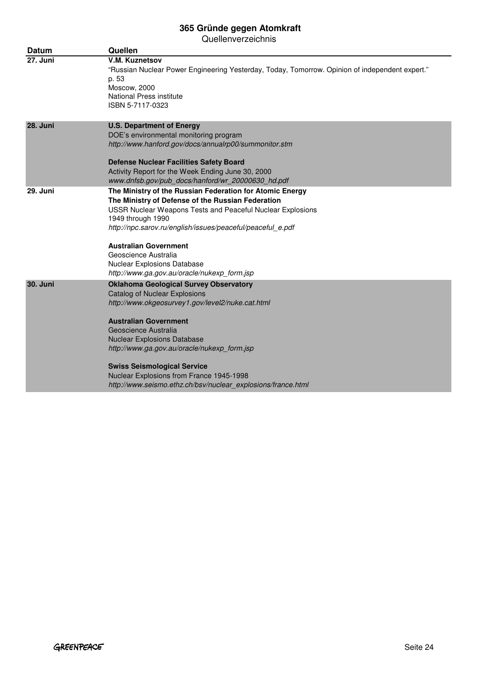| <b>Datum</b>    | Quellen                                                                                                                                                                                                                                                                                                                                                                                                                           |
|-----------------|-----------------------------------------------------------------------------------------------------------------------------------------------------------------------------------------------------------------------------------------------------------------------------------------------------------------------------------------------------------------------------------------------------------------------------------|
| 27. Juni        | V.M. Kuznetsov<br>"Russian Nuclear Power Engineering Yesterday, Today, Tomorrow. Opinion of independent expert."<br>p. 53<br>Moscow, 2000<br>National Press institute<br>ISBN 5-7117-0323                                                                                                                                                                                                                                         |
| 28. Juni        | <b>U.S. Department of Energy</b><br>DOE's environmental monitoring program<br>http://www.hanford.gov/docs/annualrp00/summonitor.stm<br><b>Defense Nuclear Facilities Safety Board</b><br>Activity Report for the Week Ending June 30, 2000<br>www.dnfsb.gov/pub_docs/hanford/wr_20000630_hd.pdf                                                                                                                                   |
| 29. Juni        | The Ministry of the Russian Federation for Atomic Energy<br>The Ministry of Defense of the Russian Federation<br>USSR Nuclear Weapons Tests and Peaceful Nuclear Explosions<br>1949 through 1990<br>http://npc.sarov.ru/english/issues/peaceful/peaceful_e.pdf<br><b>Australian Government</b><br>Geoscience Australia<br><b>Nuclear Explosions Database</b><br>http://www.ga.gov.au/oracle/nukexp_form.jsp                       |
| <b>30. Juni</b> | <b>Oklahoma Geological Survey Observatory</b><br>Catalog of Nuclear Explosions<br>http://www.okgeosurvey1.gov/level2/nuke.cat.html<br><b>Australian Government</b><br>Geoscience Australia<br><b>Nuclear Explosions Database</b><br>http://www.ga.gov.au/oracle/nukexp_form.jsp<br><b>Swiss Seismological Service</b><br>Nuclear Explosions from France 1945-1998<br>http://www.seismo.ethz.ch/bsv/nuclear explosions/france.html |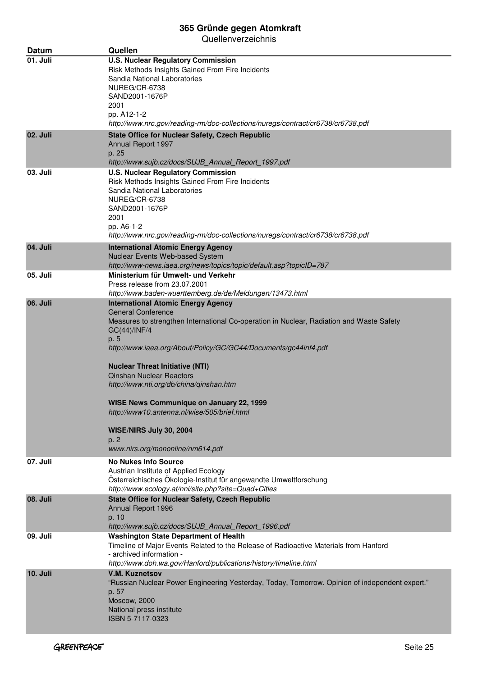Quellenverzeichnis

| Datum           | Quellen                                                                                                                                                                                                                                                                                                                                                                                                                                                                                                                                                        |
|-----------------|----------------------------------------------------------------------------------------------------------------------------------------------------------------------------------------------------------------------------------------------------------------------------------------------------------------------------------------------------------------------------------------------------------------------------------------------------------------------------------------------------------------------------------------------------------------|
| 01. Juli        | <b>U.S. Nuclear Regulatory Commission</b><br>Risk Methods Insights Gained From Fire Incidents<br>Sandia National Laboratories<br>NUREG/CR-6738<br>SAND2001-1676P<br>2001<br>pp. A12-1-2<br>http://www.nrc.gov/reading-rm/doc-collections/nuregs/contract/cr6738/cr6738.pdf                                                                                                                                                                                                                                                                                     |
| 02. Juli        | <b>State Office for Nuclear Safety, Czech Republic</b><br>Annual Report 1997<br>p. 25<br>http://www.sujb.cz/docs/SUJB Annual Report 1997.pdf                                                                                                                                                                                                                                                                                                                                                                                                                   |
| 03. Juli        | <b>U.S. Nuclear Regulatory Commission</b><br>Risk Methods Insights Gained From Fire Incidents<br>Sandia National Laboratories<br>NUREG/CR-6738<br>SAND2001-1676P<br>2001<br>pp. A6-1-2<br>http://www.nrc.gov/reading-rm/doc-collections/nuregs/contract/cr6738/cr6738.pdf                                                                                                                                                                                                                                                                                      |
| 04. Juli        | <b>International Atomic Energy Agency</b><br>Nuclear Events Web-based System<br>http://www-news.iaea.org/news/topics/topic/default.asp?topicID=787                                                                                                                                                                                                                                                                                                                                                                                                             |
| 05. Juli        | Ministerium für Umwelt- und Verkehr<br>Press release from 23.07.2001<br>http://www.baden-wuerttemberg.de/de/Meldungen/13473.html                                                                                                                                                                                                                                                                                                                                                                                                                               |
| <b>06. Juli</b> | <b>International Atomic Energy Agency</b><br><b>General Conference</b><br>Measures to strengthen International Co-operation in Nuclear, Radiation and Waste Safety<br>GC(44)/INF/4<br>p. 5<br>http://www.iaea.org/About/Policy/GC/GC44/Documents/gc44inf4.pdf<br><b>Nuclear Threat Initiative (NTI)</b><br><b>Qinshan Nuclear Reactors</b><br>http://www.nti.org/db/china/qinshan.htm<br><b>WISE News Communique on January 22, 1999</b><br>http://www10.antenna.nl/wise/505/brief.html<br>WISE/NIRS July 30, 2004<br>p. 2<br>www.nirs.org/mononline/nm614.pdf |
| 07. Juli        | <b>No Nukes Info Source</b><br>Austrian Institute of Applied Ecology<br>Österreichisches Ökologie-Institut für angewandte Umweltforschung<br>http://www.ecology.at/nni/site.php?site=Quad+Cities                                                                                                                                                                                                                                                                                                                                                               |
| 08. Juli        | <b>State Office for Nuclear Safety, Czech Republic</b><br>Annual Report 1996<br>p. 10<br>http://www.sujb.cz/docs/SUJB_Annual_Report_1996.pdf                                                                                                                                                                                                                                                                                                                                                                                                                   |
| 09. Juli        | <b>Washington State Department of Health</b><br>Timeline of Major Events Related to the Release of Radioactive Materials from Hanford<br>- archived information -<br>http://www.doh.wa.gov/Hanford/publications/history/timeline.html                                                                                                                                                                                                                                                                                                                          |
| 10. Juli        | <b>V.M. Kuznetsov</b><br>"Russian Nuclear Power Engineering Yesterday, Today, Tomorrow. Opinion of independent expert."<br>p. 57<br>Moscow, 2000<br>National press institute<br>ISBN 5-7117-0323                                                                                                                                                                                                                                                                                                                                                               |

٠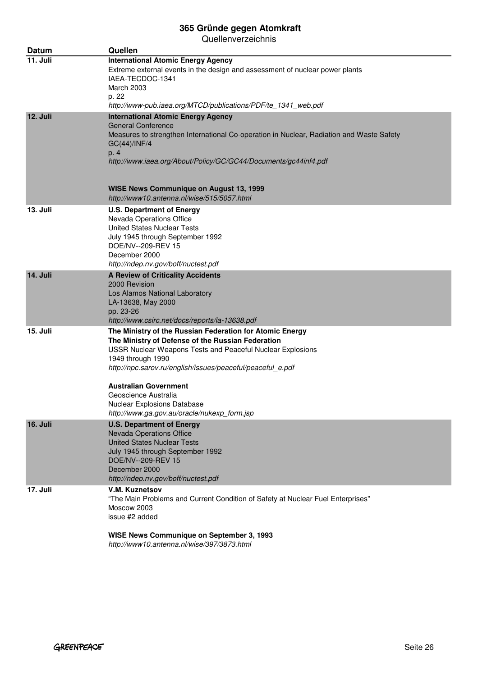| <b>Datum</b>    | Quellen                                                                                                                                                                                                                                                                                                                                                                                       |
|-----------------|-----------------------------------------------------------------------------------------------------------------------------------------------------------------------------------------------------------------------------------------------------------------------------------------------------------------------------------------------------------------------------------------------|
| 11. Juli        | <b>International Atomic Energy Agency</b><br>Extreme external events in the design and assessment of nuclear power plants<br>IAEA-TECDOC-1341<br>March 2003<br>p. 22<br>http://www-pub.iaea.org/MTCD/publications/PDF/te_1341_web.pdf                                                                                                                                                         |
| 12. Juli        | <b>International Atomic Energy Agency</b><br><b>General Conference</b><br>Measures to strengthen International Co-operation in Nuclear, Radiation and Waste Safety<br>GC(44)/INF/4<br>p. 4<br>http://www.iaea.org/About/Policy/GC/GC44/Documents/gc44inf4.pdf<br><b>WISE News Communique on August 13, 1999</b><br>http://www10.antenna.nl/wise/515/5057.html                                 |
| 13. Juli        | U.S. Department of Energy<br>Nevada Operations Office<br><b>United States Nuclear Tests</b><br>July 1945 through September 1992<br>DOE/NV--209-REV 15<br>December 2000<br>http://ndep.nv.gov/boff/nuctest.pdf                                                                                                                                                                                 |
| 14. Juli        | A Review of Criticality Accidents<br>2000 Revision<br>Los Alamos National Laboratory<br>LA-13638, May 2000<br>pp. 23-26<br>http://www.csirc.net/docs/reports/la-13638.pdf                                                                                                                                                                                                                     |
| 15. Juli        | The Ministry of the Russian Federation for Atomic Energy<br>The Ministry of Defense of the Russian Federation<br>USSR Nuclear Weapons Tests and Peaceful Nuclear Explosions<br>1949 through 1990<br>http://npc.sarov.ru/english/issues/peaceful/peaceful_e.pdf<br>Australian Government<br>Geoscience Australia<br>Nuclear Explosions Database<br>http://www.ga.gov.au/oracle/nukexp_form.jsp |
| <b>16. Juli</b> | <b>U.S. Department of Energy</b><br>Nevada Operations Office<br><b>United States Nuclear Tests</b><br>July 1945 through September 1992<br>DOE/NV--209-REV 15<br>December 2000<br>http://ndep.nv.gov/boff/nuctest.pdf                                                                                                                                                                          |
| 17. Juli        | V.M. Kuznetsov<br>"The Main Problems and Current Condition of Safety at Nuclear Fuel Enterprises"<br>Moscow 2003<br>issue #2 added<br>WISE News Communique on September 3, 1993<br>http://www10.antenna.nl/wise/397/3873.html                                                                                                                                                                 |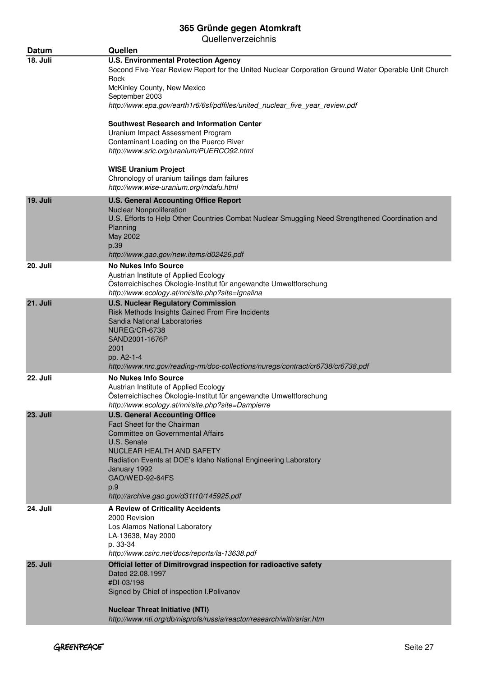| Datum           | Quellen                                                                                                                                                                                                                                                                                                                       |
|-----------------|-------------------------------------------------------------------------------------------------------------------------------------------------------------------------------------------------------------------------------------------------------------------------------------------------------------------------------|
| 18. Juli        | <b>U.S. Environmental Protection Agency</b><br>Second Five-Year Review Report for the United Nuclear Corporation Ground Water Operable Unit Church<br>Rock                                                                                                                                                                    |
|                 | McKinley County, New Mexico                                                                                                                                                                                                                                                                                                   |
|                 | September 2003<br>http://www.epa.gov/earth1r6/6sf/pdffiles/united_nuclear_five_year_review.pdf                                                                                                                                                                                                                                |
|                 | <b>Southwest Research and Information Center</b><br>Uranium Impact Assessment Program<br>Contaminant Loading on the Puerco River<br>http://www.sric.org/uranium/PUERCO92.html                                                                                                                                                 |
|                 | <b>WISE Uranium Project</b><br>Chronology of uranium tailings dam failures                                                                                                                                                                                                                                                    |
| 19. Juli        | http://www.wise-uranium.org/mdafu.html<br><b>U.S. General Accounting Office Report</b><br>Nuclear Nonproliferation<br>U.S. Efforts to Help Other Countries Combat Nuclear Smuggling Need Strengthened Coordination and<br>Planning<br>May 2002<br>p.39                                                                        |
| 20. Juli        | http://www.gao.gov/new.items/d02426.pdf<br><b>No Nukes Info Source</b><br>Austrian Institute of Applied Ecology<br>Österreichisches Ökologie-Institut für angewandte Umweltforschung                                                                                                                                          |
| 21. Juli        | http://www.ecology.at/nni/site.php?site=Ignalina<br><b>U.S. Nuclear Regulatory Commission</b><br>Risk Methods Insights Gained From Fire Incidents<br>Sandia National Laboratories<br>NUREG/CR-6738<br>SAND2001-1676P<br>2001<br>pp. A2-1-4<br>http://www.nrc.gov/reading-rm/doc-collections/nuregs/contract/cr6738/cr6738.pdf |
| 22. Juli        | <b>No Nukes Info Source</b><br>Austrian Institute of Applied Ecology<br>Österreichisches Ökologie-Institut für angewandte Umweltforschung<br>http://www.ecology.at/nni/site.php?site=Dampierre                                                                                                                                |
| <b>23. Juli</b> | <b>U.S. General Accounting Office</b><br>Fact Sheet for the Chairman<br><b>Committee on Governmental Affairs</b><br>U.S. Senate<br>NUCLEAR HEALTH AND SAFETY<br>Radiation Events at DOE's Idaho National Engineering Laboratory<br>January 1992<br>GAO/WED-92-64FS<br>p.9<br>http://archive.gao.gov/d31t10/145925.pdf         |
| 24. Juli        | A Review of Criticality Accidents<br>2000 Revision<br>Los Alamos National Laboratory<br>LA-13638, May 2000<br>p. 33-34<br>http://www.csirc.net/docs/reports/la-13638.pdf                                                                                                                                                      |
| <b>25. Juli</b> | Official letter of Dimitrovgrad inspection for radioactive safety<br>Dated 22.08.1997<br>#DI-03/198<br>Signed by Chief of inspection I. Polivanov<br><b>Nuclear Threat Initiative (NTI)</b>                                                                                                                                   |
|                 | http://www.nti.org/db/nisprofs/russia/reactor/research/with/sriar.htm                                                                                                                                                                                                                                                         |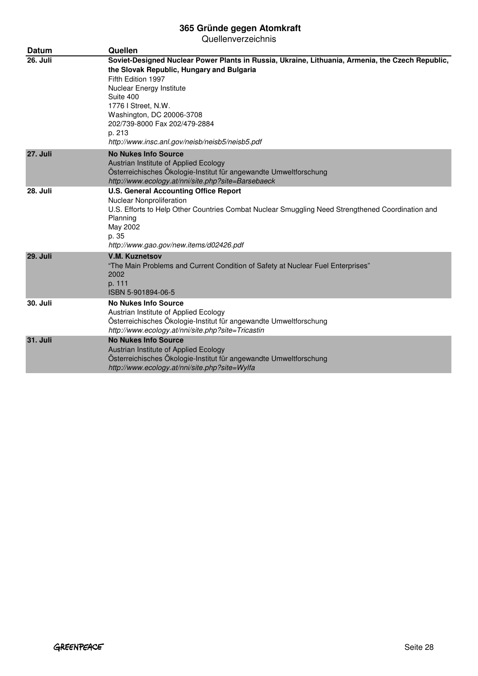| <b>Datum</b>    | Quellen                                                                                                                                                                                                                                                                                                                                                        |
|-----------------|----------------------------------------------------------------------------------------------------------------------------------------------------------------------------------------------------------------------------------------------------------------------------------------------------------------------------------------------------------------|
| <b>26. Juli</b> | Soviet-Designed Nuclear Power Plants in Russia, Ukraine, Lithuania, Armenia, the Czech Republic,<br>the Slovak Republic, Hungary and Bulgaria<br>Fifth Edition 1997<br>Nuclear Energy Institute<br>Suite 400<br>1776   Street, N.W.<br>Washington, DC 20006-3708<br>202/739-8000 Fax 202/479-2884<br>p. 213<br>http://www.insc.anl.gov/neisb/neisb5/neisb5.pdf |
| <b>27. Juli</b> | <b>No Nukes Info Source</b><br>Austrian Institute of Applied Ecology<br>Österreichisches Ökologie-Institut für angewandte Umweltforschung<br>http://www.ecology.at/nni/site.php?site=Barsebaeck                                                                                                                                                                |
| <b>28. Juli</b> | <b>U.S. General Accounting Office Report</b><br>Nuclear Nonproliferation<br>U.S. Efforts to Help Other Countries Combat Nuclear Smuggling Need Strengthened Coordination and<br>Planning<br>May 2002<br>p. 35<br>http://www.gao.gov/new.items/d02426.pdf                                                                                                       |
| <b>29. Juli</b> | <b>V.M. Kuznetsov</b><br>"The Main Problems and Current Condition of Safety at Nuclear Fuel Enterprises"<br>2002<br>p. 111<br>ISBN 5-901894-06-5                                                                                                                                                                                                               |
| <b>30. Juli</b> | <b>No Nukes Info Source</b><br>Austrian Institute of Applied Ecology<br>Österreichisches Ökologie-Institut für angewandte Umweltforschung<br>http://www.ecology.at/nni/site.php?site=Tricastin                                                                                                                                                                 |
| 31. Juli        | <b>No Nukes Info Source</b><br>Austrian Institute of Applied Ecology<br>Österreichisches Ökologie-Institut für angewandte Umweltforschung<br>http://www.ecology.at/nni/site.php?site=Wylfa                                                                                                                                                                     |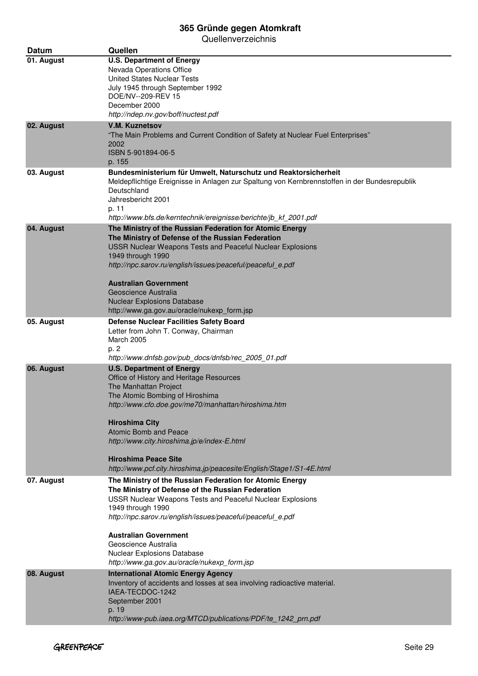| Datum      | Quellen                                                                                                                                                                                                                                                                                                                                                                                                            |
|------------|--------------------------------------------------------------------------------------------------------------------------------------------------------------------------------------------------------------------------------------------------------------------------------------------------------------------------------------------------------------------------------------------------------------------|
| 01. August | <b>U.S. Department of Energy</b><br>Nevada Operations Office<br>United States Nuclear Tests<br>July 1945 through September 1992<br>DOE/NV--209-REV 15<br>December 2000<br>http://ndep.nv.gov/boff/nuctest.pdf                                                                                                                                                                                                      |
| 02. August | <b>V.M. Kuznetsov</b><br>"The Main Problems and Current Condition of Safety at Nuclear Fuel Enterprises"<br>2002<br>ISBN 5-901894-06-5<br>p. 155                                                                                                                                                                                                                                                                   |
| 03. August | Bundesministerium für Umwelt, Naturschutz und Reaktorsicherheit<br>Meldepflichtige Ereignisse in Anlagen zur Spaltung von Kernbrennstoffen in der Bundesrepublik<br>Deutschland<br>Jahresbericht 2001<br>p. 11<br>http://www.bfs.de/kerntechnik/ereignisse/berichte/jb_kf_2001.pdf                                                                                                                                 |
| 04. August | The Ministry of the Russian Federation for Atomic Energy<br>The Ministry of Defense of the Russian Federation<br><b>USSR Nuclear Weapons Tests and Peaceful Nuclear Explosions</b><br>1949 through 1990<br>http://npc.sarov.ru/english/issues/peaceful/peaceful e.pdf<br><b>Australian Government</b><br>Geoscience Australia<br><b>Nuclear Explosions Database</b><br>http://www.ga.gov.au/oracle/nukexp_form.jsp |
| 05. August | <b>Defense Nuclear Facilities Safety Board</b><br>Letter from John T. Conway, Chairman<br><b>March 2005</b><br>p. 2<br>http://www.dnfsb.gov/pub docs/dnfsb/rec 2005 01.pdf                                                                                                                                                                                                                                         |
| 06. August | <b>U.S. Department of Energy</b><br>Office of History and Heritage Resources<br>The Manhattan Project<br>The Atomic Bombing of Hiroshima<br>http://www.cfo.doe.gov/me70/manhattan/hiroshima.htm<br><b>Hiroshima City</b><br>Atomic Bomb and Peace<br>http://www.city.hiroshima.jp/e/index-E.html<br><b>Hiroshima Peace Site</b><br>http://www.pcf.city.hiroshima.jp/peacesite/English/Stage1/S1-4E.html            |
| 07. August | The Ministry of the Russian Federation for Atomic Energy<br>The Ministry of Defense of the Russian Federation<br>USSR Nuclear Weapons Tests and Peaceful Nuclear Explosions<br>1949 through 1990<br>http://npc.sarov.ru/english/issues/peaceful/peaceful_e.pdf<br><b>Australian Government</b><br>Geoscience Australia<br>Nuclear Explosions Database<br>http://www.ga.gov.au/oracle/nukexp_form.jsp               |
| 08. August | <b>International Atomic Energy Agency</b><br>Inventory of accidents and losses at sea involving radioactive material.<br>IAEA-TECDOC-1242<br>September 2001<br>p. 19<br>http://www-pub.iaea.org/MTCD/publications/PDF/te_1242_prn.pdf                                                                                                                                                                              |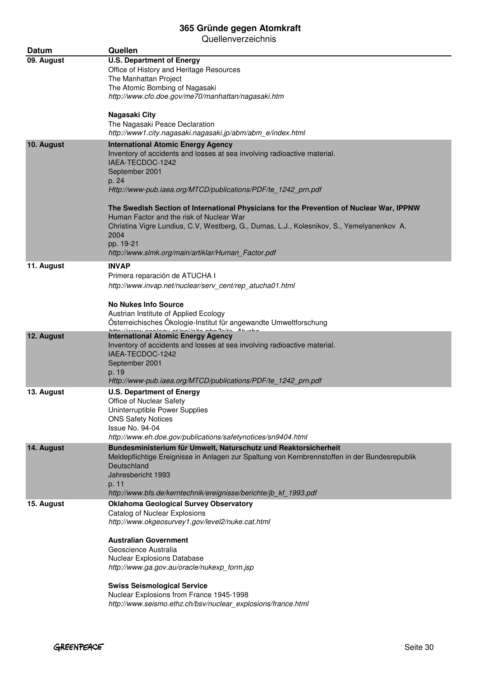| Datum      | Quellen                                                                                                                |
|------------|------------------------------------------------------------------------------------------------------------------------|
| 09. August | <b>U.S. Department of Energy</b>                                                                                       |
|            | Office of History and Heritage Resources                                                                               |
|            | The Manhattan Project                                                                                                  |
|            | The Atomic Bombing of Nagasaki<br>http://www.cfo.doe.gov/me70/manhattan/nagasaki.htm                                   |
|            |                                                                                                                        |
|            | Nagasaki City                                                                                                          |
|            | The Nagasaki Peace Declaration                                                                                         |
|            | http://www1.city.nagasaki.nagasaki.jp/abm/abm_e/index.html                                                             |
| 10. August | <b>International Atomic Energy Agency</b>                                                                              |
|            | Inventory of accidents and losses at sea involving radioactive material.                                               |
|            | IAEA-TECDOC-1242<br>September 2001                                                                                     |
|            | p. 24                                                                                                                  |
|            | Http://www-pub.iaea.org/MTCD/publications/PDF/te_1242_prn.pdf                                                          |
|            |                                                                                                                        |
|            | The Swedish Section of International Physicians for the Prevention of Nuclear War, IPPNW                               |
|            | Human Factor and the risk of Nuclear War                                                                               |
|            | Christina Vigre Lundius, C.V, Westberg, G., Dumas, L.J., Kolesnikov, S., Yemelyanenkov A.<br>2004                      |
|            | pp. 19-21                                                                                                              |
|            | http://www.slmk.org/main/artiklar/Human_Factor.pdf                                                                     |
| 11. August | <b>INVAP</b>                                                                                                           |
|            | Primera reparación de ATUCHA I                                                                                         |
|            | http://www.invap.net/nuclear/serv_cent/rep_atucha01.html                                                               |
|            |                                                                                                                        |
|            | <b>No Nukes Info Source</b>                                                                                            |
|            | Austrian Institute of Applied Ecology                                                                                  |
|            | Österreichisches Ökologie-Institut für angewandte Umweltforschung<br>http://isessi noolonu.ot/ppi/oita php?pita_Atunha |
| 12. August | <b>International Atomic Energy Agency</b>                                                                              |
|            | Inventory of accidents and losses at sea involving radioactive material.                                               |
|            | IAEA-TECDOC-1242<br>September 2001                                                                                     |
|            | p. 19                                                                                                                  |
|            | Http://www-pub.iaea.org/MTCD/publications/PDF/te_1242_prn.pdf                                                          |
| 13. August | <b>U.S. Department of Energy</b>                                                                                       |
|            | Office of Nuclear Safety                                                                                               |
|            | Uninterruptible Power Supplies                                                                                         |
|            | <b>ONS Safety Notices</b><br>Issue No. 94-04                                                                           |
|            | http://www.eh.doe.gov/publications/safetynotices/sn9404.html                                                           |
| 14. August | Bundesministerium für Umwelt, Naturschutz und Reaktorsicherheit                                                        |
|            | Meldepflichtige Ereignisse in Anlagen zur Spaltung von Kernbrennstoffen in der Bundesrepublik                          |
|            | Deutschland                                                                                                            |
|            | Jahresbericht 1993                                                                                                     |
|            | p. 11                                                                                                                  |
|            | http://www.bfs.de/kerntechnik/ereignisse/berichte/jb_kf_1993.pdf                                                       |
| 15. August | <b>Oklahoma Geological Survey Observatory</b><br>Catalog of Nuclear Explosions                                         |
|            | http://www.okgeosurvey1.gov/level2/nuke.cat.html                                                                       |
|            |                                                                                                                        |
|            | <b>Australian Government</b>                                                                                           |
|            | Geoscience Australia                                                                                                   |
|            | Nuclear Explosions Database<br>http://www.ga.gov.au/oracle/nukexp_form.jsp                                             |
|            |                                                                                                                        |
|            | <b>Swiss Seismological Service</b>                                                                                     |
|            | Nuclear Explosions from France 1945-1998                                                                               |
|            | http://www.seismo.ethz.ch/bsv/nuclear_explosions/france.html                                                           |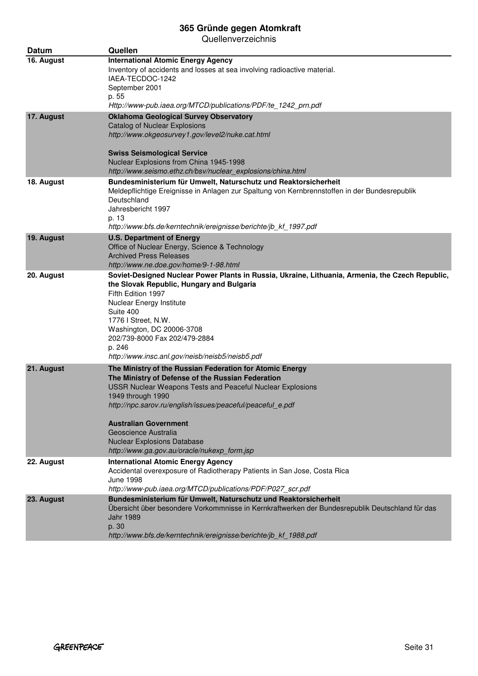| <b>Datum</b> | Quellen                                                                                                                                                                                                                                                                                                                                                                                                     |
|--------------|-------------------------------------------------------------------------------------------------------------------------------------------------------------------------------------------------------------------------------------------------------------------------------------------------------------------------------------------------------------------------------------------------------------|
| 16. August   | <b>International Atomic Energy Agency</b><br>Inventory of accidents and losses at sea involving radioactive material.<br>IAEA-TECDOC-1242<br>September 2001<br>p. 55<br>Http://www-pub.iaea.org/MTCD/publications/PDF/te_1242_prn.pdf                                                                                                                                                                       |
| 17. August   | <b>Oklahoma Geological Survey Observatory</b><br><b>Catalog of Nuclear Explosions</b><br>http://www.okgeosurvey1.gov/level2/nuke.cat.html<br><b>Swiss Seismological Service</b><br>Nuclear Explosions from China 1945-1998<br>http://www.seismo.ethz.ch/bsv/nuclear_explosions/china.html                                                                                                                   |
| 18. August   | Bundesministerium für Umwelt, Naturschutz und Reaktorsicherheit<br>Meldepflichtige Ereignisse in Anlagen zur Spaltung von Kernbrennstoffen in der Bundesrepublik<br>Deutschland<br>Jahresbericht 1997<br>p. 13<br>http://www.bfs.de/kerntechnik/ereignisse/berichte/jb_kf_1997.pdf                                                                                                                          |
| 19. August   | <b>U.S. Department of Energy</b><br>Office of Nuclear Energy, Science & Technology<br><b>Archived Press Releases</b><br>http://www.ne.doe.gov/home/9-1-98.html                                                                                                                                                                                                                                              |
| 20. August   | Soviet-Designed Nuclear Power Plants in Russia, Ukraine, Lithuania, Armenia, the Czech Republic,<br>the Slovak Republic, Hungary and Bulgaria<br>Fifth Edition 1997<br>Nuclear Energy Institute<br>Suite 400<br>1776 I Street, N.W.<br>Washington, DC 20006-3708<br>202/739-8000 Fax 202/479-2884<br>p. 246<br>http://www.insc.anl.gov/neisb/neisb5/neisb5.pdf                                              |
| 21. August   | The Ministry of the Russian Federation for Atomic Energy<br>The Ministry of Defense of the Russian Federation<br>USSR Nuclear Weapons Tests and Peaceful Nuclear Explosions<br>1949 through 1990<br>http://npc.sarov.ru/english/issues/peaceful/peaceful_e.pdf<br><b>Australian Government</b><br>Geoscience Australia<br><b>Nuclear Explosions Database</b><br>http://www.ga.gov.au/oracle/nukexp_form.jsp |
| 22. August   | <b>International Atomic Energy Agency</b><br>Accidental overexposure of Radiotherapy Patients in San Jose, Costa Rica<br><b>June 1998</b><br>http://www-pub.iaea.org/MTCD/publications/PDF/P027 scr.pdf                                                                                                                                                                                                     |
| 23. August   | Bundesministerium für Umwelt, Naturschutz und Reaktorsicherheit<br>Übersicht über besondere Vorkommnisse in Kernkraftwerken der Bundesrepublik Deutschland für das<br><b>Jahr 1989</b><br>p. 30<br>http://www.bfs.de/kerntechnik/ereignisse/berichte/jb_kf_1988.pdf                                                                                                                                         |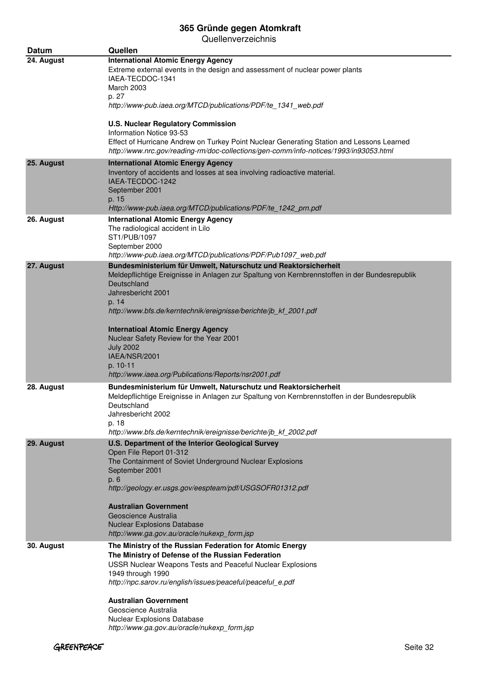| Datum      | Quellen                                                                                                                                                                                                                                                                                                                                                                                                                                                                            |
|------------|------------------------------------------------------------------------------------------------------------------------------------------------------------------------------------------------------------------------------------------------------------------------------------------------------------------------------------------------------------------------------------------------------------------------------------------------------------------------------------|
| 24. August | <b>International Atomic Energy Agency</b><br>Extreme external events in the design and assessment of nuclear power plants<br>IAEA-TECDOC-1341<br>March 2003<br>p. 27<br>http://www-pub.iaea.org/MTCD/publications/PDF/te_1341_web.pdf<br><b>U.S. Nuclear Regulatory Commission</b>                                                                                                                                                                                                 |
|            | Information Notice 93-53<br>Effect of Hurricane Andrew on Turkey Point Nuclear Generating Station and Lessons Learned<br>http://www.nrc.gov/reading-rm/doc-collections/gen-comm/info-notices/1993/in93053.html                                                                                                                                                                                                                                                                     |
| 25. August | <b>International Atomic Energy Agency</b><br>Inventory of accidents and losses at sea involving radioactive material.<br>IAEA-TECDOC-1242<br>September 2001<br>p. 15<br>Http://www-pub.iaea.org/MTCD/publications/PDF/te_1242_prn.pdf                                                                                                                                                                                                                                              |
| 26. August | <b>International Atomic Energy Agency</b><br>The radiological accident in Lilo<br>ST1/PUB/1097<br>September 2000<br>http://www-pub.iaea.org/MTCD/publications/PDF/Pub1097_web.pdf                                                                                                                                                                                                                                                                                                  |
| 27. August | Bundesministerium für Umwelt, Naturschutz und Reaktorsicherheit<br>Meldepflichtige Ereignisse in Anlagen zur Spaltung von Kernbrennstoffen in der Bundesrepublik<br>Deutschland<br>Jahresbericht 2001<br>p. 14<br>http://www.bfs.de/kerntechnik/ereignisse/berichte/jb_kf_2001.pdf<br><b>Internatioal Atomic Energy Agency</b><br>Nuclear Safety Review for the Year 2001<br><b>July 2002</b><br>IAEA/NSR/2001<br>p. 10-11<br>http://www.iaea.org/Publications/Reports/nsr2001.pdf |
| 28. August | Bundesministerium für Umwelt, Naturschutz und Reaktorsicherheit<br>Meldepflichtige Ereignisse in Anlagen zur Spaltung von Kernbrennstoffen in der Bundesrepublik<br>Deutschland<br>Jahresbericht 2002<br>p. 18<br>http://www.bfs.de/kerntechnik/ereignisse/berichte/jb kf 2002.pdf                                                                                                                                                                                                 |
| 29. August | U.S. Department of the Interior Geological Survey<br>Open File Report 01-312<br>The Containment of Soviet Underground Nuclear Explosions<br>September 2001<br>p. 6<br>http://geology.er.usgs.gov/eespteam/pdf/USGSOFR01312.pdf<br><b>Australian Government</b><br>Geoscience Australia<br><b>Nuclear Explosions Database</b><br>http://www.ga.gov.au/oracle/nukexp_form.jsp                                                                                                        |
| 30. August | The Ministry of the Russian Federation for Atomic Energy<br>The Ministry of Defense of the Russian Federation<br>USSR Nuclear Weapons Tests and Peaceful Nuclear Explosions<br>1949 through 1990<br>http://npc.sarov.ru/english/issues/peaceful/peaceful_e.pdf<br><b>Australian Government</b><br>Geoscience Australia<br>Nuclear Explosions Database<br>http://www.ga.gov.au/oracle/nukexp_form.jsp                                                                               |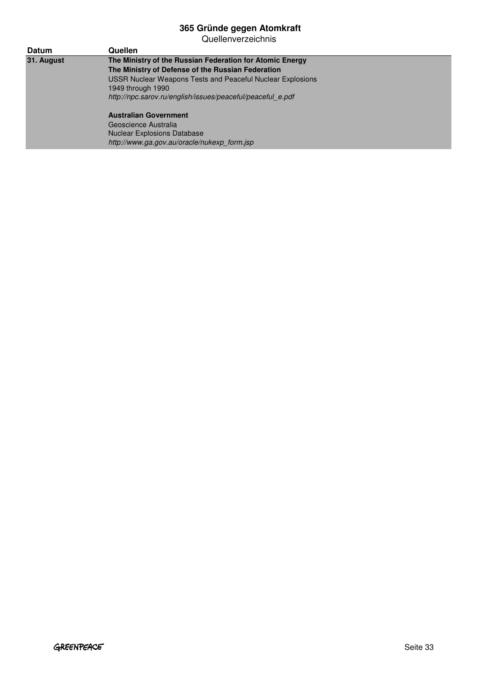Quellenverzeichnis

| <b>Datum</b> | Quellen                                                           |  |
|--------------|-------------------------------------------------------------------|--|
| 31. August   | The Ministry of the Russian Federation for Atomic Energy          |  |
|              | The Ministry of Defense of the Russian Federation                 |  |
|              | <b>USSR Nuclear Weapons Tests and Peaceful Nuclear Explosions</b> |  |
|              | 1949 through 1990                                                 |  |
|              | http://npc.sarov.ru/english/issues/peaceful/peaceful e.pdf        |  |
|              | <b>Australian Government</b>                                      |  |
|              | Geoscience Australia                                              |  |
|              | <b>Nuclear Explosions Database</b>                                |  |

http://www.ga.gov.au/oracle/nukexp\_form.jsp

GREENPEACE Seite 33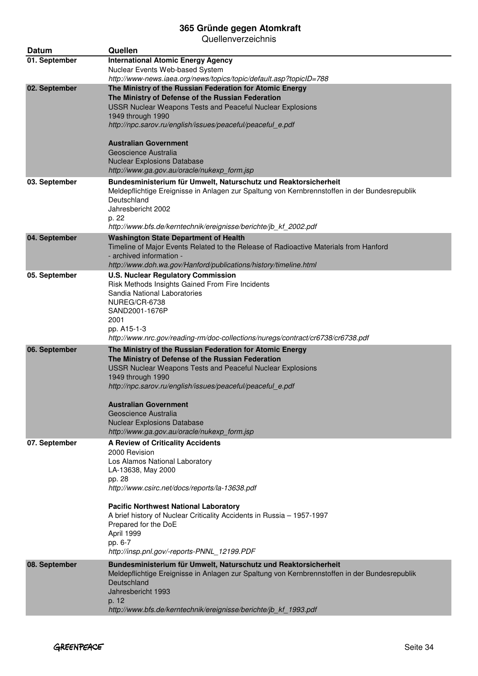| Datum         | Quellen                                                                                                                                                          |
|---------------|------------------------------------------------------------------------------------------------------------------------------------------------------------------|
| 01. September | <b>International Atomic Energy Agency</b>                                                                                                                        |
|               | Nuclear Events Web-based System                                                                                                                                  |
| 02. September | http://www-news.iaea.org/news/topics/topic/default.asp?topicID=788<br>The Ministry of the Russian Federation for Atomic Energy                                   |
|               | The Ministry of Defense of the Russian Federation                                                                                                                |
|               | USSR Nuclear Weapons Tests and Peaceful Nuclear Explosions                                                                                                       |
|               | 1949 through 1990                                                                                                                                                |
|               | http://npc.sarov.ru/english/issues/peaceful/peaceful_e.pdf                                                                                                       |
|               | <b>Australian Government</b>                                                                                                                                     |
|               | Geoscience Australia                                                                                                                                             |
|               | <b>Nuclear Explosions Database</b>                                                                                                                               |
|               | http://www.ga.gov.au/oracle/nukexp_form.jsp                                                                                                                      |
| 03. September | Bundesministerium für Umwelt, Naturschutz und Reaktorsicherheit<br>Meldepflichtige Ereignisse in Anlagen zur Spaltung von Kernbrennstoffen in der Bundesrepublik |
|               | Deutschland                                                                                                                                                      |
|               | Jahresbericht 2002                                                                                                                                               |
|               | p. 22<br>http://www.bfs.de/kerntechnik/ereignisse/berichte/jb_kf_2002.pdf                                                                                        |
| 04. September | <b>Washington State Department of Health</b>                                                                                                                     |
|               | Timeline of Major Events Related to the Release of Radioactive Materials from Hanford                                                                            |
|               | - archived information -                                                                                                                                         |
| 05. September | http://www.doh.wa.gov/Hanford/publications/history/timeline.html<br><b>U.S. Nuclear Regulatory Commission</b>                                                    |
|               | Risk Methods Insights Gained From Fire Incidents                                                                                                                 |
|               | Sandia National Laboratories                                                                                                                                     |
|               | NUREG/CR-6738                                                                                                                                                    |
|               | SAND2001-1676P<br>2001                                                                                                                                           |
|               | pp. A15-1-3                                                                                                                                                      |
|               | http://www.nrc.gov/reading-rm/doc-collections/nuregs/contract/cr6738/cr6738.pdf                                                                                  |
| 06. September | The Ministry of the Russian Federation for Atomic Energy                                                                                                         |
|               | The Ministry of Defense of the Russian Federation<br>USSR Nuclear Weapons Tests and Peaceful Nuclear Explosions                                                  |
|               | 1949 through 1990                                                                                                                                                |
|               | http://npc.sarov.ru/english/issues/peaceful/peaceful_e.pdf                                                                                                       |
|               |                                                                                                                                                                  |
|               | <b>Australian Government</b><br>Geoscience Australia                                                                                                             |
|               | <b>Nuclear Explosions Database</b>                                                                                                                               |
|               | http://www.ga.gov.au/oracle/nukexp_form.jsp                                                                                                                      |
| 07. September | <b>A Review of Criticality Accidents</b>                                                                                                                         |
|               | 2000 Revision<br>Los Alamos National Laboratory                                                                                                                  |
|               | LA-13638, May 2000                                                                                                                                               |
|               | pp. 28                                                                                                                                                           |
|               | http://www.csirc.net/docs/reports/la-13638.pdf                                                                                                                   |
|               | <b>Pacific Northwest National Laboratory</b>                                                                                                                     |
|               | A brief history of Nuclear Criticality Accidents in Russia - 1957-1997                                                                                           |
|               | Prepared for the DoE<br>April 1999                                                                                                                               |
|               | pp. 6-7                                                                                                                                                          |
|               | http://insp.pnl.gov/-reports-PNNL 12199.PDF                                                                                                                      |
| 08. September | Bundesministerium für Umwelt, Naturschutz und Reaktorsicherheit                                                                                                  |
|               | Meldepflichtige Ereignisse in Anlagen zur Spaltung von Kernbrennstoffen in der Bundesrepublik                                                                    |
|               | Deutschland<br>Jahresbericht 1993                                                                                                                                |
|               | p. 12                                                                                                                                                            |
|               | http://www.bfs.de/kerntechnik/ereignisse/berichte/jb_kf_1993.pdf                                                                                                 |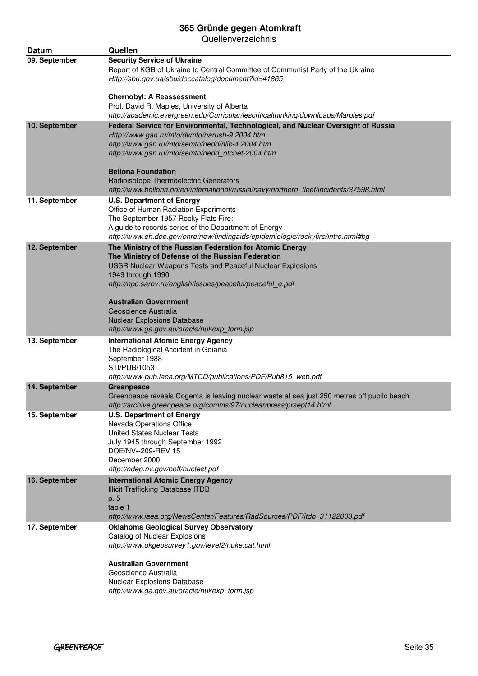| Datum         | Quellen                                                                                                                                                                                                                                                                                        |
|---------------|------------------------------------------------------------------------------------------------------------------------------------------------------------------------------------------------------------------------------------------------------------------------------------------------|
| 09. September | <b>Security Service of Ukraine</b><br>Report of KGB of Ukraine to Central Committee of Communist Party of the Ukraine<br>Http://sbu.gov.ua/sbu/doccatalog/document?id=41865                                                                                                                    |
|               | <b>Chernobyl: A Reassessment</b><br>Prof. David R. Maples, University of Alberta<br>http://academic.evergreen.edu/Curricular/iescriticalthinking/downloads/Marples.pdf                                                                                                                         |
| 10. September | Federal Service for Environmental, Technological, and Nuclear Oversight of Russia<br>Http://www.gan.ru/mto/dvmto/narush-9.2004.htm<br>http://www.gan.ru/mto/semto/nedd/nlic-4.2004.htm<br>http://www.gan.ru/mto/semto/nedd_otchet-2004.htm                                                     |
|               | <b>Bellona Foundation</b><br>Radioisotope Thermoelectric Generators<br>http://www.bellona.no/en/international/russia/navy/northern_fleet/incidents/37598.html                                                                                                                                  |
| 11. September | <b>U.S. Department of Energy</b><br>Office of Human Radiation Experiments<br>The September 1957 Rocky Flats Fire:<br>A guide to records series of the Department of Energy<br>http://www.eh.doe.gov/ohre/new/findingaids/epidemiologic/rockyfire/intro.html#bg                                 |
| 12. September | The Ministry of the Russian Federation for Atomic Energy<br>The Ministry of Defense of the Russian Federation<br>USSR Nuclear Weapons Tests and Peaceful Nuclear Explosions<br>1949 through 1990<br>http://npc.sarov.ru/english/issues/peaceful/peaceful_e.pdf<br><b>Australian Government</b> |
|               | Geoscience Australia<br><b>Nuclear Explosions Database</b><br>http://www.ga.gov.au/oracle/nukexp_form.jsp                                                                                                                                                                                      |
| 13. September | <b>International Atomic Energy Agency</b><br>The Radiological Accident in Goiania<br>September 1988<br>STI/PUB/1053<br>http://www-pub.iaea.org/MTCD/publications/PDF/Pub815_web.pdf                                                                                                            |
| 14. September | Greenpeace<br>Greenpeace reveals Cogema is leaving nuclear waste at sea just 250 metres off public beach<br>http://archive.greenpeace.org/comms/97/nuclear/press/prsept14.html                                                                                                                 |
| 15. September | <b>U.S. Department of Energy</b><br>Nevada Operations Office<br><b>United States Nuclear Tests</b><br>July 1945 through September 1992<br>DOE/NV--209-REV 15<br>December 2000<br>http://ndep.nv.gov/boff/nuctest.pdf                                                                           |
| 16. September | <b>International Atomic Energy Agency</b><br><b>Illicit Trafficking Database ITDB</b><br>p. 5<br>table 1<br>http://www.iaea.org/NewsCenter/Features/RadSources/PDF/itdb_31122003.pdf                                                                                                           |
| 17. September | <b>Oklahoma Geological Survey Observatory</b><br>Catalog of Nuclear Explosions<br>http://www.okgeosurvey1.gov/level2/nuke.cat.html                                                                                                                                                             |
|               | <b>Australian Government</b><br>Geoscience Australia<br>Nuclear Explosions Database<br>http://www.ga.gov.au/oracle/nukexp_form.jsp                                                                                                                                                             |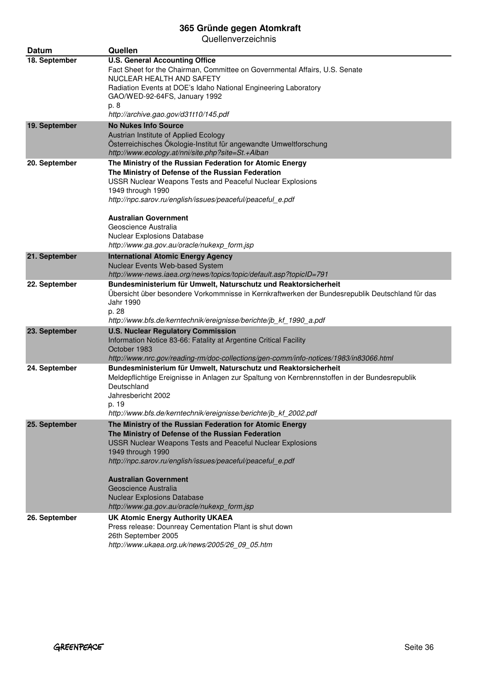| <b>Datum</b>  | Quellen                                                                                                                      |
|---------------|------------------------------------------------------------------------------------------------------------------------------|
| 18. September | <b>U.S. General Accounting Office</b>                                                                                        |
|               | Fact Sheet for the Chairman, Committee on Governmental Affairs, U.S. Senate<br>NUCLEAR HEALTH AND SAFETY                     |
|               | Radiation Events at DOE's Idaho National Engineering Laboratory                                                              |
|               | GAO/WED-92-64FS, January 1992<br>p. 8                                                                                        |
|               | http://archive.gao.gov/d31t10/145.pdf                                                                                        |
| 19. September | <b>No Nukes Info Source</b>                                                                                                  |
|               | Austrian Institute of Applied Ecology<br>Österreichisches Ökologie-Institut für angewandte Umweltforschung                   |
|               | http://www.ecology.at/nni/site.php?site=St.+Alban                                                                            |
| 20. September | The Ministry of the Russian Federation for Atomic Energy                                                                     |
|               | The Ministry of Defense of the Russian Federation                                                                            |
|               | USSR Nuclear Weapons Tests and Peaceful Nuclear Explosions<br>1949 through 1990                                              |
|               | http://npc.sarov.ru/english/issues/peaceful/peaceful_e.pdf                                                                   |
|               | <b>Australian Government</b>                                                                                                 |
|               | Geoscience Australia                                                                                                         |
|               | Nuclear Explosions Database                                                                                                  |
|               | http://www.ga.gov.au/oracle/nukexp_form.jsp                                                                                  |
| 21. September | <b>International Atomic Energy Agency</b><br>Nuclear Events Web-based System                                                 |
|               | http://www-news.iaea.org/news/topics/topic/default.asp?topicID=791                                                           |
| 22. September | Bundesministerium für Umwelt, Naturschutz und Reaktorsicherheit                                                              |
|               | Übersicht über besondere Vorkommnisse in Kernkraftwerken der Bundesrepublik Deutschland für das<br>Jahr 1990                 |
|               | p. 28                                                                                                                        |
|               | http://www.bfs.de/kerntechnik/ereignisse/berichte/jb_kf_1990_a.pdf                                                           |
| 23. September | <b>U.S. Nuclear Regulatory Commission</b>                                                                                    |
|               | Information Notice 83-66: Fatality at Argentine Critical Facility<br>October 1983                                            |
|               | http://www.nrc.gov/reading-rm/doc-collections/gen-comm/info-notices/1983/in83066.html                                        |
| 24. September | Bundesministerium für Umwelt, Naturschutz und Reaktorsicherheit                                                              |
|               | Meldepflichtige Ereignisse in Anlagen zur Spaltung von Kernbrennstoffen in der Bundesrepublik<br>Deutschland                 |
|               | Jahresbericht 2002                                                                                                           |
|               | p. 19                                                                                                                        |
| 25. September | http://www.bfs.de/kerntechnik/ereignisse/berichte/jb kf 2002.pdf<br>The Ministry of the Russian Federation for Atomic Energy |
|               | The Ministry of Defense of the Russian Federation                                                                            |
|               | <b>USSR Nuclear Weapons Tests and Peaceful Nuclear Explosions</b>                                                            |
|               | 1949 through 1990<br>http://npc.sarov.ru/english/issues/peaceful/peaceful_e.pdf                                              |
|               |                                                                                                                              |
|               | <b>Australian Government</b>                                                                                                 |
|               | Geoscience Australia<br><b>Nuclear Explosions Database</b>                                                                   |
|               | http://www.ga.gov.au/oracle/nukexp_form.jsp                                                                                  |
| 26. September | <b>UK Atomic Energy Authority UKAEA</b>                                                                                      |
|               | Press release: Dounreay Cementation Plant is shut down                                                                       |
|               | 26th September 2005<br>http://www.ukaea.org.uk/news/2005/26_09_05.htm                                                        |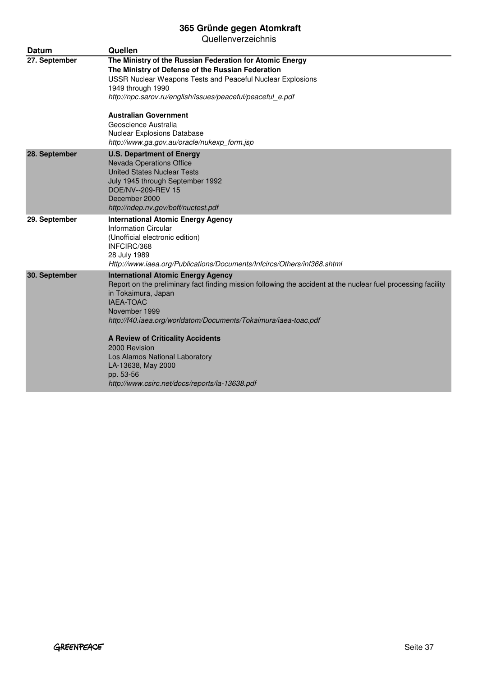| <b>Datum</b>  | Quellen                                                                                                                                                                                                                                                                                                                                                                                                                                                                       |
|---------------|-------------------------------------------------------------------------------------------------------------------------------------------------------------------------------------------------------------------------------------------------------------------------------------------------------------------------------------------------------------------------------------------------------------------------------------------------------------------------------|
| 27. September | The Ministry of the Russian Federation for Atomic Energy<br>The Ministry of Defense of the Russian Federation<br>USSR Nuclear Weapons Tests and Peaceful Nuclear Explosions<br>1949 through 1990<br>http://npc.sarov.ru/english/issues/peaceful/peaceful_e.pdf                                                                                                                                                                                                                |
|               | <b>Australian Government</b><br>Geoscience Australia<br><b>Nuclear Explosions Database</b><br>http://www.ga.gov.au/oracle/nukexp_form.jsp                                                                                                                                                                                                                                                                                                                                     |
| 28. September | <b>U.S. Department of Energy</b><br><b>Nevada Operations Office</b><br><b>United States Nuclear Tests</b><br>July 1945 through September 1992<br>DOE/NV--209-REV 15<br>December 2000<br>http://ndep.nv.gov/boff/nuctest.pdf                                                                                                                                                                                                                                                   |
| 29. September | <b>International Atomic Energy Agency</b><br><b>Information Circular</b><br>(Unofficial electronic edition)<br>INFCIRC/368<br>28 July 1989<br>Http://www.iaea.org/Publications/Documents/Infcircs/Others/inf368.shtml                                                                                                                                                                                                                                                         |
| 30. September | <b>International Atomic Energy Agency</b><br>Report on the preliminary fact finding mission following the accident at the nuclear fuel processing facility<br>in Tokaimura, Japan<br><b>IAEA-TOAC</b><br>November 1999<br>http://f40.iaea.org/worldatom/Documents/Tokaimura/iaea-toac.pdf<br><b>A Review of Criticality Accidents</b><br>2000 Revision<br>Los Alamos National Laboratory<br>LA-13638, May 2000<br>pp. 53-56<br>http://www.csirc.net/docs/reports/la-13638.pdf |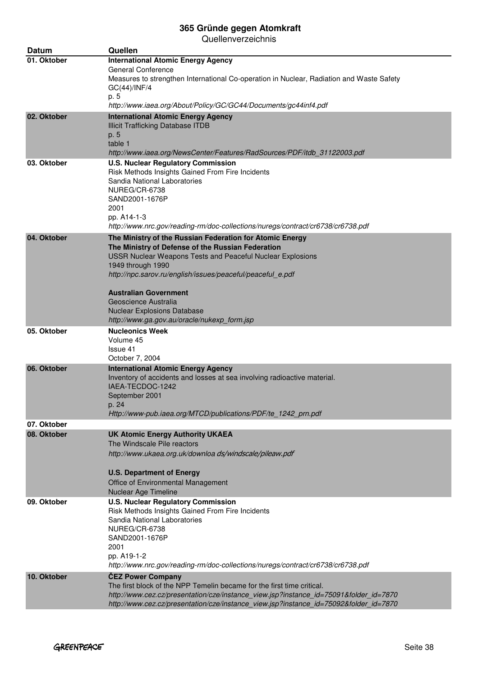| Datum       | Quellen                                                                                                                                                         |
|-------------|-----------------------------------------------------------------------------------------------------------------------------------------------------------------|
| 01. Oktober | <b>International Atomic Energy Agency</b>                                                                                                                       |
|             | <b>General Conference</b><br>Measures to strengthen International Co-operation in Nuclear, Radiation and Waste Safety                                           |
|             | GC(44)/INF/4                                                                                                                                                    |
|             | p. 5                                                                                                                                                            |
|             | http://www.iaea.org/About/Policy/GC/GC44/Documents/gc44inf4.pdf                                                                                                 |
| 02. Oktober | <b>International Atomic Energy Agency</b><br><b>Illicit Trafficking Database ITDB</b>                                                                           |
|             | p. 5                                                                                                                                                            |
|             | table 1                                                                                                                                                         |
| 03. Oktober | http://www.iaea.org/NewsCenter/Features/RadSources/PDF/itdb_31122003.pdf<br><b>U.S. Nuclear Regulatory Commission</b>                                           |
|             | Risk Methods Insights Gained From Fire Incidents                                                                                                                |
|             | Sandia National Laboratories                                                                                                                                    |
|             | NUREG/CR-6738<br>SAND2001-1676P                                                                                                                                 |
|             | 2001                                                                                                                                                            |
|             | pp. A14-1-3                                                                                                                                                     |
|             | http://www.nrc.gov/reading-rm/doc-collections/nuregs/contract/cr6738/cr6738.pdf                                                                                 |
| 04. Oktober | The Ministry of the Russian Federation for Atomic Energy<br>The Ministry of Defense of the Russian Federation                                                   |
|             | <b>USSR Nuclear Weapons Tests and Peaceful Nuclear Explosions</b>                                                                                               |
|             | 1949 through 1990                                                                                                                                               |
|             | http://npc.sarov.ru/english/issues/peaceful/peaceful_e.pdf                                                                                                      |
|             | Australian Government                                                                                                                                           |
|             | Geoscience Australia                                                                                                                                            |
|             | <b>Nuclear Explosions Database</b><br>http://www.ga.gov.au/oracle/nukexp_form.jsp                                                                               |
| 05. Oktober | <b>Nucleonics Week</b>                                                                                                                                          |
|             | Volume 45                                                                                                                                                       |
|             | Issue 41                                                                                                                                                        |
| 06. Oktober | October 7, 2004<br><b>International Atomic Energy Agency</b>                                                                                                    |
|             | Inventory of accidents and losses at sea involving radioactive material.                                                                                        |
|             | IAEA-TECDOC-1242                                                                                                                                                |
|             | September 2001                                                                                                                                                  |
|             | p. 24<br>Http://www-pub.iaea.org/MTCD/publications/PDF/te 1242 prn.pdf                                                                                          |
| 07. Oktober |                                                                                                                                                                 |
| 08. Oktober | <b>UK Atomic Energy Authority UKAEA</b>                                                                                                                         |
|             | The Windscale Pile reactors<br>http://www.ukaea.org.uk/downloa ds/windscale/pileaw.pdf                                                                          |
|             |                                                                                                                                                                 |
|             | <b>U.S. Department of Energy</b>                                                                                                                                |
|             | Office of Environmental Management                                                                                                                              |
| 09. Oktober | Nuclear Age Timeline<br><b>U.S. Nuclear Regulatory Commission</b>                                                                                               |
|             | Risk Methods Insights Gained From Fire Incidents                                                                                                                |
|             | Sandia National Laboratories                                                                                                                                    |
|             | NUREG/CR-6738                                                                                                                                                   |
|             | SAND2001-1676P<br>2001                                                                                                                                          |
|             | pp. A19-1-2                                                                                                                                                     |
|             | http://www.nrc.gov/reading-rm/doc-collections/nuregs/contract/cr6738/cr6738.pdf                                                                                 |
| 10. Oktober | <b>ČEZ Power Company</b>                                                                                                                                        |
|             | The first block of the NPP Temelin became for the first time critical.<br>http://www.cez.cz/presentation/cze/instance_view.jsp?instance_id=75091&folder_id=7870 |
|             | http://www.cez.cz/presentation/cze/instance_view.jsp?instance_id=75092&folder_id=7870                                                                           |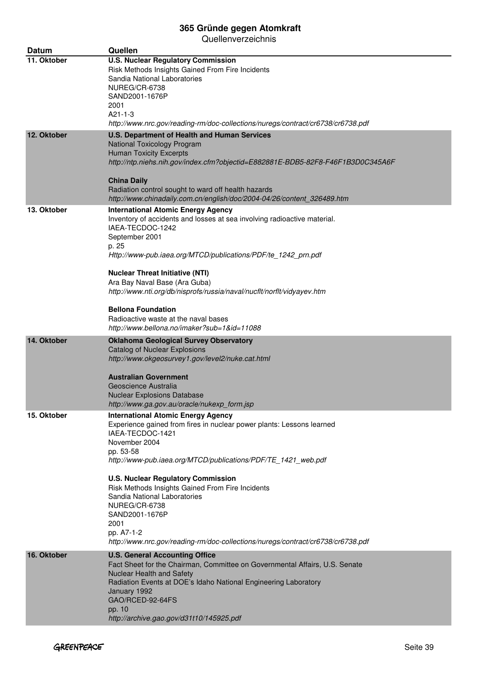| Datum       | Quellen                                                                                                                                                                                                                                                                                                                                                                                                                                                                                                            |
|-------------|--------------------------------------------------------------------------------------------------------------------------------------------------------------------------------------------------------------------------------------------------------------------------------------------------------------------------------------------------------------------------------------------------------------------------------------------------------------------------------------------------------------------|
| 11. Oktober | <b>U.S. Nuclear Regulatory Commission</b><br>Risk Methods Insights Gained From Fire Incidents<br>Sandia National Laboratories<br>NUREG/CR-6738<br>SAND2001-1676P<br>2001<br>$A21 - 1 - 3$<br>http://www.nrc.gov/reading-rm/doc-collections/nuregs/contract/cr6738/cr6738.pdf                                                                                                                                                                                                                                       |
| 12. Oktober | U.S. Department of Health and Human Services<br>National Toxicology Program<br><b>Human Toxicity Excerpts</b><br>http://ntp.niehs.nih.gov/index.cfm?objectid=E882881E-BDB5-82F8-F46F1B3D0C345A6F<br><b>China Daily</b><br>Radiation control sought to ward off health hazards<br>http://www.chinadaily.com.cn/english/doc/2004-04/26/content_326489.htm                                                                                                                                                            |
| 13. Oktober | <b>International Atomic Energy Agency</b><br>Inventory of accidents and losses at sea involving radioactive material.<br>IAEA-TECDOC-1242<br>September 2001<br>p. 25<br>Http://www-pub.iaea.org/MTCD/publications/PDF/te_1242_prn.pdf<br><b>Nuclear Threat Initiative (NTI)</b><br>Ara Bay Naval Base (Ara Guba)<br>http://www.nti.org/db/nisprofs/russia/naval/nucflt/norflt/vidyayev.htm<br><b>Bellona Foundation</b><br>Radioactive waste at the naval bases<br>http://www.bellona.no/imaker?sub=1&id=11088     |
| 14. Oktober | <b>Oklahoma Geological Survey Observatory</b><br><b>Catalog of Nuclear Explosions</b><br>http://www.okgeosurvey1.gov/level2/nuke.cat.html<br><b>Australian Government</b><br>Geoscience Australia<br><b>Nuclear Explosions Database</b><br>http://www.ga.gov.au/oracle/nukexp_form.jsp                                                                                                                                                                                                                             |
| 15. Oktober | <b>International Atomic Energy Agency</b><br>Experience gained from fires in nuclear power plants: Lessons learned<br>IAEA-TECDOC-1421<br>November 2004<br>pp. 53-58<br>http://www-pub.iaea.org/MTCD/publications/PDF/TE_1421_web.pdf<br><b>U.S. Nuclear Regulatory Commission</b><br>Risk Methods Insights Gained From Fire Incidents<br>Sandia National Laboratories<br>NUREG/CR-6738<br>SAND2001-1676P<br>2001<br>pp. A7-1-2<br>http://www.nrc.gov/reading-rm/doc-collections/nuregs/contract/cr6738/cr6738.pdf |
| 16. Oktober | <b>U.S. General Accounting Office</b><br>Fact Sheet for the Chairman, Committee on Governmental Affairs, U.S. Senate<br>Nuclear Health and Safety<br>Radiation Events at DOE's Idaho National Engineering Laboratory<br>January 1992<br>GAO/RCED-92-64FS<br>pp. 10<br>http://archive.gao.gov/d31t10/145925.pdf                                                                                                                                                                                                     |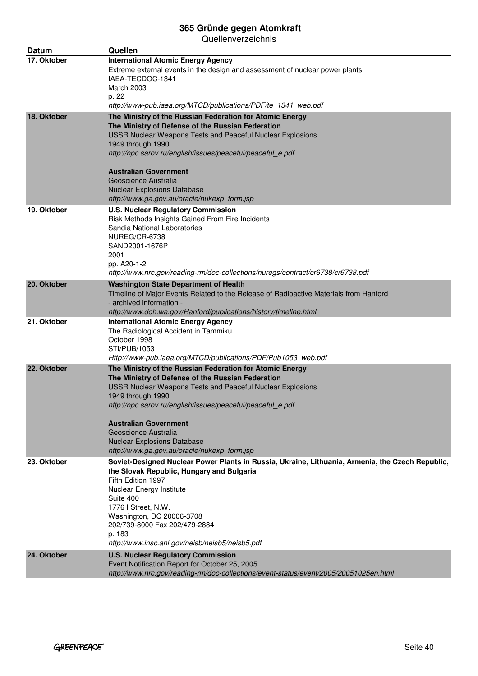| <b>Datum</b> | Quellen                                                                                                                                                                                                                                                                                                                                                                                                     |
|--------------|-------------------------------------------------------------------------------------------------------------------------------------------------------------------------------------------------------------------------------------------------------------------------------------------------------------------------------------------------------------------------------------------------------------|
| 17. Oktober  | <b>International Atomic Energy Agency</b><br>Extreme external events in the design and assessment of nuclear power plants<br>IAEA-TECDOC-1341<br>March 2003<br>p. 22<br>http://www-pub.iaea.org/MTCD/publications/PDF/te_1341_web.pdf                                                                                                                                                                       |
| 18. Oktober  | The Ministry of the Russian Federation for Atomic Energy                                                                                                                                                                                                                                                                                                                                                    |
|              | The Ministry of Defense of the Russian Federation<br><b>USSR Nuclear Weapons Tests and Peaceful Nuclear Explosions</b><br>1949 through 1990<br>http://npc.sarov.ru/english/issues/peaceful/peaceful_e.pdf                                                                                                                                                                                                   |
|              | Australian Government<br>Geoscience Australia<br><b>Nuclear Explosions Database</b>                                                                                                                                                                                                                                                                                                                         |
|              | http://www.ga.gov.au/oracle/nukexp_form.jsp                                                                                                                                                                                                                                                                                                                                                                 |
| 19. Oktober  | <b>U.S. Nuclear Regulatory Commission</b><br>Risk Methods Insights Gained From Fire Incidents<br>Sandia National Laboratories<br>NUREG/CR-6738<br>SAND2001-1676P<br>2001<br>pp. A20-1-2<br>http://www.nrc.gov/reading-rm/doc-collections/nuregs/contract/cr6738/cr6738.pdf                                                                                                                                  |
| 20. Oktober  | <b>Washington State Department of Health</b>                                                                                                                                                                                                                                                                                                                                                                |
|              | Timeline of Major Events Related to the Release of Radioactive Materials from Hanford<br>- archived information -<br>http://www.doh.wa.gov/Hanford/publications/history/timeline.html                                                                                                                                                                                                                       |
| 21. Oktober  | <b>International Atomic Energy Agency</b><br>The Radiological Accident in Tammiku<br>October 1998<br>STI/PUB/1053<br>Http://www-pub.iaea.org/MTCD/publications/PDF/Pub1053_web.pdf                                                                                                                                                                                                                          |
| 22. Oktober  | The Ministry of the Russian Federation for Atomic Energy<br>The Ministry of Defense of the Russian Federation<br><b>USSR Nuclear Weapons Tests and Peaceful Nuclear Explosions</b><br>1949 through 1990<br>http://npc.sarov.ru/english/issues/peaceful/peaceful_e.pdf<br>Australian Government<br>Geoscience Australia<br><b>Nuclear Explosions Database</b><br>http://www.ga.gov.au/oracle/nukexp_form.jsp |
| 23. Oktober  | Soviet-Designed Nuclear Power Plants in Russia, Ukraine, Lithuania, Armenia, the Czech Republic,<br>the Slovak Republic, Hungary and Bulgaria<br>Fifth Edition 1997<br>Nuclear Energy Institute<br>Suite 400<br>1776 I Street, N.W.<br>Washington, DC 20006-3708<br>202/739-8000 Fax 202/479-2884<br>p. 183<br>http://www.insc.anl.gov/neisb/neisb5/neisb5.pdf                                              |
| 24. Oktober  | <b>U.S. Nuclear Regulatory Commission</b><br>Event Notification Report for October 25, 2005<br>http://www.nrc.gov/reading-rm/doc-collections/event-status/event/2005/20051025en.html                                                                                                                                                                                                                        |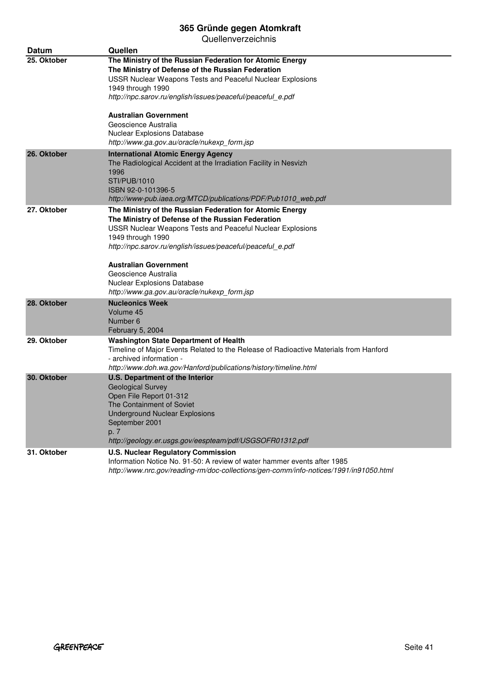| Datum       | Quellen                                                                                                                                                                                                                                                                                               |
|-------------|-------------------------------------------------------------------------------------------------------------------------------------------------------------------------------------------------------------------------------------------------------------------------------------------------------|
| 25. Oktober | The Ministry of the Russian Federation for Atomic Energy<br>The Ministry of Defense of the Russian Federation<br>USSR Nuclear Weapons Tests and Peaceful Nuclear Explosions<br>1949 through 1990                                                                                                      |
|             | http://npc.sarov.ru/english/issues/peaceful/peaceful_e.pdf<br><b>Australian Government</b><br>Geoscience Australia<br>Nuclear Explosions Database                                                                                                                                                     |
|             | http://www.ga.gov.au/oracle/nukexp_form.jsp                                                                                                                                                                                                                                                           |
| 26. Oktober | <b>International Atomic Energy Agency</b><br>The Radiological Accident at the Irradiation Facility in Nesvizh<br>1996<br><b>STI/PUB/1010</b><br>ISBN 92-0-101396-5<br>http://www-pub.iaea.org/MTCD/publications/PDF/Pub1010_web.pdf                                                                   |
| 27. Oktober | The Ministry of the Russian Federation for Atomic Energy<br>The Ministry of Defense of the Russian Federation<br><b>USSR Nuclear Weapons Tests and Peaceful Nuclear Explosions</b><br>1949 through 1990<br>http://npc.sarov.ru/english/issues/peaceful/peaceful e.pdf<br><b>Australian Government</b> |
|             | Geoscience Australia<br>Nuclear Explosions Database<br>http://www.ga.gov.au/oracle/nukexp_form.jsp                                                                                                                                                                                                    |
| 28. Oktober | <b>Nucleonics Week</b><br>Volume 45<br>Number 6<br>February 5, 2004                                                                                                                                                                                                                                   |
| 29. Oktober | <b>Washington State Department of Health</b><br>Timeline of Major Events Related to the Release of Radioactive Materials from Hanford<br>- archived information -<br>http://www.doh.wa.gov/Hanford/publications/history/timeline.html                                                                 |
| 30. Oktober | <b>U.S. Department of the Interior</b><br><b>Geological Survey</b><br>Open File Report 01-312<br>The Containment of Soviet<br><b>Underground Nuclear Explosions</b><br>September 2001<br>p. 7<br>http://geology.er.usgs.gov/eespteam/pdf/USGSOFR01312.pdf                                             |
| 31. Oktober | <b>U.S. Nuclear Regulatory Commission</b><br>Information Notice No. 91-50: A review of water hammer events after 1985<br>http://www.nrc.gov/reading-rm/doc-collections/gen-comm/info-notices/1991/in91050.html                                                                                        |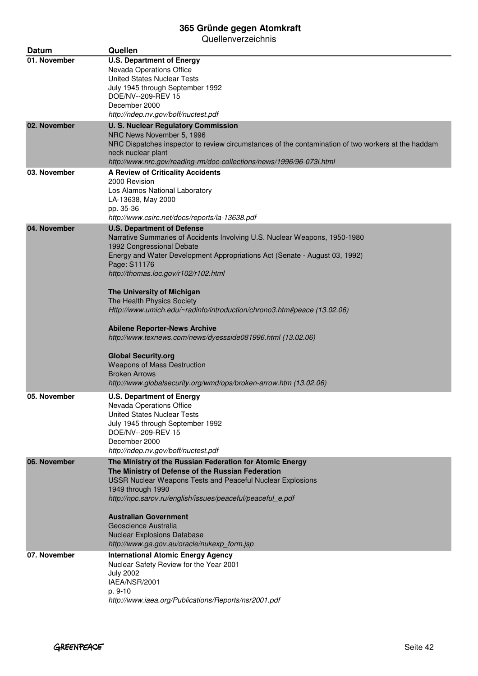| Datum        | Quellen                                                                                                                                                                                                                                                                                                                                                                                                                                                                                                                                                                                                                                                                                           |
|--------------|---------------------------------------------------------------------------------------------------------------------------------------------------------------------------------------------------------------------------------------------------------------------------------------------------------------------------------------------------------------------------------------------------------------------------------------------------------------------------------------------------------------------------------------------------------------------------------------------------------------------------------------------------------------------------------------------------|
| 01. November | <b>U.S. Department of Energy</b><br>Nevada Operations Office<br><b>United States Nuclear Tests</b><br>July 1945 through September 1992<br>DOE/NV--209-REV 15<br>December 2000<br>http://ndep.nv.gov/boff/nuctest.pdf                                                                                                                                                                                                                                                                                                                                                                                                                                                                              |
| 02. November | <b>U. S. Nuclear Regulatory Commission</b><br>NRC News November 5, 1996<br>NRC Dispatches inspector to review circumstances of the contamination of two workers at the haddam<br>neck nuclear plant<br>http://www.nrc.gov/reading-rm/doc-collections/news/1996/96-073i.html                                                                                                                                                                                                                                                                                                                                                                                                                       |
| 03. November | A Review of Criticality Accidents<br>2000 Revision<br>Los Alamos National Laboratory<br>LA-13638, May 2000<br>pp. 35-36<br>http://www.csirc.net/docs/reports/la-13638.pdf                                                                                                                                                                                                                                                                                                                                                                                                                                                                                                                         |
| 04. November | <b>U.S. Department of Defense</b><br>Narrative Summaries of Accidents Involving U.S. Nuclear Weapons, 1950-1980<br>1992 Congressional Debate<br>Energy and Water Development Appropriations Act (Senate - August 03, 1992)<br>Page: S11176<br>http://thomas.loc.gov/r102/r102.html<br>The University of Michigan<br>The Health Physics Society<br>Http://www.umich.edu/~radinfo/introduction/chrono3.htm#peace (13.02.06)<br><b>Abilene Reporter-News Archive</b><br>http://www.texnews.com/news/dyessside081996.html (13.02.06)<br><b>Global Security.org</b><br><b>Weapons of Mass Destruction</b><br><b>Broken Arrows</b><br>http://www.globalsecurity.org/wmd/ops/broken-arrow.htm (13.02.06) |
| 05. November | <b>U.S. Department of Energy</b><br>Nevada Operations Office<br><b>United States Nuclear Tests</b><br>July 1945 through September 1992<br>DOE/NV--209-REV 15<br>December 2000<br>http://ndep.nv.gov/boff/nuctest.pdf                                                                                                                                                                                                                                                                                                                                                                                                                                                                              |
| 06. November | The Ministry of the Russian Federation for Atomic Energy<br>The Ministry of Defense of the Russian Federation<br>USSR Nuclear Weapons Tests and Peaceful Nuclear Explosions<br>1949 through 1990<br>http://npc.sarov.ru/english/issues/peaceful/peaceful_e.pdf<br><b>Australian Government</b><br>Geoscience Australia<br><b>Nuclear Explosions Database</b><br>http://www.ga.gov.au/oracle/nukexp_form.jsp                                                                                                                                                                                                                                                                                       |
| 07. November | <b>International Atomic Energy Agency</b><br>Nuclear Safety Review for the Year 2001<br><b>July 2002</b><br>IAEA/NSR/2001<br>p. 9-10<br>http://www.iaea.org/Publications/Reports/nsr2001.pdf                                                                                                                                                                                                                                                                                                                                                                                                                                                                                                      |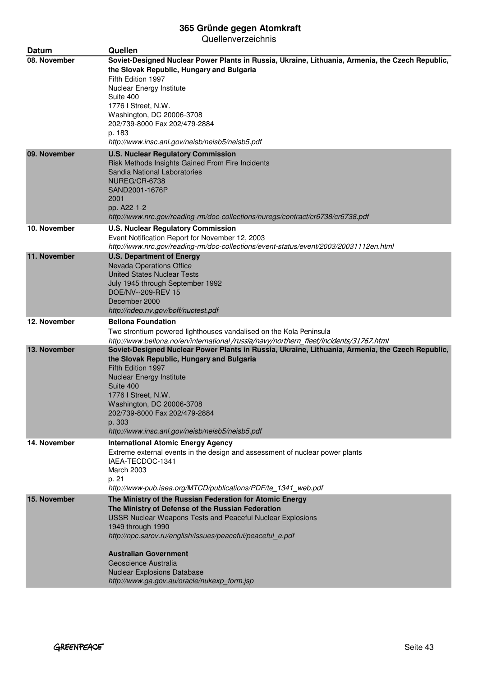| <b>Datum</b> | Quellen                                                                                                                                                                                                                                                                                                                                                               |
|--------------|-----------------------------------------------------------------------------------------------------------------------------------------------------------------------------------------------------------------------------------------------------------------------------------------------------------------------------------------------------------------------|
| 08. November | Soviet-Designed Nuclear Power Plants in Russia, Ukraine, Lithuania, Armenia, the Czech Republic,<br>the Slovak Republic, Hungary and Bulgaria<br>Fifth Edition 1997<br>Nuclear Energy Institute<br>Suite 400<br>1776   Street, N.W.<br>Washington, DC 20006-3708<br>202/739-8000 Fax 202/479-2884<br>p. 183<br>http://www.insc.anl.gov/neisb/neisb5/neisb5.pdf        |
| 09. November | <b>U.S. Nuclear Regulatory Commission</b><br>Risk Methods Insights Gained From Fire Incidents<br>Sandia National Laboratories<br>NUREG/CR-6738<br>SAND2001-1676P<br>2001<br>pp. A22-1-2<br>http://www.nrc.gov/reading-rm/doc-collections/nuregs/contract/cr6738/cr6738.pdf                                                                                            |
| 10. November | <b>U.S. Nuclear Regulatory Commission</b><br>Event Notification Report for November 12, 2003<br>http://www.nrc.gov/reading-rm/doc-collections/event-status/event/2003/20031112en.html                                                                                                                                                                                 |
| 11. November | <b>U.S. Department of Energy</b><br><b>Nevada Operations Office</b><br><b>United States Nuclear Tests</b><br>July 1945 through September 1992<br>DOE/NV--209-REV 15<br>December 2000<br>http://ndep.nv.gov/boff/nuctest.pdf                                                                                                                                           |
| 12. November | <b>Bellona Foundation</b><br>Two strontium powered lighthouses vandalised on the Kola Peninsula<br>http://www.bellona.no/en/international/russia/navy/northern_fleet/incidents/31767.html                                                                                                                                                                             |
| 13. November | Soviet-Designed Nuclear Power Plants in Russia, Ukraine, Lithuania, Armenia, the Czech Republic,<br>the Slovak Republic, Hungary and Bulgaria<br>Fifth Edition 1997<br><b>Nuclear Energy Institute</b><br>Suite 400<br>1776 I Street, N.W.<br>Washington, DC 20006-3708<br>202/739-8000 Fax 202/479-2884<br>p. 303<br>http://www.insc.anl.gov/neisb/neisb5/neisb5.pdf |
| 14. November | <b>International Atomic Energy Agency</b><br>Extreme external events in the design and assessment of nuclear power plants<br>IAEA-TECDOC-1341<br>March 2003<br>p. 21<br>http://www-pub.iaea.org/MTCD/publications/PDF/te 1341 web.pdf                                                                                                                                 |
| 15. November | The Ministry of the Russian Federation for Atomic Energy<br>The Ministry of Defense of the Russian Federation<br>USSR Nuclear Weapons Tests and Peaceful Nuclear Explosions<br>1949 through 1990<br>http://npc.sarov.ru/english/issues/peaceful/peaceful_e.pdf                                                                                                        |
|              | <b>Australian Government</b><br>Geoscience Australia<br><b>Nuclear Explosions Database</b><br>http://www.ga.gov.au/oracle/nukexp_form.jsp                                                                                                                                                                                                                             |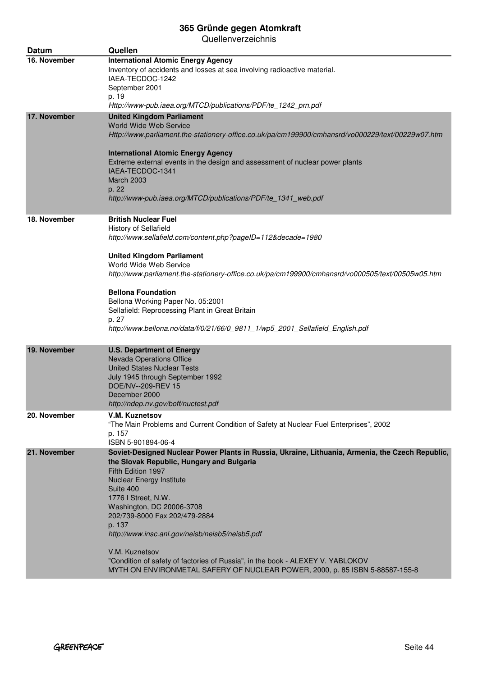| <b>Datum</b> | Quellen                                                                                                                                                                                                                                                                                                                                                                                                                                                                                                                                                   |
|--------------|-----------------------------------------------------------------------------------------------------------------------------------------------------------------------------------------------------------------------------------------------------------------------------------------------------------------------------------------------------------------------------------------------------------------------------------------------------------------------------------------------------------------------------------------------------------|
| 16. November | <b>International Atomic Energy Agency</b><br>Inventory of accidents and losses at sea involving radioactive material.<br>IAEA-TECDOC-1242<br>September 2001<br>p. 19<br>Http://www-pub.iaea.org/MTCD/publications/PDF/te_1242_prn.pdf                                                                                                                                                                                                                                                                                                                     |
| 17. November | <b>United Kingdom Parliament</b><br>World Wide Web Service<br>Http://www.parliament.the-stationery-office.co.uk/pa/cm199900/cmhansrd/vo000229/text/00229w07.htm<br><b>International Atomic Energy Agency</b><br>Extreme external events in the design and assessment of nuclear power plants<br>IAEA-TECDOC-1341<br><b>March 2003</b><br>p. 22<br>http://www-pub.iaea.org/MTCD/publications/PDF/te_1341_web.pdf                                                                                                                                           |
| 18. November | <b>British Nuclear Fuel</b><br>History of Sellafield<br>http://www.sellafield.com/content.php?pageID=112&decade=1980<br><b>United Kingdom Parliament</b><br>World Wide Web Service<br>http://www.parliament.the-stationery-office.co.uk/pa/cm199900/cmhansrd/vo000505/text/00505w05.htm<br><b>Bellona Foundation</b><br>Bellona Working Paper No. 05:2001<br>Sellafield: Reprocessing Plant in Great Britain<br>p. 27<br>http://www.bellona.no/data/f/0/21/66/0_9811_1/wp5_2001_Sellafield_English.pdf                                                    |
| 19. November | <b>U.S. Department of Energy</b><br>Nevada Operations Office<br><b>United States Nuclear Tests</b><br>July 1945 through September 1992<br>DOE/NV--209-REV 15<br>December 2000<br>http://ndep.nv.gov/boff/nuctest.pdf                                                                                                                                                                                                                                                                                                                                      |
| 20. November | V.M. Kuznetsov<br>"The Main Problems and Current Condition of Safety at Nuclear Fuel Enterprises", 2002<br>p. 157<br>ISBN 5-901894-06-4                                                                                                                                                                                                                                                                                                                                                                                                                   |
| 21. November | Soviet-Designed Nuclear Power Plants in Russia, Ukraine, Lithuania, Armenia, the Czech Republic,<br>the Slovak Republic, Hungary and Bulgaria<br>Fifth Edition 1997<br><b>Nuclear Energy Institute</b><br>Suite 400<br>1776 I Street, N.W.<br>Washington, DC 20006-3708<br>202/739-8000 Fax 202/479-2884<br>p. 137<br>http://www.insc.anl.gov/neisb/neisb5/neisb5.pdf<br>V.M. Kuznetsov<br>"Condition of safety of factories of Russia", in the book - ALEXEY V. YABLOKOV<br>MYTH ON ENVIRONMETAL SAFERY OF NUCLEAR POWER, 2000, p. 85 ISBN 5-88587-155-8 |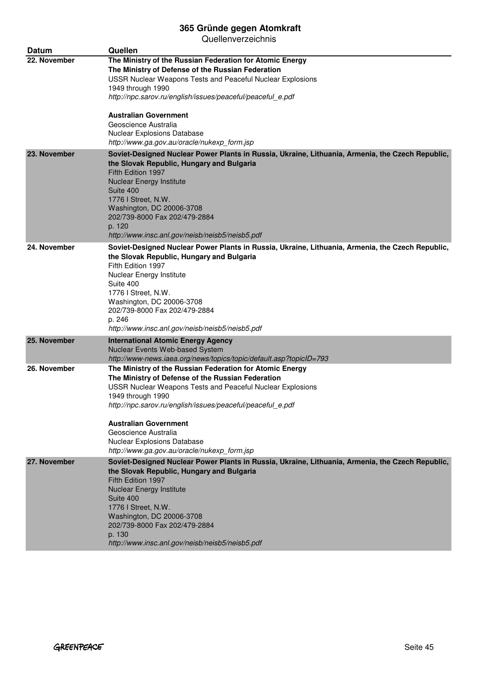| Datum        | Quellen                                                                                                                                                                                                                                                                                                                                                                                                     |
|--------------|-------------------------------------------------------------------------------------------------------------------------------------------------------------------------------------------------------------------------------------------------------------------------------------------------------------------------------------------------------------------------------------------------------------|
| 22. November | The Ministry of the Russian Federation for Atomic Energy<br>The Ministry of Defense of the Russian Federation<br>USSR Nuclear Weapons Tests and Peaceful Nuclear Explosions<br>1949 through 1990<br>http://npc.sarov.ru/english/issues/peaceful/peaceful_e.pdf<br><b>Australian Government</b><br>Geoscience Australia<br>Nuclear Explosions Database<br>http://www.ga.gov.au/oracle/nukexp form.jsp        |
| 23. November | Soviet-Designed Nuclear Power Plants in Russia, Ukraine, Lithuania, Armenia, the Czech Republic,<br>the Slovak Republic, Hungary and Bulgaria<br>Fifth Edition 1997<br><b>Nuclear Energy Institute</b><br>Suite 400<br>1776 I Street, N.W.<br>Washington, DC 20006-3708<br>202/739-8000 Fax 202/479-2884<br>p. 120<br>http://www.insc.anl.gov/neisb/neisb5/neisb5.pdf                                       |
| 24. November | Soviet-Designed Nuclear Power Plants in Russia, Ukraine, Lithuania, Armenia, the Czech Republic,<br>the Slovak Republic, Hungary and Bulgaria<br>Fifth Edition 1997<br>Nuclear Energy Institute<br>Suite 400<br>1776 I Street, N.W.<br>Washington, DC 20006-3708<br>202/739-8000 Fax 202/479-2884<br>p. 246<br>http://www.insc.anl.gov/neisb/neisb5/neisb5.pdf                                              |
| 25. November | <b>International Atomic Energy Agency</b><br>Nuclear Events Web-based System<br>http://www-news.iaea.org/news/topics/topic/default.asp?topicID=793                                                                                                                                                                                                                                                          |
| 26. November | The Ministry of the Russian Federation for Atomic Energy<br>The Ministry of Defense of the Russian Federation<br><b>USSR Nuclear Weapons Tests and Peaceful Nuclear Explosions</b><br>1949 through 1990<br>http://npc.sarov.ru/english/issues/peaceful/peaceful_e.pdf<br><b>Australian Government</b><br>Geoscience Australia<br>Nuclear Explosions Database<br>http://www.ga.gov.au/oracle/nukexp_form.jsp |
| 27. November | Soviet-Designed Nuclear Power Plants in Russia, Ukraine, Lithuania, Armenia, the Czech Republic,<br>the Slovak Republic, Hungary and Bulgaria<br>Fifth Edition 1997<br><b>Nuclear Energy Institute</b><br>Suite 400<br>1776   Street, N.W.<br>Washington, DC 20006-3708<br>202/739-8000 Fax 202/479-2884<br>p. 130<br>http://www.insc.anl.gov/neisb/neisb5/neisb5.pdf                                       |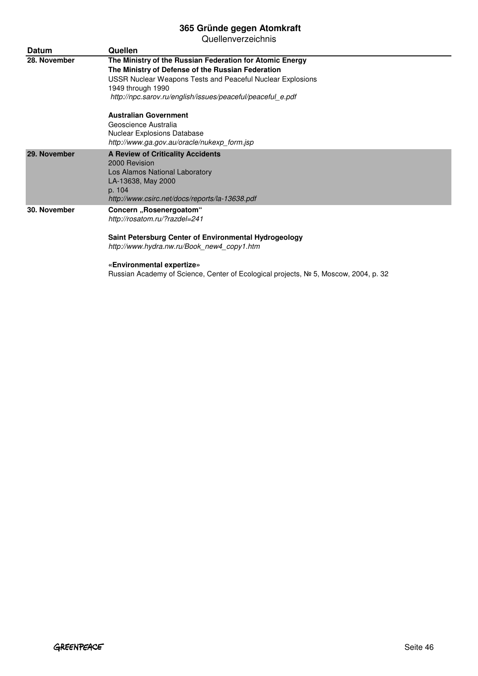| <b>Datum</b> | Quellen                                                                                                                                                                                                                                                                              |
|--------------|--------------------------------------------------------------------------------------------------------------------------------------------------------------------------------------------------------------------------------------------------------------------------------------|
| 28. November | The Ministry of the Russian Federation for Atomic Energy<br>The Ministry of Defense of the Russian Federation<br><b>USSR Nuclear Weapons Tests and Peaceful Nuclear Explosions</b><br>1949 through 1990<br>http://npc.sarov.ru/english/issues/peaceful/peaceful_e.pdf                |
|              | <b>Australian Government</b><br>Geoscience Australia<br><b>Nuclear Explosions Database</b><br>http://www.ga.gov.au/oracle/nukexp form.jsp                                                                                                                                            |
| 29. November | <b>A Review of Criticality Accidents</b><br>2000 Revision<br>Los Alamos National Laboratory<br>LA-13638, May 2000<br>p. 104<br>http://www.csirc.net/docs/reports/la-13638.pdf                                                                                                        |
| 30. November | Concern "Rosenergoatom"<br>http://rosatom.ru/?razdel=241<br>Saint Petersburg Center of Environmental Hydrogeology<br>http://www.hydra.nw.ru/Book new4 copy1.htm<br>«Environmental expertize»<br>Russian Academy of Science, Center of Ecological projects, Nº 5, Moscow, 2004, p. 32 |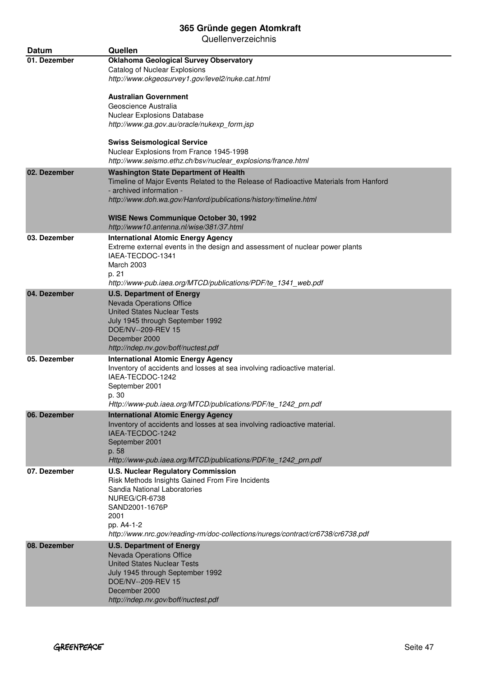| <b>Datum</b> | Quellen                                                                                                                                                                                                                                                                               |
|--------------|---------------------------------------------------------------------------------------------------------------------------------------------------------------------------------------------------------------------------------------------------------------------------------------|
| 01. Dezember | <b>Oklahoma Geological Survey Observatory</b><br>Catalog of Nuclear Explosions<br>http://www.okgeosurvey1.gov/level2/nuke.cat.html                                                                                                                                                    |
|              | <b>Australian Government</b><br>Geoscience Australia<br>Nuclear Explosions Database<br>http://www.ga.gov.au/oracle/nukexp_form.jsp<br><b>Swiss Seismological Service</b>                                                                                                              |
|              | Nuclear Explosions from France 1945-1998<br>http://www.seismo.ethz.ch/bsv/nuclear_explosions/france.html                                                                                                                                                                              |
| 02. Dezember | <b>Washington State Department of Health</b><br>Timeline of Major Events Related to the Release of Radioactive Materials from Hanford<br>- archived information -<br>http://www.doh.wa.gov/Hanford/publications/history/timeline.html<br><b>WISE News Communique October 30, 1992</b> |
|              | http://www10.antenna.nl/wise/381/37.html                                                                                                                                                                                                                                              |
| 03. Dezember | <b>International Atomic Energy Agency</b><br>Extreme external events in the design and assessment of nuclear power plants<br>IAEA-TECDOC-1341<br>March 2003<br>p. 21<br>http://www-pub.iaea.org/MTCD/publications/PDF/te_1341_web.pdf                                                 |
| 04. Dezember | <b>U.S. Department of Energy</b><br>Nevada Operations Office<br><b>United States Nuclear Tests</b><br>July 1945 through September 1992<br>DOE/NV--209-REV 15<br>December 2000<br>http://ndep.nv.gov/boff/nuctest.pdf                                                                  |
| 05. Dezember | <b>International Atomic Energy Agency</b><br>Inventory of accidents and losses at sea involving radioactive material.<br>IAEA-TECDOC-1242<br>September 2001<br>p. 30<br>Http://www-pub.iaea.org/MTCD/publications/PDF/te_1242_prn.pdf                                                 |
| 06. Dezember | <b>International Atomic Energy Agency</b><br>Inventory of accidents and losses at sea involving radioactive material.<br>IAEA-TECDOC-1242<br>September 2001<br>p. 58<br>Http://www-pub.iaea.org/MTCD/publications/PDF/te_1242_prn.pdf                                                 |
| 07. Dezember | <b>U.S. Nuclear Regulatory Commission</b><br>Risk Methods Insights Gained From Fire Incidents<br>Sandia National Laboratories<br>NUREG/CR-6738<br>SAND2001-1676P<br>2001<br>pp. A4-1-2<br>http://www.nrc.gov/reading-rm/doc-collections/nuregs/contract/cr6738/cr6738.pdf             |
| 08. Dezember | <b>U.S. Department of Energy</b><br>Nevada Operations Office<br><b>United States Nuclear Tests</b><br>July 1945 through September 1992<br>DOE/NV--209-REV 15<br>December 2000<br>http://ndep.nv.gov/boff/nuctest.pdf                                                                  |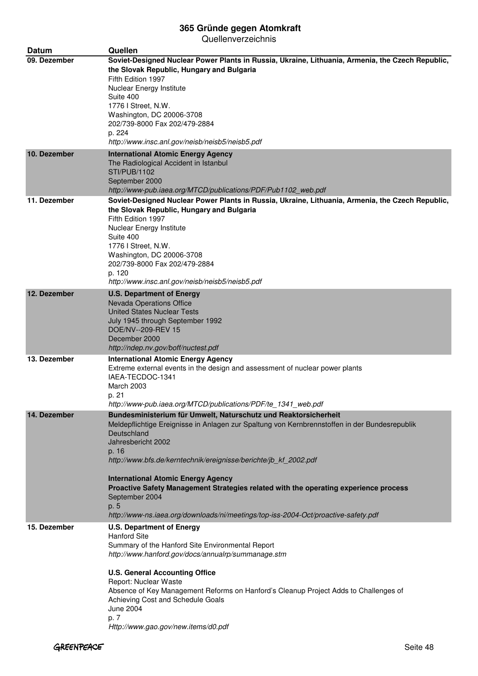| <b>Datum</b> | Quellen                                                                                                                                                                                                                                                                                                                                                                                                                                                                                                                                 |
|--------------|-----------------------------------------------------------------------------------------------------------------------------------------------------------------------------------------------------------------------------------------------------------------------------------------------------------------------------------------------------------------------------------------------------------------------------------------------------------------------------------------------------------------------------------------|
| 09. Dezember | Soviet-Designed Nuclear Power Plants in Russia, Ukraine, Lithuania, Armenia, the Czech Republic,<br>the Slovak Republic, Hungary and Bulgaria<br>Fifth Edition 1997<br>Nuclear Energy Institute<br>Suite 400<br>1776   Street, N.W.<br>Washington, DC 20006-3708<br>202/739-8000 Fax 202/479-2884<br>p. 224<br>http://www.insc.anl.gov/neisb/neisb5/neisb5.pdf                                                                                                                                                                          |
| 10. Dezember | <b>International Atomic Energy Agency</b><br>The Radiological Accident in Istanbul<br><b>STI/PUB/1102</b><br>September 2000<br>http://www-pub.iaea.org/MTCD/publications/PDF/Pub1102_web.pdf                                                                                                                                                                                                                                                                                                                                            |
| 11. Dezember | Soviet-Designed Nuclear Power Plants in Russia, Ukraine, Lithuania, Armenia, the Czech Republic,<br>the Slovak Republic, Hungary and Bulgaria<br>Fifth Edition 1997<br>Nuclear Energy Institute<br>Suite 400<br>1776   Street, N.W.<br>Washington, DC 20006-3708<br>202/739-8000 Fax 202/479-2884<br>p. 120<br>http://www.insc.anl.gov/neisb/neisb5/neisb5.pdf                                                                                                                                                                          |
| 12. Dezember | <b>U.S. Department of Energy</b><br>Nevada Operations Office<br><b>United States Nuclear Tests</b><br>July 1945 through September 1992<br>DOE/NV--209-REV 15<br>December 2000<br>http://ndep.nv.gov/boff/nuctest.pdf                                                                                                                                                                                                                                                                                                                    |
| 13. Dezember | <b>International Atomic Energy Agency</b><br>Extreme external events in the design and assessment of nuclear power plants<br>IAEA-TECDOC-1341<br>March 2003<br>p. 21<br>http://www-pub.iaea.org/MTCD/publications/PDF/te 1341 web.pdf                                                                                                                                                                                                                                                                                                   |
| 14. Dezember | Bundesministerium für Umwelt, Naturschutz und Reaktorsicherheit<br>Meldepflichtige Ereignisse in Anlagen zur Spaltung von Kernbrennstoffen in der Bundesrepublik<br>Deutschland<br>Jahresbericht 2002<br>p. 16<br>http://www.bfs.de/kerntechnik/ereignisse/berichte/jb_kf_2002.pdf<br><b>International Atomic Energy Agency</b><br>Proactive Safety Management Strategies related with the operating experience process<br>September 2004<br>p. 5<br>http://www-ns.iaea.org/downloads/ni/meetings/top-iss-2004-Oct/proactive-safety.pdf |
| 15. Dezember | <b>U.S. Department of Energy</b><br><b>Hanford Site</b><br>Summary of the Hanford Site Environmental Report<br>http://www.hanford.gov/docs/annualrp/summanage.stm<br><b>U.S. General Accounting Office</b><br>Report: Nuclear Waste<br>Absence of Key Management Reforms on Hanford's Cleanup Project Adds to Challenges of<br>Achieving Cost and Schedule Goals<br><b>June 2004</b><br>p. 7<br>Http://www.gao.gov/new.items/d0.pdf                                                                                                     |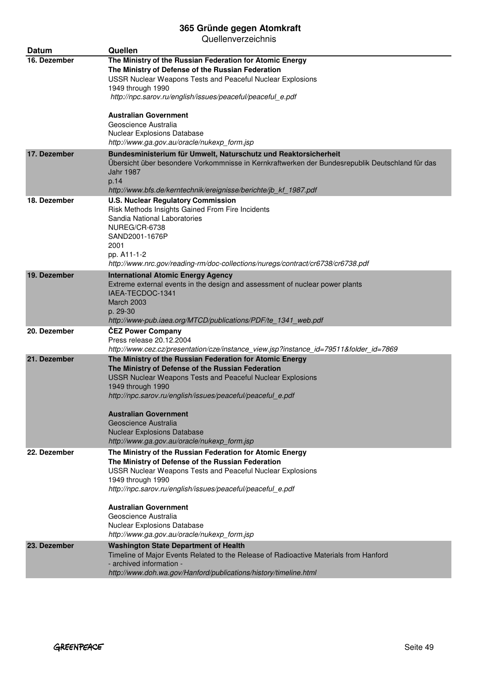| <b>Datum</b> | Quellen                                                                                                                                                                                                                                                                                                         |
|--------------|-----------------------------------------------------------------------------------------------------------------------------------------------------------------------------------------------------------------------------------------------------------------------------------------------------------------|
| 16. Dezember | The Ministry of the Russian Federation for Atomic Energy<br>The Ministry of Defense of the Russian Federation<br>USSR Nuclear Weapons Tests and Peaceful Nuclear Explosions<br>1949 through 1990                                                                                                                |
|              | http://npc.sarov.ru/english/issues/peaceful/peaceful_e.pdf                                                                                                                                                                                                                                                      |
|              | Australian Government<br>Geoscience Australia<br>Nuclear Explosions Database<br>http://www.ga.gov.au/oracle/nukexp_form.jsp                                                                                                                                                                                     |
| 17. Dezember | Bundesministerium für Umwelt, Naturschutz und Reaktorsicherheit<br>Übersicht über besondere Vorkommnisse in Kernkraftwerken der Bundesrepublik Deutschland für das<br><b>Jahr 1987</b><br>p.14<br>http://www.bfs.de/kerntechnik/ereignisse/berichte/jb_kf_1987.pdf                                              |
| 18. Dezember | <b>U.S. Nuclear Regulatory Commission</b><br>Risk Methods Insights Gained From Fire Incidents<br>Sandia National Laboratories<br>NUREG/CR-6738<br>SAND2001-1676P<br>2001<br>pp. A11-1-2<br>http://www.nrc.gov/reading-rm/doc-collections/nuregs/contract/cr6738/cr6738.pdf                                      |
| 19. Dezember | <b>International Atomic Energy Agency</b><br>Extreme external events in the design and assessment of nuclear power plants<br>IAEA-TECDOC-1341<br><b>March 2003</b><br>p. 29-30<br>http://www-pub.iaea.org/MTCD/publications/PDF/te_1341_web.pdf                                                                 |
| 20. Dezember | <b>ČEZ Power Company</b><br>Press release 20.12.2004<br>http://www.cez.cz/presentation/cze/instance_view.jsp?instance_id=79511&folder_id=7869                                                                                                                                                                   |
| 21. Dezember | The Ministry of the Russian Federation for Atomic Energy<br>The Ministry of Defense of the Russian Federation<br>USSR Nuclear Weapons Tests and Peaceful Nuclear Explosions<br>1949 through 1990<br>http://npc.sarov.ru/english/issues/peaceful/peaceful_e.pdf<br>Australian Government<br>Geoscience Australia |
|              | <b>Nuclear Explosions Database</b><br>http://www.ga.gov.au/oracle/nukexp_form.jsp                                                                                                                                                                                                                               |
| 22. Dezember | The Ministry of the Russian Federation for Atomic Energy<br>The Ministry of Defense of the Russian Federation<br>USSR Nuclear Weapons Tests and Peaceful Nuclear Explosions<br>1949 through 1990<br>http://npc.sarov.ru/english/issues/peaceful/peaceful e.pdf                                                  |
|              | <b>Australian Government</b><br>Geoscience Australia<br><b>Nuclear Explosions Database</b><br>http://www.ga.gov.au/oracle/nukexp_form.jsp                                                                                                                                                                       |
| 23. Dezember | <b>Washington State Department of Health</b><br>Timeline of Major Events Related to the Release of Radioactive Materials from Hanford<br>- archived information -<br>http://www.doh.wa.gov/Hanford/publications/history/timeline.html                                                                           |